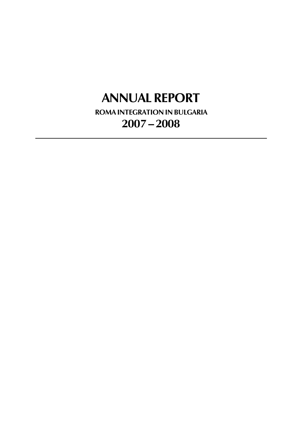# **ANNUAL REPORT**

**ROMA INTEGRATION IN BULGARIA 2007 — 2008**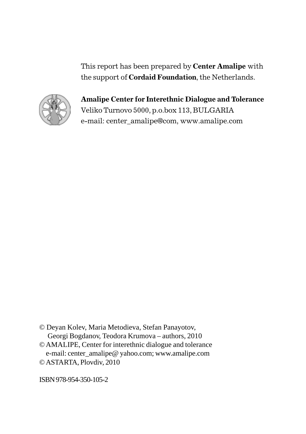This report has been prepared by **Center Amalipe** with the support of **Cordaid Foundation**, the Netherlands.



**Amalipe Center for Interethnic Dialogue and Tolerance** Veliko Turnovo 5000, p.o.box 113, BULGARIA e-mail: center\_amalipe@com, www.amalipe.com

© Deyan Kolev, Maria Metodieva, Stefan Panayotov, Georgi Bogdanov, Teodora Krumova – authors, 2010 © AMALIPE, Center for interethnic dialogue and tolerance

 e-mail: center\_amalipe@ yahoo.com; www.amalipe.com © ASTARTA, Plovdiv, 2010

ISBN 978-954-350-105-2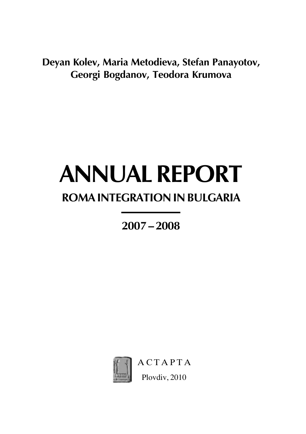**Deyan Kolev, Maria Metodieva, Stefan Panayotov, Georgi Bogdanov, Teodora Krumova**

# **ANNUAL REPORT**

# **ROMA INTEGRATION IN BULGARIA**

**2007 — 2008**



**ACTAPTA** Plovdiv, 2010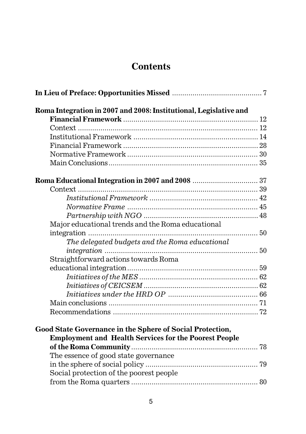# **Contents**

| Roma Integration in 2007 and 2008: Institutional, Legislative and                                                         |  |
|---------------------------------------------------------------------------------------------------------------------------|--|
|                                                                                                                           |  |
|                                                                                                                           |  |
|                                                                                                                           |  |
|                                                                                                                           |  |
|                                                                                                                           |  |
|                                                                                                                           |  |
|                                                                                                                           |  |
|                                                                                                                           |  |
|                                                                                                                           |  |
|                                                                                                                           |  |
|                                                                                                                           |  |
| Major educational trends and the Roma educational                                                                         |  |
|                                                                                                                           |  |
| The delegated budgets and the Roma educational                                                                            |  |
|                                                                                                                           |  |
| Straightforward actions towards Roma                                                                                      |  |
|                                                                                                                           |  |
|                                                                                                                           |  |
|                                                                                                                           |  |
|                                                                                                                           |  |
|                                                                                                                           |  |
|                                                                                                                           |  |
| Good State Governance in the Sphere of Social Protection,<br><b>Employment and Health Services for the Poorest People</b> |  |
|                                                                                                                           |  |
| The essence of good state governance                                                                                      |  |
|                                                                                                                           |  |
| Social protection of the poorest people                                                                                   |  |
|                                                                                                                           |  |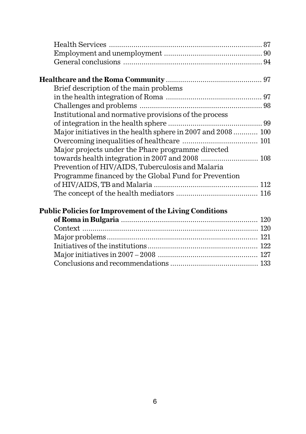| Brief description of the main problems                      |  |
|-------------------------------------------------------------|--|
|                                                             |  |
|                                                             |  |
| Institutional and normative provisions of the process       |  |
|                                                             |  |
| Major initiatives in the health sphere in 2007 and 2008 100 |  |
|                                                             |  |
| Major projects under the Phare programme directed           |  |
| towards health integration in 2007 and 2008  108            |  |
| Prevention of HIV/AIDS, Tuberculosis and Malaria            |  |
| Programme financed by the Global Fund for Prevention        |  |
|                                                             |  |
|                                                             |  |
|                                                             |  |

### **Public Policies for Improvement of the Living Conditions**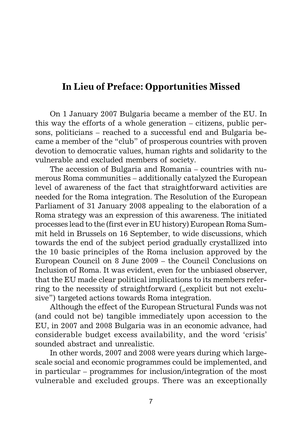## **In Lieu of Preface: Opportunities Missed**

On 1 January 2007 Bulgaria became a member of the EU. In this way the efforts of a whole generation – citizens, public persons, politicians – reached to a successful end and Bulgaria became a member of the "club" of prosperous countries with proven devotion to democratic values, human rights and solidarity to the vulnerable and excluded members of society.

The accession of Bulgaria and Romania – countries with numerous Roma communities – additionally catalyzed the European level of awareness of the fact that straightforward activities are needed for the Roma integration. The Resolution of the European Parliament of 31 January 2008 appealing to the elaboration of a Roma strategy was an expression of this awareness. The initiated processes lead to the (first ever in EU history) European Roma Summit held in Brussels on 16 September, to wide discussions, which towards the end of the subject period gradually crystallized into the 10 basic principles of the Roma inclusion approved by the European Council on 8 June 2009 – the Council Conclusions on Inclusion of Roma. It was evident, even for the unbiased observer, that the EU made clear political implications to its members referring to the necessity of straightforward ( $\alpha$ explicit but not exclusive") targeted actions towards Roma integration.

Although the effect of the European Structural Funds was not (and could not be) tangible immediately upon accession to the EU, in 2007 and 2008 Bulgaria was in an economic advance, had considerable budget excess availability, and the word 'crisis' sounded abstract and unrealistic.

In other words, 2007 and 2008 were years during which largescale social and economic programmes could be implemented, and in particular – programmes for inclusion/integration of the most vulnerable and excluded groups. There was an exceptionally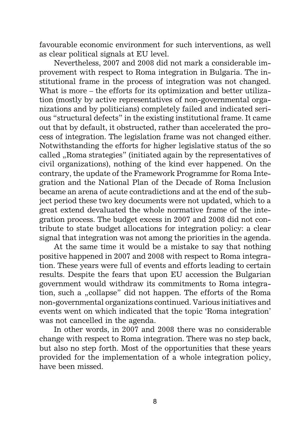favourable economic environment for such interventions, as well as clear political signals at EU level.

Nevertheless, 2007 and 2008 did not mark a considerable improvement with respect to Roma integration in Bulgaria. The institutional frame in the process of integration was not changed. What is more – the efforts for its optimization and better utilization (mostly by active representatives of non-governmental organizations and by politicians) completely failed and indicated serious "structural defects" in the existing institutional frame. It came out that by default, it obstructed, rather than accelerated the process of integration. The legislation frame was not changed either. Notwithstanding the efforts for higher legislative status of the so called ..Roma strategies" (initiated again by the representatives of civil organizations), nothing of the kind ever happened. On the contrary, the update of the Framework Programme for Roma Integration and the National Plan of the Decade of Roma Inclusion became an arena of acute contradictions and at the end of the subject period these two key documents were not updated, which to a great extend devaluated the whole normative frame of the integration process. The budget excess in 2007 and 2008 did not contribute to state budget allocations for integration policy: a clear signal that integration was not among the priorities in the agenda.

At the same time it would be a mistake to say that nothing positive happened in 2007 and 2008 with respect to Roma integration. These years were full of events and efforts leading to certain results. Despite the fears that upon EU accession the Bulgarian government would withdraw its commitments to Roma integration, such a "collapse" did not happen. The efforts of the Roma non-governmental organizations continued. Various initiatives and events went on which indicated that the topic 'Roma integration' was not cancelled in the agenda.

In other words, in 2007 and 2008 there was no considerable change with respect to Roma integration. There was no step back, but also no step forth. Most of the opportunities that these years provided for the implementation of a whole integration policy, have been missed.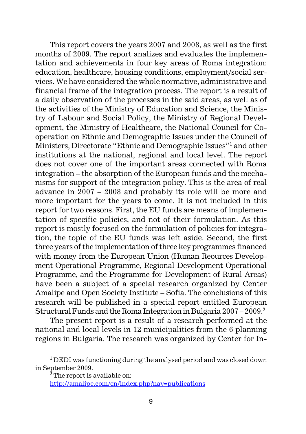This report covers the years 2007 and 2008, as well as the first months of 2009. The report analizes and evaluates the implementation and achievements in four key areas of Roma integration: education, healthcare, housing conditions, employment/social services. We have considered the whole normative, administrative and financial frame of the integration process. The report is a result of a daily observation of the processes in the said areas, as well as of the activities of the Ministry of Education and Science, the Ministry of Labour and Social Policy, the Ministry of Regional Development, the Ministry of Healthcare, the National Council for Cooperation on Ethnic and Demographic Issues under the Council of Ministers, Directorate "Ethnic and Demographic Issues"1 and other institutions at the national, regional and local level. The report does not cover one of the important areas connected with Roma integration – the absorption of the European funds and the mechanisms for support of the integration policy. This is the area of real advance in 2007 – 2008 and probably its role will be more and more important for the years to come. It is not included in this report for two reasons. First, the EU funds are means of implementation of specific policies, and not of their formulation. As this report is mostly focused on the formulation of policies for integration, the topic of the EU funds was left aside. Second, the first three years of the implementation of three key programmes financed with money from the European Union (Human Reources Development Operational Programme, Regional Development Operational Programme, and the Programme for Development of Rural Areas) have been a subject of a special research organized by Center Amalipe and Open Society Institute – Sofia. The conclusions of this research will be published in a special report entitled European Structural Funds and the Roma Integration in Bulgaria 2007 – 2009.2

The present report is a result of a research performed at the national and local levels in 12 municipalities from the 6 planning regions in Bulgaria. The research was organized by Center for In-

 $1$  DEDI was functioning during the analysed period and was closed down in September 2009.

<sup>2</sup> The report is available on:

http://amalipe.com/en/index.php?nav=publications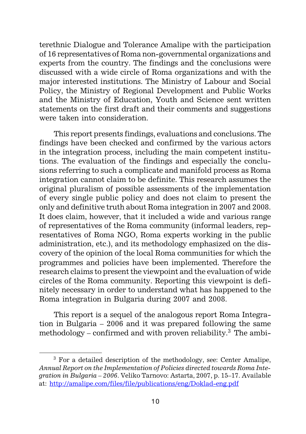terethnic Dialogue and Tolerance Amalipe with the participation of 16 representatives of Roma non-governmental organizations and experts from the country. The findings and the conclusions were discussed with a wide circle of Roma organizations and with the major interested institutions. The Ministry of Labour and Social Policy, the Ministry of Regional Development and Public Works and the Ministry of Education, Youth and Science sent written statements on the first draft and their comments and suggestions were taken into consideration.

This report presents findings, evaluations and conclusions. The findings have been checked and confirmed by the various actors in the integration process, including the main competent institutions. The evaluation of the findings and especially the conclusions referring to such a complicate and manifold process as Roma integration cannot claim to be definite. This research assumes the original pluralism of possible assessments of the implementation of every single public policy and does not claim to present the only and definitive truth about Roma integration in 2007 and 2008. It does claim, however, that it included a wide and various range of representatives of the Roma community (informal leaders, representatives of Roma NGO, Roma experts working in the public administration, etc.), and its methodology emphasized on the discovery of the opinion of the local Roma communities for which the programmes and policies have been implemented. Therefore the research claims to present the viewpoint and the evaluation of wide circles of the Roma community. Reporting this viewpoint is definitely necessary in order to understand what has happened to the Roma integration in Bulgaria during 2007 and 2008.

This report is a sequel of the analogous report Roma Integration in Bulgaria – 2006 and it was prepared following the same methodology – confirmed and with proven reliability.<sup>3</sup> The ambi-

<sup>3</sup> For a detailed description of the methodology, see: Center Amalipe, *Annual Report on the Implementation of Policies directed towards Roma Integration in Bulgaria – 2006*. Veliko Tarnovo: Astarta, 2007, p. 15–17. Available at: http://amalipe.com/files/file/publications/eng/Doklad-eng.pdf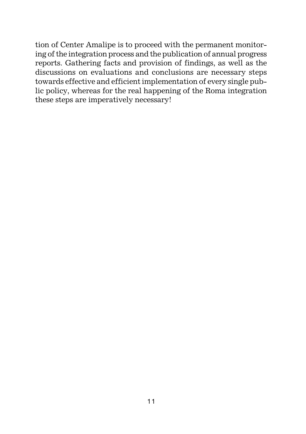tion of Center Amalipe is to proceed with the permanent monitoring of the integration process and the publication of annual progress reports. Gathering facts and provision of findings, as well as the discussions on evaluations and conclusions are necessary steps towards effective and efficient implementation of every single public policy, whereas for the real happening of the Roma integration these steps are imperatively necessary!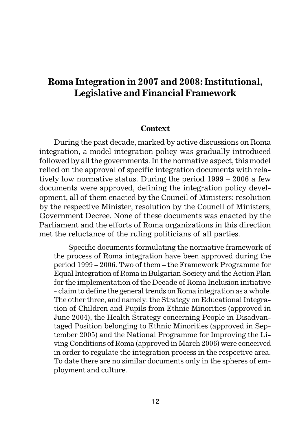# **Roma Integration in 2007 and 2008: Institutional, Legislative and Financial Framework**

#### **Context**

During the past decade, marked by active discussions on Roma integration, a model integration policy was gradually introduced followed by all the governments. In the normative aspect, this model relied on the approval of specific integration documents with relatively low normative status. During the period 1999 – 2006 a few documents were approved, defining the integration policy development, all of them enacted by the Council of Ministers: resolution by the respective Minister, resolution by the Council of Ministers, Government Decree. None of these documents was enacted by the Parliament and the efforts of Roma organizations in this direction met the reluctance of the ruling politicians of all parties.

Specific documents formulating the normative framework of the process of Roma integration have been approved during the period 1999 – 2006. Two of them – the Framework Programme for Equal Integration of Roma in Bulgarian Society and the Action Plan for the implementation of the Decade of Roma Inclusion initiative - claim to define the general trends on Roma integration as a whole. The other three, and namely: the Strategy on Educational Integration of Children and Pupils from Ethnic Minorities (approved in June 2004), the Health Strategy concerning People in Disadvantaged Position belonging to Ethnic Minorities (approved in September 2005) and the National Programme for Improving the Living Conditions of Roma (approved in March 2006) were conceived in order to regulate the integration process in the respective area. To date there are no similar documents only in the spheres of employment and culture.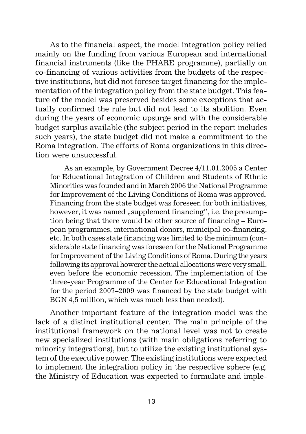As to the financial aspect, the model integration policy relied mainly on the funding from various European and international financial instruments (like the PHARE programme), partially on co-financing of various activities from the budgets of the respective institutions, but did not foresee target financing for the implementation of the integration policy from the state budget. This feature of the model was preserved besides some exceptions that actually confirmed the rule but did not lead to its abolition. Even during the years of economic upsurge and with the considerable budget surplus available (the subject period in the report includes such years), the state budget did not make a commitment to the Roma integration. The efforts of Roma organizations in this direction were unsuccessful.

As an example, by Government Decree 4/11.01.2005 a Center for Educational Integration of Children and Students of Ethnic Minorities was founded and in March 2006 the National Programme for Improvement of the Living Conditions of Roma was approved. Financing from the state budget was foreseen for both initiatives, however, it was named "supplement financing", i.e. the presumption being that there would be other source of financing – European programmes, international donors, municipal co-financing, etc. In both cases state financing was limited to the minimum (considerable state financing was foreseen for the National Programme for Improvement of the Living Conditions of Roma. During the years following its approval howerer the actual allocations were very small, even before the economic recession. The implementation of the three-year Programme of the Center for Educational Integration for the period 2007–2009 was financed by the state budget with BGN 4,5 million, which was much less than needed).

Another important feature of the integration model was the lack of a distinct institutional center. The main principle of the institutional framework on the national level was not to create new specialized institutions (with main obligations referring to minority integrations), but to utilize the existing institutional system of the executive power. The existing institutions were expected to implement the integration policy in the respective sphere (e.g. the Ministry of Education was expected to formulate and imple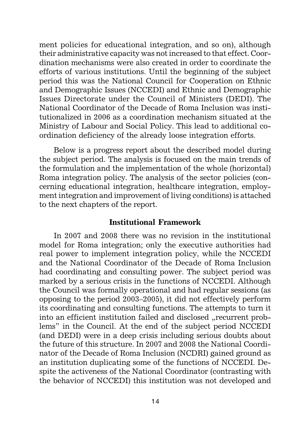ment policies for educational integration, and so on), although their administrative capacity was not increased to that effect. Coordination mechanisms were also created in order to coordinate the efforts of various institutions. Until the beginning of the subject period this was the National Council for Cooperation on Ethnic and Demographic Issues (NCCEDI) and Ethnic and Demographic Issues Directorate under the Council of Ministers (DEDI). The National Coordinator of the Decade of Roma Inclusion was institutionalized in 2006 as a coordination mechanism situated at the Ministry of Labour and Social Policy. This lead to additional coordination deficiency of the already loose integration efforts.

Below is a progress report about the described model during the subject period. The analysis is focused on the main trends of the formulation and the implementation of the whole (horizontal) Roma integration policy. The analysis of the sector policies (concerning educational integration, healthcare integration, employment integration and improvement of living conditions) is attached to the next chapters of the report.

#### **Institutional Framework**

In 2007 and 2008 there was no revision in the institutional model for Roma integration; only the executive authorities had real power to implement integration policy, while the NCCEDI and the National Coordinator of the Decade of Roma Inclusion had coordinating and consulting power. The subject period was marked by a serious crisis in the functions of NCCEDI. Although the Council was formally operational and had regular sessions (as opposing to the period 2003–2005), it did not effectively perform its coordinating and consulting functions. The attempts to turn it into an efficient institution failed and disclosed "recurrent problems" in the Council. At the end of the subject period NCCEDI (and DEDI) were in a deep crisis including serious doubts about the future of this structure. In 2007 and 2008 the National Coordinator of the Decade of Roma Inclusion (NCDRI) gained ground as an institution duplicating some of the functions of NCCEDI. Despite the activeness of the National Coordinator (contrasting with the behavior of NCCEDI) this institution was not developed and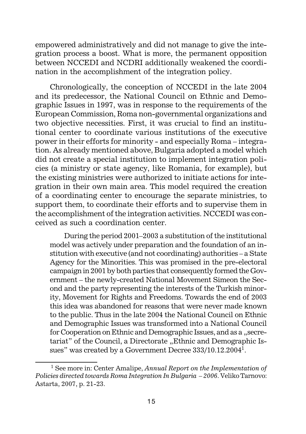empowered administratively and did not manage to give the integration process a boost. What is more, the permanent opposition between NCCEDI and NCDRI additionally weakened the coordination in the accomplishment of the integration policy.

Chronologically, the conception of NCCEDI in the late 2004 and its predecessor, the National Council on Ethnic and Demographic Issues in 1997, was in response to the requirements of the European Commission, Roma non-governmental organizations and two objective necessities. First, it was crucial to find an institutional center to coordinate various institutions of the executive power in their efforts for minority - and especially Roma – integration. As already mentioned above, Bulgaria adopted a model which did not create a special institution to implement integration policies (a ministry or state agency, like Romania, for example), but the existing ministries were authorized to initiate actions for integration in their own main area. This model required the creation of a coordinating center to encourage the separate ministries, to support them, to coordinate their efforts and to supervise them in the accomplishment of the integration activities. NCCEDI was conceived as such a coordination center.

During the period 2001–2003 a substitution of the institutional model was actively under preparation and the foundation of an institution with executive (and not coordinating) authorities – a State Agency for the Minorities. This was promised in the pre-electoral campaign in 2001 by both parties that consequently formed the Government – the newly-created National Movement Simeon the Second and the party representing the interests of the Turkish minority, Movement for Rights and Freedoms. Towards the end of 2003 this idea was abandoned for reasons that were never made known to the public. Thus in the late 2004 the National Council on Ethnic and Demographic Issues was transformed into a National Council for Cooperation on Ethnic and Demographic Issues, and as a "secretariat" of the Council, a Directorate "Ethnic and Demographic Issues" was created by a Government Decree 333/10.12.20041.

<sup>1</sup> See more in: Center Amalipe, *Annual Report on the Implementation of Policies directed towards Roma Integration In Bulgaria – 2006*. Veliko Tarnovo: Astarta, 2007, p. 21-23.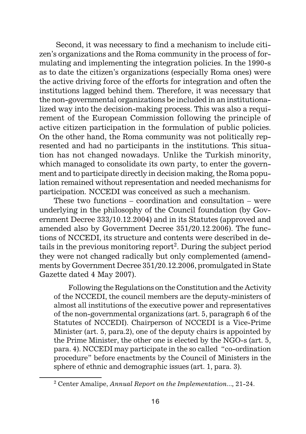Second, it was necessary to find a mechanism to include citizen's organizations and the Roma community in the process of formulating and implementing the integration policies. In the 1990-s as to date the citizen's organizations (especially Roma ones) were the active driving force of the efforts for integration and often the institutions lagged behind them. Therefore, it was necessary that the non-governmental organizations be included in an institutionalized way into the decision-making process. This was also a requirement of the European Commission following the principle of active citizen participation in the formulation of public policies. On the other hand, the Roma community was not politically represented and had no participants in the institutions. This situation has not changed nowadays. Unlike the Turkish minority, which managed to consolidate its own party, to enter the government and to participate directly in decision making, the Roma population remained without representation and needed mechanisms for participation. NCCEDI was conceived as such a mechanism.

These two functions – coordination and consultation – were underlying in the philosophy of the Council foundation (by Government Decree 333/10.12.2004) and in its Statutes (approved and amended also by Government Decree 351/20.12.2006). The functions of NCCEDI, its structure and contents were described in details in the previous monitoring report<sup>2</sup>. During the subject period they were not changed radically but only complemented (amendments by Government Decree 351/20.12.2006, promulgated in State Gazette dated 4 May 2007).

Following the Regulations on the Constitution and the Activity of the NCCEDI, the council members are the deputy-ministers of almost all institutions of the executive power and representatives of the non-governmental organizations (art. 5, paragraph 6 of the Statutes of NCCEDI). Chairperson of NCCEDI is a Vice-Prime Minister (art. 5, para.2), one of the deputy chairs is appointed by the Prime Minister, the other one is elected by the NGO-s (art. 5, para. 4). NCCEDI may participate in the so called "co-ordination procedure" before enactments by the Council of Ministers in the sphere of ethnic and demographic issues (art. 1, para. 3).

<sup>2</sup> Center Amalipe, *Annual Report on the Implementation...,* 21-24.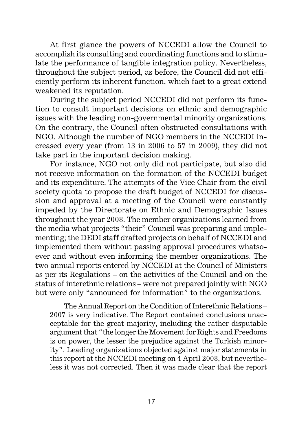At first glance the powers of NCCEDI allow the Council to accomplish its consulting and coordinating functions and to stimulate the performance of tangible integration policy. Nevertheless, throughout the subject period, as before, the Council did not efficiently perform its inherent function, which fact to a great extend weakened its reputation.

During the subject period NCCEDI did not perform its function to consult important decisions on ethnic and demographic issues with the leading non-governmental minority organizations. On the contrary, the Council often obstructed consultations with NGO. Although the number of NGO members in the NCCEDI increased every year (from 13 in 2006 to 57 in 2009), they did not take part in the important decision making.

For instance, NGO not only did not participate, but also did not receive information on the formation of the NCCEDI budget and its expenditure. The attempts of the Vice Chair from the civil society quota to propose the draft budget of NCCEDI for discussion and approval at a meeting of the Council were constantly impeded by the Directorate on Ethnic and Demographic Issues throughout the year 2008. The member organizations learned from the media what projects "their" Council was preparing and implementing; the DEDI staff drafted projects on behalf of NCCEDI and implemented them without passing approval procedures whatsoever and without even informing the member organizations. The two annual reports entered by NCCEDI at the Council of Ministers as per its Regulations – on the activities of the Council and on the status of interethnic relations – were not prepared jointly with NGO but were only "announced for information" to the organizations.

The Annual Report on the Condition of Interethnic Relations – 2007 is very indicative. The Report contained conclusions unacceptable for the great majority, including the rather disputable argument that "the longer the Movement for Rights and Freedoms is on power, the lesser the prejudice against the Turkish minority". Leading organizations objected against major statements in this report at the NCCEDI meeting on 4 April 2008, but nevertheless it was not corrected. Then it was made clear that the report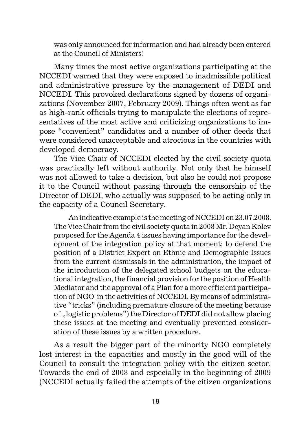was only announced for information and had already been entered at the Council of Ministers!

Many times the most active organizations participating at the NCCEDI warned that they were exposed to inadmissible political and administrative pressure by the management of DEDI and NCCEDI. This provoked declarations signed by dozens of organizations (November 2007, February 2009). Things often went as far as high-rank officials trying to manipulate the elections of representatives of the most active and criticizing organizations to impose "convenient" candidates and a number of other deeds that were considered unacceptable and atrocious in the countries with developed democracy.

The Vice Chair of NCCEDI elected by the civil society quota was practically left without authority. Not only that he himself was not allowed to take a decision, but also he could not propose it to the Council without passing through the censorship of the Director of DEDI, who actually was supposed to be acting only in the capacity of a Council Secretary.

An indicative example is the meeting of NCCEDI on 23.07.2008. The Vice Chair from the civil society quota in 2008 Mr. Deyan Kolev proposed for the Agenda 4 issues having importance for the development of the integration policy at that moment: to defend the position of a District Expert on Ethnic and Demographic Issues from the current dismissals in the administration, the impact of the introduction of the delegated school budgets on the educational integration, the financial provision for the position of Health Mediator and the approval of a Plan for a more efficient participation of NGO in the activities of NCCEDI. By means of administrative "tricks" (including premature closure of the meeting because of "logistic problems") the Director of DEDI did not allow placing these issues at the meeting and eventually prevented consideration of these issues by a written procedure.

As a result the bigger part of the minority NGO completely lost interest in the capacities and mostly in the good will of the Council to consult the integration policy with the citizen sector. Towards the end of 2008 and especially in the beginning of 2009 (NCCEDI actually failed the attempts of the citizen organizations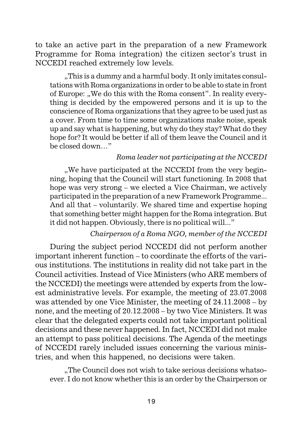to take an active part in the preparation of a new Framework Programme for Roma integration) the citizen sector's trust in NCCEDI reached extremely low levels.

..This is a dummy and a harmful body. It only imitates consultations with Roma organizations in order to be able to state in front of Europe: "We do this with the Roma consent". In reality everything is decided by the empowered persons and it is up to the conscience of Roma organizations that they agree to be used just as a cover. From time to time some organizations make noise, speak up and say what is happening, but why do they stay? What do they hope for? It would be better if all of them leave the Council and it be closed down…"

#### *Roma leader not participating at the NCCEDI*

"We have participated at the NCCEDI from the very beginning, hoping that the Council will start functioning. In 2008 that hope was very strong – we elected a Vice Chairman, we actively participated in the preparation of a new Framework Programme... And all that – voluntarily. We shared time and expertise hoping that something better might happen for the Roma integration. But it did not happen. Obviously, there is no political will..."

#### *Chairperson of a Roma NGO, member of the NCCEDI*

During the subject period NCCEDI did not perform another important inherent function – to coordinate the efforts of the various institutions. The institutions in reality did not take part in the Council activities. Instead of Vice Ministers (who ARE members of the NCCEDI) the meetings were attended by experts from the lowest administrative levels. For example, the meeting of 23.07.2008 was attended by one Vice Minister, the meeting of 24.11.2008 – by none, and the meeting of 20.12.2008 – by two Vice Ministers. It was clear that the delegated experts could not take important political decisions and these never happened. In fact, NCCEDI did not make an attempt to pass political decisions. The Agenda of the meetings of NCCEDI rarely included issues concerning the various ministries, and when this happened, no decisions were taken.

"The Council does not wish to take serious decisions whatsoever. I do not know whether this is an order by the Chairperson or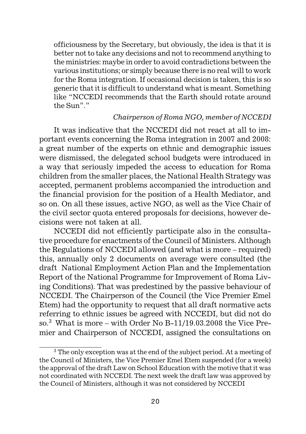officiousness by the Secretary, but obviously, the idea is that it is better not to take any decisions and not to recommend anything to the ministries: maybe in order to avoid contradictions between the various institutions; or simply because there is no real will to work for the Roma integration. If occasional decision is taken, this is so generic that it is difficult to understand what is meant. Something like "NCCEDI recommends that the Earth should rotate around the Sun"."

#### *Chairperson of Roma NGO, member of NCCEDI*

It was indicative that the NCCEDI did not react at all to important events concerning the Roma integration in 2007 and 2008: a great number of the experts on ethnic and demographic issues were dismissed, the delegated school budgets were introduced in a way that seriously impeded the access to education for Roma children from the smaller places, the National Health Strategy was accepted, permanent problems accompanied the introduction and the financial provision for the position of a Health Mediator, and so on. On all these issues, active NGO, as well as the Vice Chair of the civil sector quota entered proposals for decisions, however decisions were not taken at all.

NCCEDI did not efficiently participate also in the consultative procedure for enactments of the Council of Ministers. Although the Regulations of NCCEDI allowed (and what is more – required) this, annually only 2 documents on average were consulted (the draft National Employment Action Plan and the Implementation Report of the National Programme for Improvement of Roma Living Conditions). That was predestined by the passive behaviour of NCCEDI. The Chairperson of the Council (the Vice Premier Emel Etem) had the opportunity to request that all draft normative acts referring to ethnic issues be agreed with NCCEDI, but did not do so. $3$  What is more – with Order No B-11/19.03.2008 the Vice Premier and Chairperson of NCCEDI, assigned the consultations on

<sup>3</sup> The only exception was at the end of the subject period. At a meeting of the Council of Ministers, the Vice Premier Emel Etem suspended (for a week) the approval of the draft Law on School Education with the motive that it was not coordinated with NCCEDI. The next week the draft law was approved by the Council of Ministers, although it was not considered by NCCEDI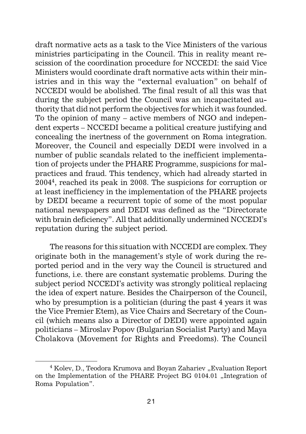draft normative acts as a task to the Vice Ministers of the various ministries participating in the Council. This in reality meant rescission of the coordination procedure for NCCEDI: the said Vice Ministers would coordinate draft normative acts within their ministries and in this way the "external evaluation" on behalf of NCCEDI would be abolished. The final result of all this was that during the subject period the Council was an incapacitated authority that did not perform the objectives for which it was founded. To the opinion of many – active members of NGO and independent experts – NCCEDI became a political creature justifying and concealing the inertness of the government on Roma integration. Moreover, the Council and especially DEDI were involved in a number of public scandals related to the inefficient implementation of projects under the PHARE Programme, suspicions for malpractices and fraud. This tendency, which had already started in 20044, reached its peak in 2008. The suspicions for corruption or at least inefficiency in the implementation of the PHARE projects by DEDI became a recurrent topic of some of the most popular national newspapers and DEDI was defined as the "Directorate with brain deficiency". All that additionally undermined NCCEDI's reputation during the subject period.

The reasons for this situation with NCCEDI are complex. They originate both in the management's style of work during the reported period and in the very way the Council is structured and functions, i.e. there are constant systematic problems. During the subject period NCCEDI's activity was strongly political replacing the idea of expert nature. Besides the Chairperson of the Council, who by presumption is a politician (during the past 4 years it was the Vice Premier Etem), as Vice Chairs and Secretary of the Council (which means also a Director of DEDI) were appointed again politicians – Miroslav Popov (Bulgarian Socialist Party) and Maya Cholakova (Movement for Rights and Freedoms). The Council

<sup>&</sup>lt;sup>4</sup> Kolev, D., Teodora Krumova and Boyan Zahariev "Evaluation Report on the Implementation of the PHARE Project BG 0104.01 "Integration of Roma Population".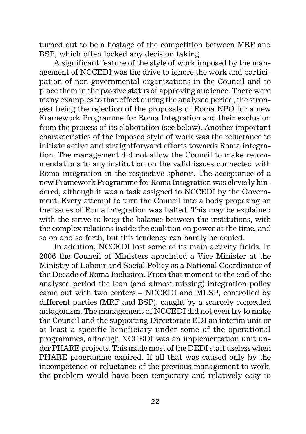turned out to be a hostage of the competition between MRF and BSP, which often locked any decision taking.

A significant feature of the style of work imposed by the management of NCCEDI was the drive to ignore the work and participation of non-governmental organizations in the Council and to place them in the passive status of approving audience. There were many examples to that effect during the analysed period, the strongest being the rejection of the proposals of Roma NPO for a new Framework Programme for Roma Integration and their exclusion from the process of its elaboration (see below). Another important characteristics of the imposed style of work was the reluctance to initiate active and straightforward efforts towards Roma integration. The management did not allow the Council to make recommendations to any institution on the valid issues connected with Roma integration in the respective spheres. The acceptance of a new Framework Programme for Roma Integration was cleverly hindered, although it was a task assigned to NCCEDI by the Government. Every attempt to turn the Council into a body proposing on the issues of Roma integration was halted. This may be explained with the strive to keep the balance between the institutions, with the complex relations inside the coalition on power at the time, and so on and so forth, but this tendency can hardly be denied.

In addition, NCCEDI lost some of its main activity fields. In 2006 the Council of Ministers appointed a Vice Minister at the Ministry of Labour and Social Policy as a National Coordinator of the Decade of Roma Inclusion. From that moment to the end of the analysed period the lean (and almost missing) integration policy came out with two centers – NCCEDI and MLSP, controlled by different parties (MRF and BSP), caught by a scarcely concealed antagonism. The management of NCCEDI did not even try to make the Council and the supporting Directorate EDI an interim unit or at least a specific beneficiary under some of the operational programmes, although NCCEDI was an implementation unit under PHARE projects. This made most of the DEDI staff useless when PHARE programme expired. If all that was caused only by the incompetence or reluctance of the previous management to work, the problem would have been temporary and relatively easy to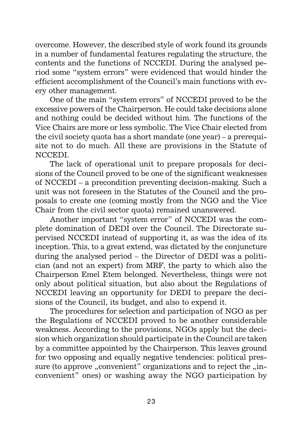overcome. However, the described style of work found its grounds in a number of fundamental features regulating the structure, the contents and the functions of NCCEDI. During the analysed period some "system errors" were evidenced that would hinder the efficient accomplishment of the Council's main functions with every other management.

One of the main "system errors" of NCCEDI proved to be the excessive powers of the Chairperson. He could take decisions alone and nothing could be decided without him. The functions of the Vice Chairs are more or less symbolic. The Vice Chair elected from the civil society quota has a short mandate (one year) – a prerequisite not to do much. All these are provisions in the Statute of NCCEDI.

The lack of operational unit to prepare proposals for decisions of the Council proved to be one of the significant weaknesses of NCCEDI – a precondition preventing decision-making. Such a unit was not foreseen in the Statutes of the Council and the proposals to create one (coming mostly from the NGO and the Vice Chair from the civil sector quota) remained unanswered.

Another important "system error" of NCCEDI was the complete domination of DEDI over the Council. The Directorate supervised NCCEDI instead of supporting it, as was the idea of its inception. This, to a great extend, was dictated by the conjuncture during the analysed period – the Director of DEDI was a politician (and not an expert) from MRF, the party to which also the Chairperson Emel Etem belonged. Nevertheless, things were not only about political situation, but also about the Regulations of NCCEDI leaving an opportunity for DEDI to prepare the decisions of the Council, its budget, and also to expend it.

The procedures for selection and participation of NGO as per the Regulations of NCCEDI proved to be another considerable weakness. According to the provisions, NGOs apply but the decision which organization should participate in the Council are taken by a committee appointed by the Chairperson. This leaves ground for two opposing and equally negative tendencies: political pressure (to approve "convenient" organizations and to reject the "inconvenient" ones) or washing away the NGO participation by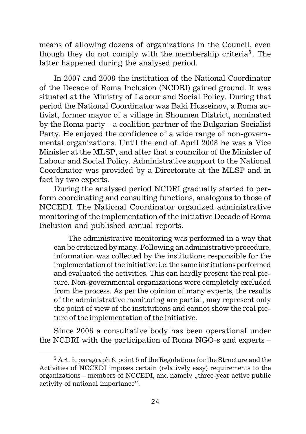means of allowing dozens of organizations in the Council, even though they do not comply with the membership criteria<sup>5</sup>. The latter happened during the analysed period.

In 2007 and 2008 the institution of the National Coordinator of the Decade of Roma Inclusion (NCDRI) gained ground. It was situated at the Ministry of Labour and Social Policy. During that period the National Coordinator was Baki Husseinov, a Roma activist, former mayor of a village in Shoumen District, nominated by the Roma party – a coalition partner of the Bulgarian Socialist Party. He enjoyed the confidence of a wide range of non-governmental organizations. Until the end of April 2008 he was a Vice Minister at the MLSP, and after that a councilor of the Minister of Labour and Social Policy. Administrative support to the National Coordinator was provided by a Directorate at the MLSP and in fact by two experts.

During the analysed period NCDRI gradually started to perform coordinating and consulting functions, analogous to those of NCCEDI. The National Coordinator organized administrative monitoring of the implementation of the initiative Decade of Roma Inclusion and published annual reports.

The administrative monitoring was performed in a way that can be criticized by many. Following an administrative procedure, information was collected by the institutions responsible for the implementation of the initiative: i.e. the same institutions performed and evaluated the activities. This can hardly present the real picture. Non-governmental organizations were completely excluded from the process. As per the opinion of many experts, the results of the administrative monitoring are partial, may represent only the point of view of the institutions and cannot show the real picture of the implementation of the initiative.

Since 2006 a consultative body has been operational under the NCDRI with the participation of Roma NGO-s and experts –

 $5$  Art. 5, paragraph 6, point 5 of the Regulations for the Structure and the Activities of NCCEDI imposes certain (relatively easy) requirements to the organizations – members of NCCEDI, and namely "three-year active public activity of national importance".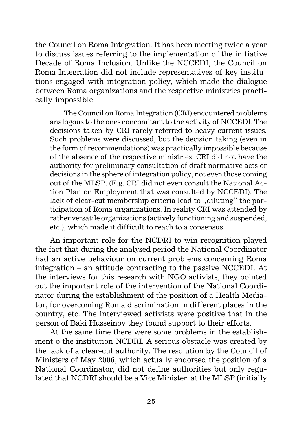the Council on Roma Integration. It has been meeting twice a year to discuss issues referring to the implementation of the initiative Decade of Roma Inclusion. Unlike the NCCEDI, the Council on Roma Integration did not include representatives of key institutions engaged with integration policy, which made the dialogue between Roma organizations and the respective ministries practically impossible.

The Council on Roma Integration (CRI) encountered problems analogous to the ones concomitant to the activity of NCCEDI. The decisions taken by CRI rarely referred to heavy current issues. Such problems were discussed, but the decision taking (even in the form of recommendations) was practically impossible because of the absence of the respective ministries. CRI did not have the authority for preliminary consultation of draft normative acts or decisions in the sphere of integration policy, not even those coming out of the MLSP. (E.g. CRI did not even consult the National Action Plan on Employment that was consulted by NCCEDI). The lack of clear-cut membership criteria lead to "diluting" the participation of Roma organizations. In reality CRI was attended by rather versatile organizations (actively functioning and suspended, etc.), which made it difficult to reach to a consensus.

An important role for the NCDRI to win recognition played the fact that during the analysed period the National Coordinator had an active behaviour on current problems concerning Roma integration – an attitude contracting to the passive NCCEDI. At the interviews for this research with NGO activists, they pointed out the important role of the intervention of the National Coordinator during the establishment of the position of a Health Mediator, for overcoming Roma discrimination in different places in the country, etc. The interviewed activists were positive that in the person of Baki Husseinov they found support to their efforts.

At the same time there were some problems in the establishment o the institution NCDRI. A serious obstacle was created by the lack of a clear-cut authority. The resolution by the Council of Ministers of May 2006, which actually endorsed the position of a National Coordinator, did not define authorities but only regulated that NCDRI should be a Vice Minister at the MLSP (initially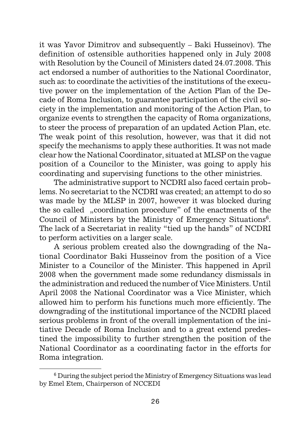it was Yavor Dimitrov and subsequently – Baki Husseinov). The definition of ostensible authorities happened only in July 2008 with Resolution by the Council of Ministers dated 24.07.2008. This act endorsed a number of authorities to the National Coordinator, such as: to coordinate the activities of the institutions of the executive power on the implementation of the Action Plan of the Decade of Roma Inclusion, to guarantee participation of the civil society in the implementation and monitoring of the Action Plan, to organize events to strengthen the capacity of Roma organizations, to steer the process of preparation of an updated Action Plan, etc. The weak point of this resolution, however, was that it did not specify the mechanisms to apply these authorities. It was not made clear how the National Coordinator, situated at MLSP on the vague position of a Councilor to the Minister, was going to apply his coordinating and supervising functions to the other ministries.

The administrative support to NCDRI also faced certain problems. No secretariat to the NCDRI was created; an attempt to do so was made by the MLSP in 2007, however it was blocked during the so called "coordination procedure" of the enactments of the Council of Ministers by the Ministry of Emergency Situations<sup>6</sup>. The lack of a Secretariat in reality "tied up the hands" of NCDRI to perform activities on a larger scale.

A serious problem created also the downgrading of the National Coordinator Baki Husseinov from the position of a Vice Minister to a Councilor of the Minister. This happened in April 2008 when the government made some redundancy dismissals in the administration and reduced the number of Vice Ministers. Until April 2008 the National Coordinator was a Vice Minister, which allowed him to perform his functions much more efficiently. The downgrading of the institutional importance of the NCDRI placed serious problems in front of the overall implementation of the initiative Decade of Roma Inclusion and to a great extend predestined the impossibility to further strengthen the position of the National Coordinator as a coordinating factor in the efforts for Roma integration.

<sup>&</sup>lt;sup>6</sup> During the subject period the Ministry of Emergency Situations was lead by Emel Etem, Chairperson of NCCEDI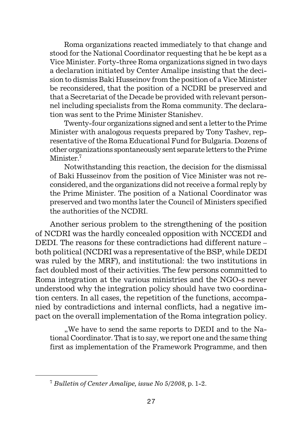Roma organizations reacted immediately to that change and stood for the National Coordinator requesting that he be kept as a Vice Minister. Forty-three Roma organizations signed in two days a declaration initiated by Center Amalipe insisting that the decision to dismiss Baki Husseinov from the position of a Vice Minister be reconsidered, that the position of a NCDRI be preserved and that a Secretariat of the Decade be provided with relevant personnel including specialists from the Roma community. The declaration was sent to the Prime Minister Stanishev.

Twenty-four organizations signed and sent a letter to the Prime Minister with analogous requests prepared by Tony Tashev, representative of the Roma Educational Fund for Bulgaria. Dozens of other organizations spontaneously sent separate letters to the Prime Minister<sup>7</sup>

Notwithstanding this reaction, the decision for the dismissal of Baki Husseinov from the position of Vice Minister was not reconsidered, and the organizations did not receive a formal reply by the Prime Minister. The position of a National Coordinator was preserved and two months later the Council of Ministers specified the authorities of the NCDRI.

Another serious problem to the strengthening of the position of NCDRI was the hardly concealed opposition with NCCEDI and DEDI. The reasons for these contradictions had different nature – both political (NCDRI was a representative of the BSP, while DEDI was ruled by the MRF), and institutional: the two institutions in fact doubled most of their activities. The few persons committed to Roma integration at the various ministries and the NGO-s never understood why the integration policy should have two coordination centers. In all cases, the repetition of the functions, accompanied by contradictions and internal conflicts, had a negative impact on the overall implementation of the Roma integration policy.

"We have to send the same reports to DEDI and to the National Coordinator. That is to say, we report one and the same thing first as implementation of the Framework Programme, and then

<sup>7</sup> *Bulletin of Center Amalipe, issue No 5/2008,* p. 1-2.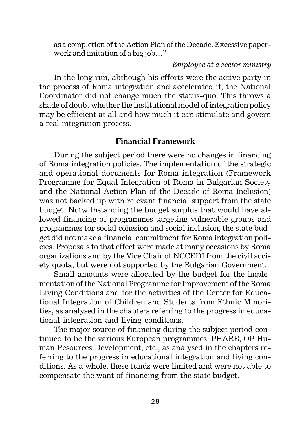as a completion of the Action Plan of the Decade. Excessive paperwork and imitation of a big job…"

#### *Employee at a sector ministry*

In the long run, abthough his efforts were the active party in the process of Roma integration and accelerated it, the National Coordinator did not change much the status-quo. This throws a shade of doubt whether the institutional model of integration policy may be efficient at all and how much it can stimulate and govern a real integration process.

#### **Financial Framework**

During the subject period there were no changes in financing of Roma integration policies. The implementation of the strategic and operational documents for Roma integration (Framework Programme for Equal Integration of Roma in Bulgarian Society and the National Action Plan of the Decade of Roma Inclusion) was not backed up with relevant financial support from the state budget. Notwithstanding the budget surplus that would have allowed financing of programmes targeting vulnerable groups and programmes for social cohesion and social inclusion, the state budget did not make a financial commitment for Roma integration policies. Proposals to that effect were made at many occasions by Roma organizations and by the Vice Chair of NCCEDI from the civil society quota, but were not supported by the Bulgarian Government.

Small amounts were allocated by the budget for the implementation of the National Programme for Improvement of the Roma Living Conditions and for the activities of the Center for Educational Integration of Children and Students from Ethnic Minorities, as analysed in the chapters referring to the progress in educational integration and living conditions.

The major source of financing during the subject period continued to be the various European programmes: PHARE, OP Human Resources Development, etc., as analysed in the chapters referring to the progress in educational integration and living conditions. As a whole, these funds were limited and were not able to compensate the want of financing from the state budget.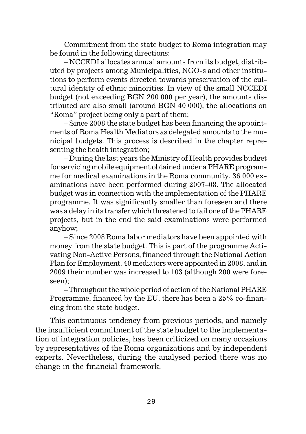Commitment from the state budget to Roma integration may be found in the following directions:

– NCCEDI allocates annual amounts from its budget, distributed by projects among Municipalities, NGO-s and other institutions to perform events directed towards preservation of the cultural identity of ethnic minorities. In view of the small NCCEDI budget (not exceeding BGN 200 000 per year), the amounts distributed are also small (around BGN 40 000), the allocations on "Roma" project being only a part of them;

– Since 2008 the state budget has been financing the appointments of Roma Health Mediators as delegated amounts to the municipal budgets. This process is described in the chapter representing the health integration;

– During the last years the Ministry of Health provides budget for servicing mobile equipment obtained under a PHARE programme for medical examinations in the Roma community. 36 000 examinations have been performed during 2007–08. The allocated budget was in connection with the implementation of the PHARE programme. It was significantly smaller than foreseen and there was a delay in its transfer which threatened to fail one of the PHARE projects, but in the end the said examinations were performed anyhow;

– Since 2008 Roma labor mediators have been appointed with money from the state budget. This is part of the programme Activating Non-Active Persons, financed through the National Action Plan for Employment. 40 mediators were appointed in 2008, and in 2009 their number was increased to 103 (although 200 were foreseen);

– Throughout the whole period of action of the National PHARE Programme, financed by the EU, there has been a 25% co-financing from the state budget.

This continuous tendency from previous periods, and namely the insufficient commitment of the state budget to the implementation of integration policies, has been criticized on many occasions by representatives of the Roma organizations and by independent experts. Nevertheless, during the analysed period there was no change in the financial framework.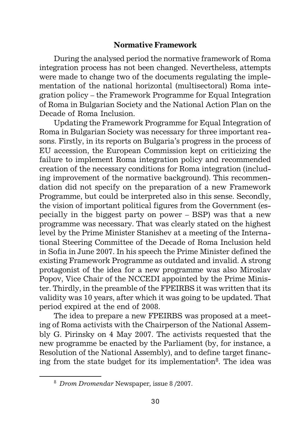#### **Normative Framework**

During the analysed period the normative framework of Roma integration process has not been changed. Nevertheless, attempts were made to change two of the documents regulating the implementation of the national horizontal (multisectoral) Roma integration policy – the Framework Programme for Equal Integration of Roma in Bulgarian Society and the National Action Plan on the Decade of Roma Inclusion.

Updating the Framework Programme for Equal Integration of Roma in Bulgarian Society was necessary for three important reasons. Firstly, in its reports on Bulgaria's progress in the process of EU accession, the European Commission kept on criticizing the failure to implement Roma integration policy and recommended creation of the necessary conditions for Roma integration (including improvement of the normative background). This recommendation did not specify on the preparation of a new Framework Programme, but could be interpreted also in this sense. Secondly, the vision of important political figures from the Government (especially in the biggest party on power – BSP) was that a new programme was necessary. That was clearly stated on the highest level by the Prime Minister Stanishev at a meeting of the International Steering Committee of the Decade of Roma Inclusion held in Sofia in June 2007. In his speech the Prime Minister defined the existing Framework Programme as outdated and invalid. A strong protagonist of the idea for a new programme was also Miroslav Popov, Vice Chair of the NCCEDI appointed by the Prime Minister. Thirdly, in the preamble of the FPEIRBS it was written that its validity was 10 years, after which it was going to be updated. That period expired at the end of 2008.

The idea to prepare a new FPEIRBS was proposed at a meeting of Roma activists with the Chairperson of the National Assembly G. Pirinsky on 4 May 2007. The activists requested that the new programme be enacted by the Parliament (by, for instance, a Resolution of the National Assembly), and to define target financing from the state budget for its implementation<sup>8</sup>. The idea was

<sup>8</sup> *Drom Dromendar* Newspaper*,* issue 8 /2007.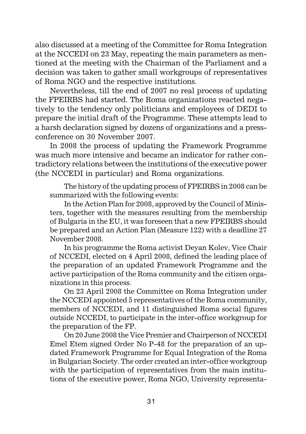also discussed at a meeting of the Committee for Roma Integration at the NCCEDI on 23 May, repeating the main parameters as mentioned at the meeting with the Chairman of the Parliament and a decision was taken to gather small workgroups of representatives of Roma NGO and the respective institutions.

Nevertheless, till the end of 2007 no real process of updating the FPEIRBS had started. The Roma organizations reacted negatively to the tendency only politicians and employees of DEDI to prepare the initial draft of the Programme. These attempts lead to a harsh declaration signed by dozens of organizations and a pressconference on 30 November 2007.

In 2008 the process of updating the Framework Programme was much more intensive and became an indicator for rather contradictory relations between the institutions of the executive power (the NCCEDI in particular) and Roma organizations.

The history of the updating process of FPEIRBS in 2008 can be summarized with the following events:

In the Action Plan for 2008, approved by the Council of Ministers, together with the measures resulting from the membership of Bulgaria in the EU, it was foreseen that a new FPEIRBS should be prepared and an Action Plan (Measure 122) with a deadline 27 November 2008.

In his programme the Roma activist Deyan Kolev, Vice Chair of NCCEDI, elected on 4 April 2008, defined the leading place of the preparation of an updated Framework Programme and the active participation of the Roma community and the citizen organizations in this process.

On 23 April 2008 the Committee on Roma Integration under the NCCEDI appointed 5 representatives of the Roma community, members of NCCEDI, and 11 distinguished Roma social figures outside NCCEDI, to participate in the inter-office workgroup for the preparation of the FP.

On 20 June 2008 the Vice Premier and Chairperson of NCCEDI Emel Etem signed Order No Ð-48 for the preparation of an updated Framework Programme for Equal Integration of the Roma in Bulgarian Society. The order created an inter-office workgroup with the participation of representatives from the main institutions of the executive power, Roma NGO, University representa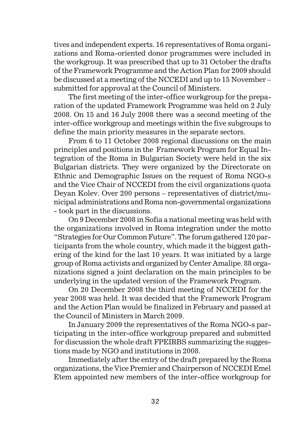tives and independent experts. 16 representatives of Roma organizations and Roma-oriented donor programmes were included in the workgroup. It was prescribed that up to 31 October the drafts of the Framework Programme and the Action Plan for 2009 should be discussed at a meeting of the NCCEDI and up to 15 November – submitted for approval at the Council of Ministers.

The first meeting of the inter-office workgroup for the preparation of the updated Framework Programme was held on 2 July 2008. On 15 and 16 July 2008 there was a second meeting of the inter-office workgroup and meetings within the five subgroups to define the main priority measures in the separate sectors.

From 6 to 11 October 2008 regional discussions on the main principles and positions in the Framework Program for Equal Integration of the Roma in Bulgarian Society were held in the six Bulgarian districts. They were organized by the Directorate on Ethnic and Demographic Issues on the request of Roma NGO-s and the Vice Chair of NCCEDI from the civil organizations quota Deyan Kolev. Over 200 persons – representatives of district/municipal administrations and Roma non-governmental organizations - took part in the discussions.

On 9 December 2008 in Sofia a national meeting was held with the organizations involved in Roma integration under the motto "Strategies for Our Common Future". The forum gathered 120 participants from the whole country, which made it the biggest gathering of the kind for the last 10 years. It was initiated by a large group of Roma activists and organized by Center Amalipe. 88 organizations signed a joint declaration on the main principles to be underlying in the updated version of the Framework Program.

On 20 December 2008 the third meeting of NCCEDI for the year 2008 was held. It was decided that the Framework Program and the Action Plan would be finalized in February and passed at the Council of Ministers in March 2009.

In January 2009 the representatives of the Roma NGO-s participating in the inter-office workgroup prepared and submitted for discussion the whole draft FPEIRBS summarizing the suggestions made by NGO and institutions in 2008.

Immediately after the entry of the draft prepared by the Roma organizations, the Vice Premier and Chairperson of NCCEDI Emel Etem appointed new members of the inter-office workgroup for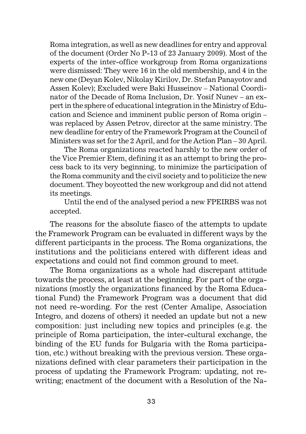Roma integration, as well as new deadlines for entry and approval of the document (Order No Ð-13 of 23 January 2009). Most of the experts of the inter-office workgroup from Roma organizations were dismissed: They were 16 in the old membership, and 4 in the new one (Deyan Kolev, Nikolay Kirilov, Dr. Stefan Panayotov and Assen Kolev); Excluded were Baki Husseinov – National Coordinator of the Decade of Roma Inclusion, Dr. Yosif Nunev – an expert in the sphere of educational integration in the Ministry of Education and Science and imminent public person of Roma origin – was replaced by Assen Petrov, director at the same ministry. The new deadline for entry of the Framework Program at the Council of Ministers was set for the 2 April, and for the Action Plan – 30 April.

The Roma organizations reacted harshly to the new order of the Vice Premier Etem, defining it as an attempt to bring the process back to its very beginning, to minimize the participation of the Roma community and the civil society and to politicize the new document. They boycotted the new workgroup and did not attend its meetings.

Until the end of the analysed period a new FPEIRBS was not accepted.

The reasons for the absolute fiasco of the attempts to update the Framework Program can be evaluated in different ways by the different participants in the process. The Roma organizations, the institutions and the politicians entered with different ideas and expectations and could not find common ground to meet.

The Roma organizations as a whole had discrepant attitude towards the process, at least at the beginning. For part of the organizations (mostly the organizations financed by the Roma Educational Fund) the Framework Program was a document that did not need re-wording. For the rest (Center Amalipe, Association Integro, and dozens of others) it needed an update but not a new composition: just including new topics and principles (e.g. the principle of Roma participation, the inter-cultural exchange, the binding of the EU funds for Bulgaria with the Roma participation, etc.) without breaking with the previous version. These organizations defined with clear parameters their participation in the process of updating the Framework Program: updating, not rewriting; enactment of the document with a Resolution of the Na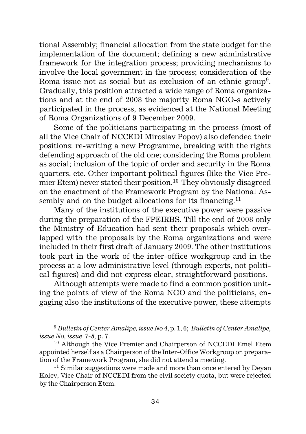tional Assembly; financial allocation from the state budget for the implementation of the document; defining a new administrative framework for the integration process; providing mechanisms to involve the local government in the process; consideration of the Roma issue not as social but as exclusion of an ethnic group<sup>9</sup>. Gradually, this position attracted a wide range of Roma organizations and at the end of 2008 the majority Roma NGO-s actively participated in the process, as evidenced at the National Meeting of Roma Organizations of 9 December 2009.

Some of the politicians participating in the process (most of all the Vice Chair of NCCEDI Miroslav Popov) also defended their positions: re-writing a new Programme, breaking with the rights defending approach of the old one; considering the Roma problem as social; inclusion of the topic of order and security in the Roma quarters, etc. Other important political figures (like the Vice Premier Etem) never stated their position.10 They obviously disagreed on the enactment of the Framework Program by the National Assembly and on the budget allocations for its financing.<sup>11</sup>

Many of the institutions of the executive power were passive during the preparation of the FPEIRBS. Till the end of 2008 only the Ministry of Education had sent their proposals which overlapped with the proposals by the Roma organizations and were included in their first draft of January 2009. The other institutions took part in the work of the inter-office workgroup and in the process at a low administrative level (through experts, not political figures) and did not express clear, straightforward positions.

Although attempts were made to find a common position uniting the points of view of the Roma NGO and the politicians, engaging also the institutions of the executive power, these attempts

<sup>9</sup> *Bulletin of Center Amalipe, issue No 4*, p. 1, 6; *Bulletin of Center Amalipe, issue No, issue 7-8,* p. 7.

<sup>&</sup>lt;sup>10</sup> Although the Vice Premier and Chairperson of NCCEDI Emel Etem appointed herself as a Chairperson of the Inter-Office Workgroup on preparation of the Framework Program, she did not attend a meeting.

 $11$  Similar suggestions were made and more than once entered by Deyan Kolev, Vice Chair of NCCEDI from the civil society quota, but were rejected by the Chairperson Etem.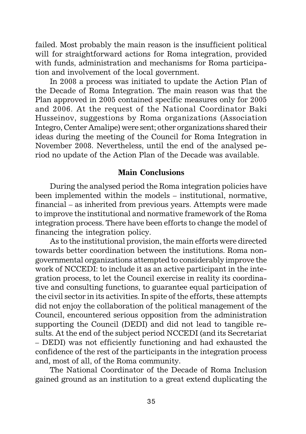failed. Most probably the main reason is the insufficient political will for straightforward actions for Roma integration, provided with funds, administration and mechanisms for Roma participation and involvement of the local government.

In 2008 a process was initiated to update the Action Plan of the Decade of Roma Integration. The main reason was that the Plan approved in 2005 contained specific measures only for 2005 and 2006. At the request of the National Coordinator Baki Husseinov, suggestions by Roma organizations (Association Integro, Center Amalipe) were sent; other organizations shared their ideas during the meeting of the Council for Roma Integration in November 2008. Nevertheless, until the end of the analysed period no update of the Action Plan of the Decade was available.

#### **Main Conclusions**

During the analysed period the Roma integration policies have been implemented within the models – institutional, normative, financial – as inherited from previous years. Attempts were made to improve the institutional and normative framework of the Roma integration process. There have been efforts to change the model of financing the integration policy.

As to the institutional provision, the main efforts were directed towards better coordination between the institutions. Roma nongovernmental organizations attempted to considerably improve the work of NCCEDI: to include it as an active participant in the integration process, to let the Council exercise in reality its coordinative and consulting functions, to guarantee equal participation of the civil sector in its activities. In spite of the efforts, these attempts did not enjoy the collaboration of the political management of the Council, encountered serious opposition from the administration supporting the Council (DEDI) and did not lead to tangible results. At the end of the subject period NCCEDI (and its Secretariat – DEDI) was not efficiently functioning and had exhausted the confidence of the rest of the participants in the integration process and, most of all, of the Roma community.

The National Coordinator of the Decade of Roma Inclusion gained ground as an institution to a great extend duplicating the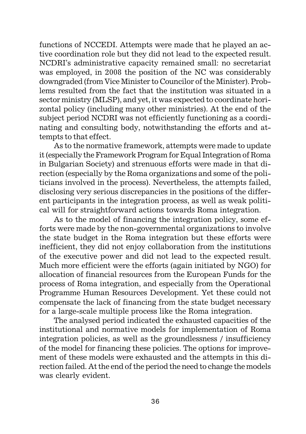functions of NCCEDI. Attempts were made that he played an active coordination role but they did not lead to the expected result. NCDRI's administrative capacity remained small: no secretariat was employed, in 2008 the position of the NC was considerably downgraded (from Vice Minister to Councilor of the Minister). Problems resulted from the fact that the institution was situated in a sector ministry (MLSP), and yet, it was expected to coordinate horizontal policy (including many other ministries). At the end of the subject period NCDRI was not efficiently functioning as a coordinating and consulting body, notwithstanding the efforts and attempts to that effect.

As to the normative framework, attempts were made to update it (especially the Framework Program for Equal Integration of Roma in Bulgarian Society) and strenuous efforts were made in that direction (especially by the Roma organizations and some of the politicians involved in the process). Nevertheless, the attempts failed, disclosing very serious discrepancies in the positions of the different participants in the integration process, as well as weak political will for straightforward actions towards Roma integration.

As to the model of financing the integration policy, some efforts were made by the non-governmental organizations to involve the state budget in the Roma integration but these efforts were inefficient, they did not enjoy collaboration from the institutions of the executive power and did not lead to the expected result. Much more efficient were the efforts (again initiated by NGO) for allocation of financial resources from the European Funds for the process of Roma integration, and especially from the Operational Programme Human Resources Development. Yet these could not compensate the lack of financing from the state budget necessary for a large-scale multiple process like the Roma integration.

The analysed period indicated the exhausted capacities of the institutional and normative models for implementation of Roma integration policies, as well as the groundlessness / insufficiency of the model for financing these policies. The options for improvement of these models were exhausted and the attempts in this direction failed. At the end of the period the need to change the models was clearly evident.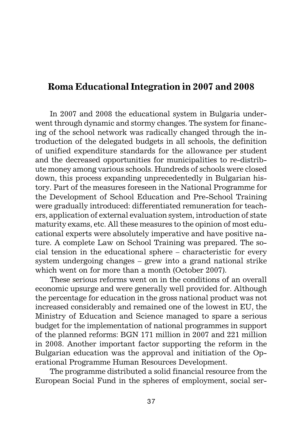## **Roma Educational Integration in 2007 and 2008**

In 2007 and 2008 the educational system in Bulgaria underwent through dynamic and stormy changes. The system for financing of the school network was radically changed through the introduction of the delegated budgets in all schools, the definition of unified expenditure standards for the allowance per student and the decreased opportunities for municipalities to re-distribute money among various schools. Hundreds of schools were closed down, this process expanding unprecedentedly in Bulgarian history. Part of the measures foreseen in the National Programme for the Development of School Education and Pre-School Training were gradually introduced: differentiated remuneration for teachers, application of external evaluation system, introduction of state maturity exams, etc. All these measures to the opinion of most educational experts were absolutely imperative and have positive nature. A complete Law on School Training was prepared. The social tension in the educational sphere – characteristic for every system undergoing changes – grew into a grand national strike which went on for more than a month (October 2007).

These serious reforms went on in the conditions of an overall economic upsurge and were generally well provided for. Although the percentage for education in the gross national product was not increased considerably and remained one of the lowest in EU, the Ministry of Education and Science managed to spare a serious budget for the implementation of national programmes in support of the planned reforms: BGN 171 million in 2007 and 221 million in 2008. Another important factor supporting the reform in the Bulgarian education was the approval and initiation of the Operational Programme Human Resources Development.

The programme distributed a solid financial resource from the European Social Fund in the spheres of employment, social ser-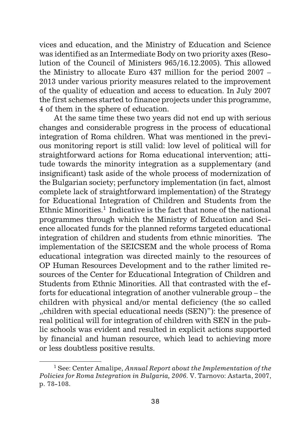vices and education, and the Ministry of Education and Science was identified as an Intermediate Body on two priority axes (Resolution of the Council of Ministers 965/16.12.2005). This allowed the Ministry to allocate Euro 437 million for the period 2007 – 2013 under various priority measures related to the improvement of the quality of education and access to education. In July 2007 the first schemes started to finance projects under this programme, 4 of them in the sphere of education.

At the same time these two years did not end up with serious changes and considerable progress in the process of educational integration of Roma children. What was mentioned in the previous monitoring report is still valid: low level of political will for straightforward actions for Roma educational intervention; attitude towards the minority integration as a supplementary (and insignificant) task aside of the whole process of modernization of the Bulgarian society; perfunctory implementation (in fact, almost complete lack of straightforward implementation) of the Strategy for Educational Integration of Children and Students from the Ethnic Minorities.<sup>1</sup> Indicative is the fact that none of the national programmes through which the Ministry of Education and Science allocated funds for the planned reforms targeted educational integration of children and students from ethnic minorities. The implementation of the SEICSEM and the whole process of Roma educational integration was directed mainly to the resources of OP Human Resources Development and to the rather limited resources of the Center for Educational Integration of Children and Students from Ethnic Minorities. All that contrasted with the efforts for educational integration of another vulnerable group – the children with physical and/or mental deficiency (the so called "children with special educational needs (SEN)"): the presence of real political will for integration of children with SEN in the public schools was evident and resulted in explicit actions supported by financial and human resource, which lead to achieving more or less doubtless positive results.

<sup>1</sup> See: Center Amalipe, *Annual Report about the Implementation of the Policies for Roma Integration in Bulgaria, 2006*. V. Tarnovo: Astarta, 2007, p. 78-108.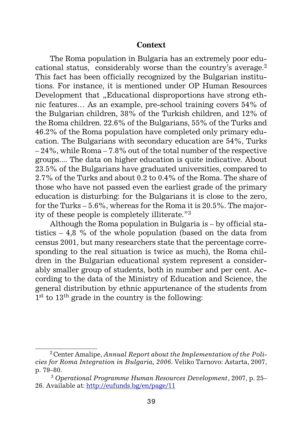#### **Context**

The Roma population in Bulgaria has an extremely poor educational status, considerably worse than the country's average.<sup>2</sup> This fact has been officially recognized by the Bulgarian institutions. For instance, it is mentioned under OP Human Resources Development that "Educational disproportions have strong ethnic features… As an example, pre-school training covers 54% of the Bulgarian children, 38% of the Turkish children, and 12% of the Roma children. 22.6% of the Bulgarians, 55% of the Turks and 46.2% of the Roma population have completed only primary education. The Bulgarians with secondary education are 54%, Turks – 24%, while Roma – 7.8% out of the total number of the respective groups.... The data on higher education is quite indicative. About 23.5% of the Bulgarians have graduated universities, compared to 2.7% of the Turks and about 0.2 to 0.4% of the Roma. The share of those who have not passed even the earliest grade of the primary education is disturbing: for the Bulgarians it is close to the zero, for the Turks – 5.6%, whereas for the Roma it is 20.5%. The majority of these people is completely illiterate."3

Although the Roma population in Bulgaria is – by official statistics – 4,8 % of the whole population (based on the data from census 2001, but many researchers state that the percentage corresponding to the real situation is twice as much), the Roma children in the Bulgarian educational system represent a considerably smaller group of students, both in number and per cent. According to the data of the Ministry of Education and Science, the general distribution by ethnic appurtenance of the students from 1<sup>st</sup> to 13<sup>th</sup> grade in the country is the following:

<sup>2</sup> Center Amalipe, *Annual Report about the Implementation of the Policies for Roma Integration in Bulgaria, 2006*. Veliko Tarnovo: Astarta, 2007, p. 79–80.

<sup>3</sup> *Operational Programme Human Resources Development*, 2007, p. 25– 26. Available at: http://eufunds.bg/en/page/11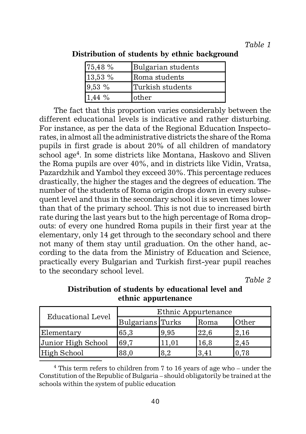| 75,48 %   | Bulgarian students |
|-----------|--------------------|
| 13,53%    | Roma students      |
| 9,53%     | Turkish students   |
| 1.44 $\%$ | other              |

**Distribution of students by ethnic background**

The fact that this proportion varies considerably between the different educational levels is indicative and rather disturbing. For instance, as per the data of the Regional Education Inspectorates, in almost all the administrative districts the share of the Roma pupils in first grade is about 20% of all children of mandatory school age<sup>4</sup>. In some districts like Montana, Haskovo and Sliven the Roma pupils are over 40%, and in districts like Vidin, Vratsa, Pazardzhik and Yambol they exceed 30%. This percentage reduces drastically, the higher the stages and the degrees of education. The number of the students of Roma origin drops down in every subsequent level and thus in the secondary school it is seven times lower than that of the primary school. This is not due to increased birth rate during the last years but to the high percentage of Roma dropouts: of every one hundred Roma pupils in their first year at the elementary, only 14 get through to the secondary school and there not many of them stay until graduation. On the other hand, according to the data from the Ministry of Education and Science, practically every Bulgarian and Turkish first-year pupil reaches to the secondary school level.

*Table 2*

| <b>Educational Level</b> | Ethnic Appurtenance |      |      |       |  |
|--------------------------|---------------------|------|------|-------|--|
|                          | Bulgarians Turks    |      | Roma | Other |  |
| Elementary               | 65.3                | 9.95 | 22,6 | 2.16  |  |
| Junior High School       | 69.7                |      | 16,8 | 2,45  |  |
| High School              | 88.0                | 8.2  | 3.41 | 1.78  |  |

# **Distribution of students by educational level and ethnic appurtenance**

4 This term refers to children from 7 to 16 years of age who – under the Constitution of the Republic of Bulgaria – should obligatorily be trained at the schools within the system of public education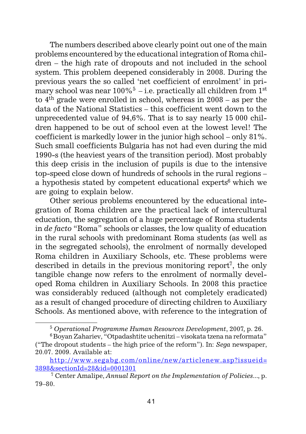The numbers described above clearly point out one of the main problems encountered by the educational integration of Roma children – the high rate of dropouts and not included in the school system. This problem deepened considerably in 2008. During the previous years the so called 'net coefficient of enrolment' in primary school was near  $100\%$ <sup>5</sup> – i.e. practically all children from 1<sup>st</sup> to 4th grade were enrolled in school, whereas in 2008 – as per the data of the National Statistics – this coefficient went down to the unprecedented value of 94,6%. That is to say nearly 15 000 children happened to be out of school even at the lowest level! The coefficient is markedly lower in the junior high school – only 81%. Such small coefficients Bulgaria has not had even during the mid 1990-s (the heaviest years of the transition period). Most probably this deep crisis in the inclusion of pupils is due to the intensive top-speed close down of hundreds of schools in the rural regions – a hypothesis stated by competent educational experts<sup>6</sup> which we are going to explain below.

Other serious problems encountered by the educational integration of Roma children are the practical lack of intercultural education, the segregation of a huge percentage of Roma students in *de facto* "Roma" schools or classes, the low quality of education in the rural schools with predominant Roma students (as well as in the segregated schools), the enrolment of normally developed Roma children in Auxiliary Schools, etc. These problems were described in details in the previous monitoring report<sup>7</sup>, the only tangible change now refers to the enrolment of normally developed Roma children in Auxiliary Schools. In 2008 this practice was considerably reduced (although not completely eradicated) as a result of changed procedure of directing children to Auxiliary Schools. As mentioned above, with reference to the integration of

<sup>5</sup> *Operational Programme Human Resources Development*, 2007*,* p. 26.

 $6$ Boyan Zahariev, "Otpadashtite uchenitzi – visokata tzena na reformata" ("The dropout students – the high price of the reform"). In: *Sega* newspaper, 20.07. 2009. Available at:

http://www.segabg.com/online/new/articlenew.asp?issueid= 3898&sectionId=28&id=0001301

<sup>7</sup> Center Amalipe, *Annual Report on the Implementation of Policies...*, p. 79–80.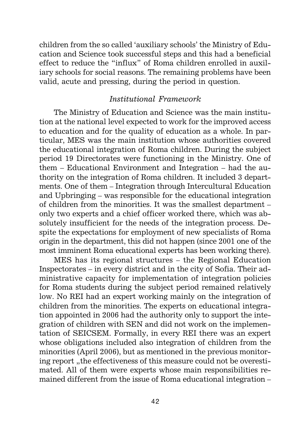children from the so called 'auxiliary schools' the Ministry of Education and Science took successful steps and this had a beneficial effect to reduce the "influx" of Roma children enrolled in auxiliary schools for social reasons. The remaining problems have been valid, acute and pressing, during the period in question.

#### *Institutional Framework*

The Ministry of Education and Science was the main institution at the national level expected to work for the improved access to education and for the quality of education as a whole. In particular, MES was the main institution whose authorities covered the educational integration of Roma children. During the subject period 19 Directorates were functioning in the Ministry. One of them – Educational Environment and Integration – had the authority on the integration of Roma children. It included 3 departments. One of them – Integration through Intercultural Education and Upbringing – was responsible for the educational integration of children from the minorities. It was the smallest department – only two experts and a chief officer worked there, which was absolutely insufficient for the needs of the integration process. Despite the expectations for employment of new specialists of Roma origin in the department, this did not happen (since 2001 one of the most imminent Roma educational experts has been working there).

MES has its regional structures – the Regional Education Inspectorates – in every district and in the city of Sofia. Their administrative capacity for implementation of integration policies for Roma students during the subject period remained relatively low. No REI had an expert working mainly on the integration of children from the minorities. The experts on educational integration appointed in 2006 had the authority only to support the integration of children with SEN and did not work on the implementation of SEICSEM. Formally, in every REI there was an expert whose obligations included also integration of children from the minorities (April 2006), but as mentioned in the previous monitoring report, the effectiveness of this measure could not be overestimated. All of them were experts whose main responsibilities remained different from the issue of Roma educational integration –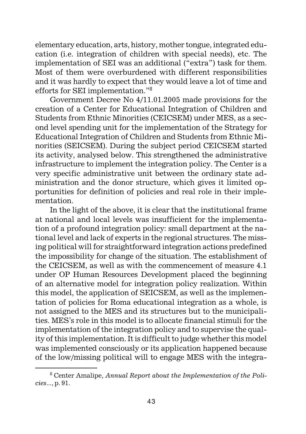elementary education, arts, history, mother tongue, integrated education (i.e. integration of children with special needs), etc. The implementation of SEI was an additional ("extra") task for them. Most of them were overburdened with different responsibilities and it was hardly to expect that they would leave a lot of time and efforts for SEI implementation."8

Government Decree No 4/11.01.2005 made provisions for the creation of a Center for Educational Integration of Children and Students from Ethnic Minorities (CEICSEM) under MES, as a second level spending unit for the implementation of the Strategy for Educational Integration of Children and Students from Ethnic Minorities (SEICSEM). During the subject period CEICSEM started its activity, analysed below. This strengthened the administrative infrastructure to implement the integration policy. The Center is a very specific administrative unit between the ordinary state administration and the donor structure, which gives it limited opportunities for definition of policies and real role in their implementation.

In the light of the above, it is clear that the institutional frame at national and local levels was insufficient for the implementation of a profound integration policy: small department at the national level and lack of experts in the regional structures. The missing political will for straightforward integration actions predefined the impossibility for change of the situation. The establishment of the CEICSEM, as well as with the commencement of measure 4.1 under OP Human Resources Development placed the beginning of an alternative model for integration policy realization. Within this model, the application of SEICSEM, as well as the implementation of policies for Roma educational integration as a whole, is not assigned to the MES and its structures but to the municipalities. MES's role in this model is to allocate financial stimuli for the implementation of the integration policy and to supervise the quality of this implementation. It is difficult to judge whether this model was implemented consciously or its application happened because of the low/missing political will to engage MES with the integra-

<sup>8</sup> Center Amalipe, *Annual Report about the Implementation of the Policies...*, p. 91.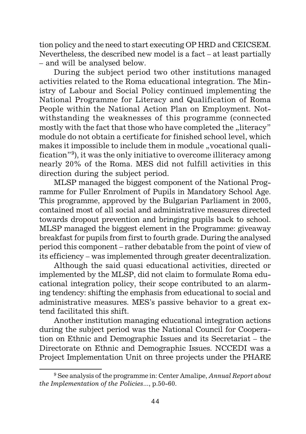tion policy and the need to start executing OP HRD and CEICSEM. Nevertheless, the described new model is a fact – at least partially – and will be analysed below.

During the subject period two other institutions managed activities related to the Roma educational integration. The Ministry of Labour and Social Policy continued implementing the National Programme for Literacy and Qualification of Roma People within the National Action Plan on Employment. Notwithstanding the weaknesses of this programme (connected mostly with the fact that those who have completed the "literacy" module do not obtain a certificate for finished school level, which makes it impossible to include them in module "vocational qualification"9), it was the only initiative to overcome illiteracy among nearly 20% of the Roma. MES did not fulfill activities in this direction during the subject period.

MLSP managed the biggest component of the National Programme for Fuller Enrolment of Pupils in Mandatory School Age. This programme, approved by the Bulgarian Parliament in 2005, contained most of all social and administrative measures directed towards dropout prevention and bringing pupils back to school. MLSP managed the biggest element in the Programme: giveaway breakfast for pupils from first to fourth grade. During the analysed period this component – rather debatable from the point of view of its efficiency – was implemented through greater decentralization.

Although the said quasi educational activities, directed or implemented by the MLSP, did not claim to formulate Roma educational integration policy, their scope contributed to an alarming tendency: shifting the emphasis from educational to social and administrative measures. MES's passive behavior to a great extend facilitated this shift.

Another institution managing educational integration actions during the subject period was the National Council for Cooperation on Ethnic and Demographic Issues and its Secretariat – the Directorate on Ethnic and Demographic Issues. NCCEDI was a Project Implementation Unit on three projects under the PHARE

<sup>9</sup> See analysis of the programme in: Center Amalipe, *Annual Report about the Implementation of the Policies...*, p.50-60.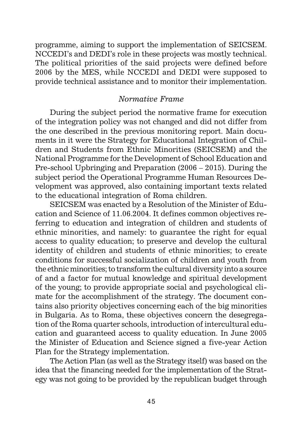programme, aiming to support the implementation of SEICSEM. NCCEDI's and DEDI's role in these projects was mostly technical. The political priorities of the said projects were defined before 2006 by the MES, while NCCEDI and DEDI were supposed to provide technical assistance and to monitor their implementation.

#### *Normative Frame*

During the subject period the normative frame for execution of the integration policy was not changed and did not differ from the one described in the previous monitoring report. Main documents in it were the Strategy for Educational Integration of Children and Students from Ethnic Minorities (SEICSEM) and the National Programme for the Development of School Education and Pre-school Upbringing and Preparation (2006 – 2015). During the subject period the Operational Programme Human Resources Development was approved, also containing important texts related to the educational integration of Roma children.

SEICSEM was enacted by a Resolution of the Minister of Education and Science of 11.06.2004. It defines common objectives referring to education and integration of children and students of ethnic minorities, and namely: to guarantee the right for equal access to quality education; to preserve and develop the cultural identity of children and students of ethnic minorities; to create conditions for successful socialization of children and youth from the ethnic minorities; to transform the cultural diversity into a source of and a factor for mutual knowledge and spiritual development of the young; to provide appropriate social and psychological climate for the accomplishment of the strategy. The document contains also priority objectives concerning each of the big minorities in Bulgaria. As to Roma, these objectives concern the desegregation of the Roma quarter schools, introduction of intercultural education and guaranteed access to quality education. In June 2005 the Minister of Education and Science signed a five-year Action Plan for the Strategy implementation.

The Action Plan (as well as the Strategy itself) was based on the idea that the financing needed for the implementation of the Strategy was not going to be provided by the republican budget through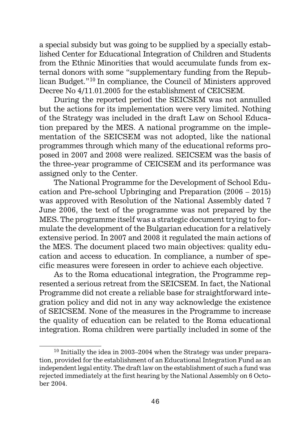a special subsidy but was going to be supplied by a specially established Center for Educational Integration of Children and Students from the Ethnic Minorities that would accumulate funds from external donors with some "supplementary funding from the Republican Budget."10 In compliance, the Council of Ministers approved Decree No 4/11.01.2005 for the establishment of CEICSEM.

During the reported period the SEICSEM was not annulled but the actions for its implementation were very limited. Nothing of the Strategy was included in the draft Law on School Education prepared by the MES. A national programme on the implementation of the SEICSEM was not adopted, like the national programmes through which many of the educational reforms proposed in 2007 and 2008 were realized. SEICSEM was the basis of the three-year programme of CEICSEM and its performance was assigned only to the Center.

The National Programme for the Development of School Education and Pre-school Upbringing and Preparation (2006 – 2015) was approved with Resolution of the National Assembly dated 7 June 2006, the text of the programme was not prepared by the MES. The programme itself was a strategic document trying to formulate the development of the Bulgarian education for a relatively extensive period. In 2007 and 2008 it regulated the main actions of the MES. The document placed two main objectives: quality education and access to education. In compliance, a number of specific measures were foreseen in order to achieve each objective.

As to the Roma educational integration, the Programme represented a serious retreat from the SEICSEM. In fact, the National Programme did not create a reliable base for straightforward integration policy and did not in any way acknowledge the existence of SEICSEM. None of the measures in the Programme to increase the quality of education can be related to the Roma educational integration. Roma children were partially included in some of the

 $10$  Initially the idea in 2003–2004 when the Strategy was under preparation, provided for the establishment of an Educational Integration Fund as an independent legal entity. The draft law on the establishment of such a fund was rejected immediately at the first hearing by the National Assembly on 6 October 2004.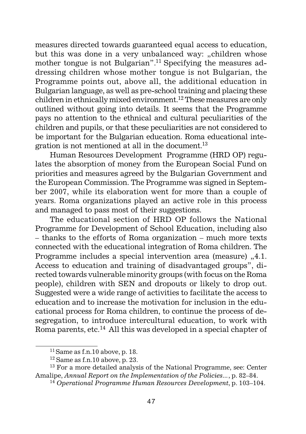measures directed towards guaranteed equal access to education, but this was done in a very unbalanced way: "children whose mother tongue is not Bulgarian".<sup>11</sup> Specifying the measures addressing children whose mother tongue is not Bulgarian, the Programme points out, above all, the additional education in Bulgarian language, as well as pre-school training and placing these children in ethnically mixed environment.12 These measures are only outlined without going into details. It seems that the Programme pays no attention to the ethnical and cultural peculiarities of the children and pupils, or that these peculiarities are not considered to be important for the Bulgarian education. Roma educational integration is not mentioned at all in the document.13

Human Resources Development Programme (HRD OP) regulates the absorption of money from the European Social Fund on priorities and measures agreed by the Bulgarian Government and the European Commission. The Programme was signed in September 2007, while its elaboration went for more than a couple of years. Roma organizations played an active role in this process and managed to pass most of their suggestions.

The educational section of HRD OP follows the National Programme for Development of School Education, including also – thanks to the efforts of Roma organization – much more texts connected with the educational integration of Roma children. The Programme includes a special intervention area (measure) "4.1. Access to education and training of disadvantaged groups", directed towards vulnerable minority groups (with focus on the Roma people), children with SEN and dropouts or likely to drop out. Suggested were a wide range of activities to facilitate the access to education and to increase the motivation for inclusion in the educational process for Roma children, to continue the process of desegregation, to introduce intercultural education, to work with Roma parents, etc.<sup>14</sup> All this was developed in a special chapter of

 $11$  Same as f.n.10 above, p. 18.

 $12$  Same as f.n.10 above, p. 23.

<sup>&</sup>lt;sup>13</sup> For a more detailed analysis of the National Programme, see: Center Amalipe, *Annual Report on the Implementation of the Policies...*, p. 82–84.

<sup>14</sup> *Operational Programme Human Resources Development*, p. 103–104.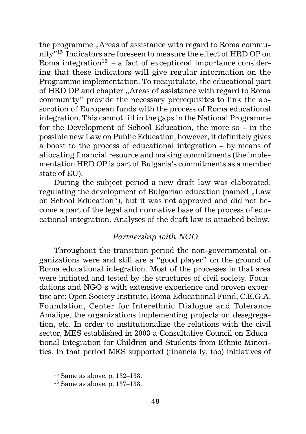the programme "Areas of assistance with regard to Roma community"15 Indicators are foreseen to measure the effect of HRD OP on Roma integration<sup>16</sup> – a fact of exceptional importance considering that these indicators will give regular information on the Programme implementation. To recapitulate, the educational part of HRD OP and chapter "Areas of assistance with regard to Roma community" provide the necessary prerequisites to link the absorption of European funds with the process of Roma educational integration. This cannot fill in the gaps in the National Programme for the Development of School Education, the more so – in the possible new Law on Public Education, however, it definitely gives a boost to the process of educational integration – by means of allocating financial resource and making commitments (the implementation HRD OP is part of Bulgaria's commitments as a member state of EU).

During the subject period a new draft law was elaborated, regulating the development of Bulgarian education (named "Law on School Education"), but it was not approved and did not become a part of the legal and normative base of the process of educational integration. Analyses of the draft law is attached below.

# *Partnership with NGO*

Throughout the transition period the non-governmental organizations were and still are a "good player" on the ground of Roma educational integration. Most of the processes in that area were initiated and tested by the structures of civil society. Foundations and NGO-s with extensive experience and proven expertise are: Open Society Institute, Roma Educational Fund, C.E.G.A. Foundation, Center for Interethnic Dialogue and Tolerance Amalipe, the organizations implementing projects on desegregation, etc. In order to institutionalize the relations with the civil sector, MES established in 2003 a Consultative Council on Educational Integration for Children and Students from Ethnic Minorities. In that period MES supported (financially, too) initiatives of

<sup>15</sup> Same as above, p. 132–138.

 $16$  Same as above, p. 137–138.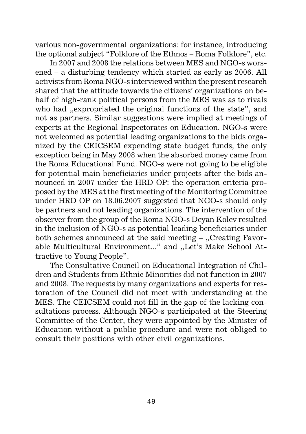various non-governmental organizations: for instance, introducing the optional subject "Folklore of the Ethnos – Roma Folklore", etc.

In 2007 and 2008 the relations between MES and NGO-s worsened – a disturbing tendency which started as early as 2006. All activists from Roma NGO-s interviewed within the present research shared that the attitude towards the citizens' organizations on behalf of high-rank political persons from the MES was as to rivals who had "expropriated the original functions of the state", and not as partners. Similar suggestions were implied at meetings of experts at the Regional Inspectorates on Education. NGO-s were not welcomed as potential leading organizations to the bids organized by the CEICSEM expending state budget funds, the only exception being in May 2008 when the absorbed money came from the Roma Educational Fund. NGO-s were not going to be eligible for potential main beneficiaries under projects after the bids announced in 2007 under the HRD OP: the operation criteria proposed by the MES at the first meeting of the Monitoring Committee under HRD OP on 18.06.2007 suggested that NGO-s should only be partners and not leading organizations. The intervention of the observer from the group of the Roma NGO-s Deyan Kolev resulted in the inclusion of NGO-s as potential leading beneficiaries under both schemes announced at the said meeting  $-$  "Creating Favorable Multicultural Environment..." and "Let's Make School Attractive to Young People".

The Consultative Council on Educational Integration of Children and Students from Ethnic Minorities did not function in 2007 and 2008. The requests by many organizations and experts for restoration of the Council did not meet with understanding at the MES. The CEICSEM could not fill in the gap of the lacking consultations process. Although NGO-s participated at the Steering Committee of the Center, they were appointed by the Minister of Education without a public procedure and were not obliged to consult their positions with other civil organizations.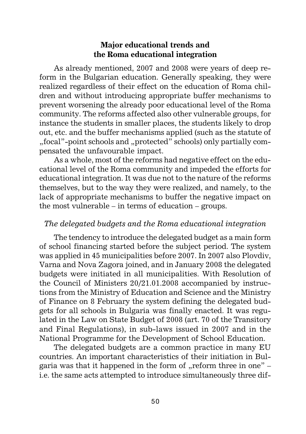# **Major educational trends and the Roma educational integration**

As already mentioned, 2007 and 2008 were years of deep reform in the Bulgarian education. Generally speaking, they were realized regardless of their effect on the education of Roma children and without introducing appropriate buffer mechanisms to prevent worsening the already poor educational level of the Roma community. The reforms affected also other vulnerable groups, for instance the students in smaller places, the students likely to drop out, etc. and the buffer mechanisms applied (such as the statute of "focal"-point schools and "protected" schools) only partially compensated the unfavourable impact.

As a whole, most of the reforms had negative effect on the educational level of the Roma community and impeded the efforts for educational integration. It was due not to the nature of the reforms themselves, but to the way they were realized, and namely, to the lack of appropriate mechanisms to buffer the negative impact on the most vulnerable – in terms of education – groups.

# *The delegated budgets and the Roma educational integration*

The tendency to introduce the delegated budget as a main form of school financing started before the subject period. The system was applied in 45 municipalities before 2007. In 2007 also Plovdiv, Varna and Nova Zagora joined, and in January 2008 the delegated budgets were initiated in all municipalities. With Resolution of the Council of Ministers 20/21.01.2008 accompanied by instructions from the Ministry of Education and Science and the Ministry of Finance on 8 February the system defining the delegated budgets for all schools in Bulgaria was finally enacted. It was regulated in the Law on State Budget of 2008 (art. 70 of the Transitory and Final Regulations), in sub-laws issued in 2007 and in the National Programme for the Development of School Education.

The delegated budgets are a common practice in many EU countries. An important characteristics of their initiation in Bulgaria was that it happened in the form of  $\mu$ -reform three in one" – i.e. the same acts attempted to introduce simultaneously three dif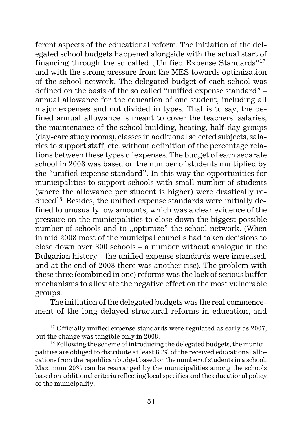ferent aspects of the educational reform. The initiation of the delegated school budgets happened alongside with the actual start of financing through the so called "Unified Expense Standards"<sup>17</sup> and with the strong pressure from the MES towards optimization of the school network. The delegated budget of each school was defined on the basis of the so called "unified expense standard" – annual allowance for the education of one student, including all major expenses and not divided in types. That is to say, the defined annual allowance is meant to cover the teachers' salaries, the maintenance of the school building, heating, half-day groups (day-care study rooms), classes in additional selected subjects, salaries to support staff, etc. without definition of the percentage relations between these types of expenses. The budget of each separate school in 2008 was based on the number of students multiplied by the "unified expense standard". In this way the opportunities for municipalities to support schools with small number of students (where the allowance per student is higher) were drastically reduced<sup>18</sup>. Besides, the unified expense standards were initially defined to unusually low amounts, which was a clear evidence of the pressure on the municipalities to close down the biggest possible number of schools and to "optimize" the school network. (When in mid 2008 most of the municipal councils had taken decisions to close down over 300 schools – a number without analogue in the Bulgarian history – the unified expense standards were increased, and at the end of 2008 there was another rise). The problem with these three (combined in one) reforms was the lack of serious buffer mechanisms to alleviate the negative effect on the most vulnerable groups.

The initiation of the delegated budgets was the real commencement of the long delayed structural reforms in education, and

 $17$  Officially unified expense standards were regulated as early as 2007, but the change was tangible only in 2008.

 $18$  Following the scheme of introducing the delegated budgets, the municipalities are obliged to distribute at least 80% of the received educational allocations from the republican budget based on the number of students in a school. Maximum 20% can be rearranged by the municipalities among the schools based on additional criteria reflecting local specifics and the educational policy of the municipality.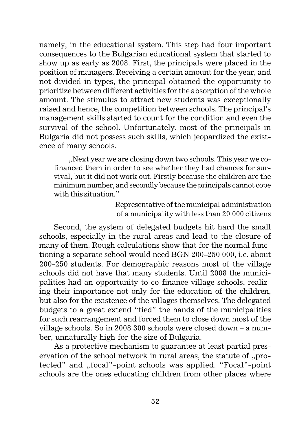namely, in the educational system. This step had four important consequences to the Bulgarian educational system that started to show up as early as 2008. First, the principals were placed in the position of managers. Receiving a certain amount for the year, and not divided in types, the principal obtained the opportunity to prioritize between different activities for the absorption of the whole amount. The stimulus to attract new students was exceptionally raised and hence, the competition between schools. The principal's management skills started to count for the condition and even the survival of the school. Unfortunately, most of the principals in Bulgaria did not possess such skills, which jeopardized the existence of many schools.

... Next year we are closing down two schools. This year we cofinanced them in order to see whether they had chances for survival, but it did not work out. Firstly because the children are the minimum number, and secondly because the principals cannot cope with this situation."

> Representative of the municipal administration of a municipality with less than 20 000 citizens

Second, the system of delegated budgets hit hard the small schools, especially in the rural areas and lead to the closure of many of them. Rough calculations show that for the normal functioning a separate school would need BGN 200–250 000, i.e. about 200-250 students. For demographic reasons most of the village schools did not have that many students. Until 2008 the municipalities had an opportunity to co-finance village schools, realizing their importance not only for the education of the children, but also for the existence of the villages themselves. The delegated budgets to a great extend "tied" the hands of the municipalities for such rearrangement and forced them to close down most of the village schools. So in 2008 300 schools were closed down – a number, unnaturally high for the size of Bulgaria.

As a protective mechanism to guarantee at least partial preservation of the school network in rural areas, the statute of "protected" and "focal"-point schools was applied. "Focal"-point schools are the ones educating children from other places where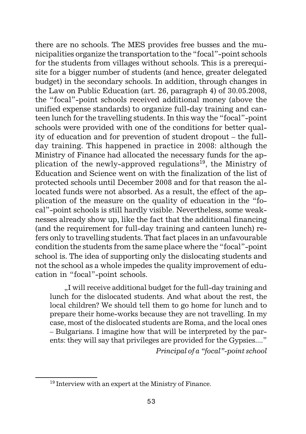there are no schools. The MES provides free busses and the municipalities organize the transportation to the "focal"-point schools for the students from villages without schools. This is a prerequisite for a bigger number of students (and hence, greater delegated budget) in the secondary schools. In addition, through changes in the Law on Public Education (art. 26, paragraph 4) of 30.05.2008, the "focal"-point schools received additional money (above the unified expense standards) to organize full-day training and canteen lunch for the travelling students. In this way the "focal"-point schools were provided with one of the conditions for better quality of education and for prevention of student dropout – the fullday training. This happened in practice in 2008: although the Ministry of Finance had allocated the necessary funds for the application of the newly-approved regulations<sup>19</sup>, the Ministry of Education and Science went on with the finalization of the list of protected schools until December 2008 and for that reason the allocated funds were not absorbed. As a result, the effect of the application of the measure on the quality of education in the "focal"-point schools is still hardly visible. Nevertheless, some weaknesses already show up, like the fact that the additional financing (and the requirement for full-day training and canteen lunch) refers only to travelling students. That fact places in an unfavourable condition the students from the same place where the "focal"-point school is. The idea of supporting only the dislocating students and not the school as a whole impedes the quality improvement of education in "focal"-point schools.

"I will receive additional budget for the full-day training and lunch for the dislocated students. And what about the rest, the local children? We should tell them to go home for lunch and to prepare their home-works because they are not travelling. In my case, most of the dislocated students are Roma, and the local ones – Bulgarians. I imagine how that will be interpreted by the parents: they will say that privileges are provided for the Gypsies...."

*Principal of a "focal"-point school*

<sup>19</sup> Interview with an expert at the Ministry of Finance.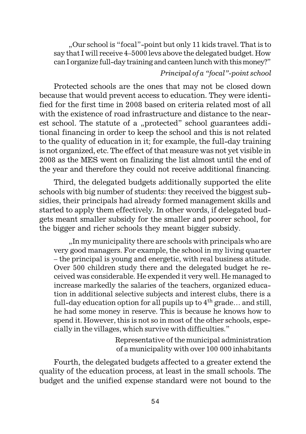"Our school is "focal"-point but only 11 kids travel. That is to say that I will receive 4–5000 levs above the delegated budget. How can I organize full-day training and canteen lunch with this money?"

#### *Principal of a "focal"-point school*

Protected schools are the ones that may not be closed down because that would prevent access to education. They were identified for the first time in 2008 based on criteria related most of all with the existence of road infrastructure and distance to the nearest school. The statute of a "protected" school guarantees additional financing in order to keep the school and this is not related to the quality of education in it; for example, the full-day training is not organized, etc. The effect of that measure was not yet visible in 2008 as the MES went on finalizing the list almost until the end of the year and therefore they could not receive additional financing.

Third, the delegated budgets additionally supported the elite schools with big number of students: they received the biggest subsidies, their principals had already formed management skills and started to apply them effectively. In other words, if delegated budgets meant smaller subsidy for the smaller and poorer school, for the bigger and richer schools they meant bigger subsidy.

..In my municipality there are schools with principals who are very good managers. For example, the school in my living quarter – the principal is young and energetic, with real business atitude. Over 500 children study there and the delegated budget he received was considerable. He expended it very well. He managed to increase markedly the salaries of the teachers, organized education in additional selective subjects and interest clubs, there is a full-day education option for all pupils up to  $4<sup>th</sup>$  grade... and still, he had some money in reserve. This is because he knows how to spend it. However, this is not so in most of the other schools, especially in the villages, which survive with difficulties."

> Representative of the municipal administration of a municipality with over 100 000 inhabitants

Fourth, the delegated budgets affected to a greater extend the quality of the education process, at least in the small schools. The budget and the unified expense standard were not bound to the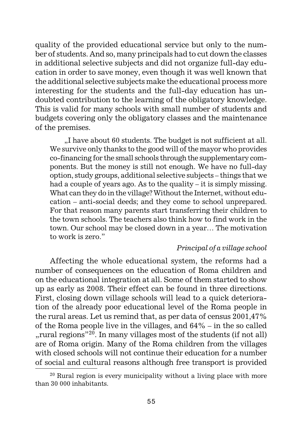quality of the provided educational service but only to the number of students. And so, many principals had to cut down the classes in additional selective subjects and did not organize full-day education in order to save money, even though it was well known that the additional selective subjects make the educational process more interesting for the students and the full-day education has undoubted contribution to the learning of the obligatory knowledge. This is valid for many schools with small number of students and budgets covering only the obligatory classes and the maintenance of the premises.

"I have about 60 students. The budget is not sufficient at all. We survive only thanks to the good will of the mayor who provides co-financing for the small schools through the supplementary components. But the money is still not enough. We have no full-day option, study groups, additional selective subjects – things that we had a couple of years ago. As to the quality – it is simply missing. What can they do in the village? Without the Internet, without education – anti-social deeds; and they come to school unprepared. For that reason many parents start transferring their children to the town schools. The teachers also think how to find work in the town. Our school may be closed down in a year… The motivation to work is zero."

#### *Principal of a village school*

Affecting the whole educational system, the reforms had a number of consequences on the education of Roma children and on the educational integration at all. Some of them started to show up as early as 2008. Their effect can be found in three directions. First, closing down village schools will lead to a quick deterioration of the already poor educational level of the Roma people in the rural areas. Let us remind that, as per data of census 2001,47% of the Roma people live in the villages, and 64% – in the so called "", rural regions"<sup>20</sup>. In many villages most of the students (if not all)" are of Roma origin. Many of the Roma children from the villages with closed schools will not continue their education for a number of social and cultural reasons although free transport is provided

 $20$  Rural region is every municipality without a living place with more than 30 000 inhabitants.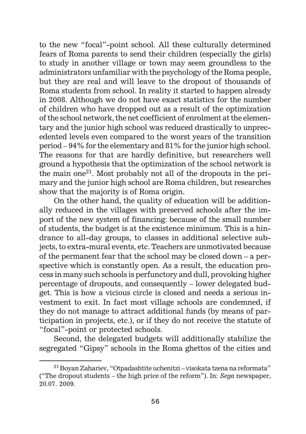to the new "focal"-point school. All these culturally determined fears of Roma parents to send their children (especially the girls) to study in another village or town may seem groundless to the administrators unfamiliar with the psychology of the Roma people, but they are real and will leave to the dropout of thousands of Roma students from school. In reality it started to happen already in 2008. Although we do not have exact statistics for the number of children who have dropped out as a result of the optimization of the school network, the net coefficient of enrolment at the elementary and the junior high school was reduced drastically to unprecedented levels even compared to the worst years of the transition period – 94% for the elementary and 81% for the junior high school. The reasons for that are hardly definitive, but researchers well ground a hypothesis that the optimization of the school network is the main one<sup>21</sup>. Most probably not all of the dropouts in the primary and the junior high school are Roma children, but researches show that the majority is of Roma origin.

On the other hand, the quality of education will be additionally reduced in the villages with preserved schools after the import of the new system of financing: because of the small number of students, the budget is at the existence minimum. This is a hindrance to all-day groups, to classes in additional selective subjects, to extra-mural events, etc. Teachers are unmotivated because of the permanent fear that the school may be closed down – a perspective which is constantly open. As a result, the education process in many such schools is perfunctory and dull, provoking higher percentage of dropouts, and consequently – lower delegated budget. This is how a vicious circle is closed and needs a serious investment to exit. In fact most village schools are condemned, if they do not manage to attract additional funds (by means of participation in projects, etc.), or if they do not receive the statute of "focal"-point or protected schools.

Second, the delegated budgets will additionally stabilize the segregated "Gipsy" schools in the Roma ghettos of the cities and

<sup>21</sup> Boyan Zahariev, "Otpadashtite uchenitzi – visokata tzena na reformata" ("The dropout students – the high price of the reform"). In: *Sega* newspaper, 20.07. 2009.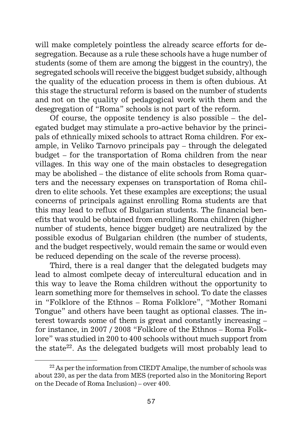will make completely pointless the already scarce efforts for desegregation. Because as a rule these schools have a huge number of students (some of them are among the biggest in the country), the segregated schools will receive the biggest budget subsidy, although the quality of the education process in them is often dubious. At this stage the structural reform is based on the number of students and not on the quality of pedagogical work with them and the desegregation of "Roma" schools is not part of the reform.

Of course, the opposite tendency is also possible – the delegated budget may stimulate a pro-active behavior by the principals of ethnically mixed schools to attract Roma children. For example, in Veliko Tarnovo principals pay – through the delegated budget – for the transportation of Roma children from the near villages. In this way one of the main obstacles to desegregation may be abolished – the distance of elite schools from Roma quarters and the necessary expenses on transportation of Roma children to elite schools. Yet these examples are exceptions; the usual concerns of principals against enrolling Roma students are that this may lead to reflux of Bulgarian students. The financial benefits that would be obtained from enrolling Roma children (higher number of students, hence bigger budget) are neutralized by the possible exodus of Bulgarian children (the number of students, and the budget respectively, would remain the same or would even be reduced depending on the scale of the reverse process).

Third, there is a real danger that the delegated budgets may lead to almost comlpete decay of intercultural education and in this way to leave the Roma children without the opportunity to learn something more for themselves in school. To date the classes in "Folklore of the Ethnos – Roma Folklore", "Mother Romani Tongue" and others have been taught as optional classes. The interest towards some of them is great and constantly increasing – for instance, in 2007 / 2008 "Folklore of the Ethnos – Roma Folklore" was studied in 200 to 400 schools without much support from the state<sup>22</sup>. As the delegated budgets will most probably lead to

<sup>&</sup>lt;sup>22</sup> As per the information from CIEDT Amalipe, the number of schools was about 230, as per the data from MES (reported also in the Monitoring Report on the Decade of Roma Inclusion) – over 400.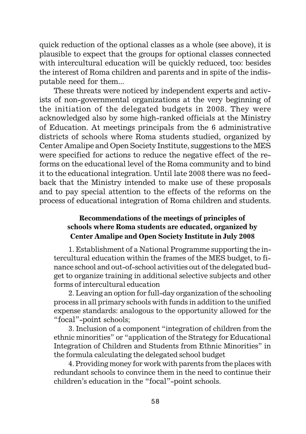quick reduction of the optional classes as a whole (see above), it is plausible to expect that the groups for optional classes connected with intercultural education will be quickly reduced, too: besides the interest of Roma children and parents and in spite of the indisputable need for them...

These threats were noticed by independent experts and activists of non-governmental organizations at the very beginning of the initiation of the delegated budgets in 2008. They were acknowledged also by some high-ranked officials at the Ministry of Education. At meetings principals from the 6 administrative districts of schools where Roma students studied, organized by Center Amalipe and Open Society Institute, suggestions to the MES were specified for actions to reduce the negative effect of the reforms on the educational level of the Roma community and to bind it to the educational integration. Until late 2008 there was no feedback that the Ministry intended to make use of these proposals and to pay special attention to the effects of the reforms on the process of educational integration of Roma children and students.

# **Recommendations of the meetings of principles of schools where Roma students are educated, organized by Center Amalipe and Open Society Institute in July 2008**

1. Establishment of a National Programme supporting the intercultural education within the frames of the MES budget, to finance school and out-of-school activities out of the delegated budget to organize training in additional selective subjects and other forms of intercultural education

2. Leaving an option for full-day organization of the schooling process in all primary schools with funds in addition to the unified expense standards: analogous to the opportunity allowed for the "focal"-point schools;

3. Inclusion of a component "integration of children from the ethnic minorities" or "application of the Strategy for Educational Integration of Children and Students from Ethnic Minorities" in the formula calculating the delegated school budget

4. Providing money for work with parents from the places with redundant schools to convince them in the need to continue their children's education in the "focal"-point schools.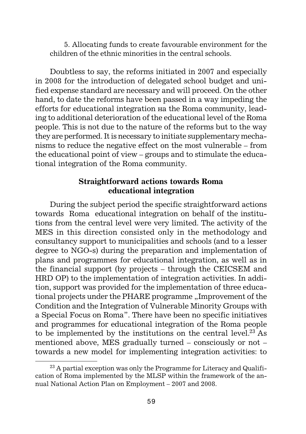5. Allocating funds to create favourable environment for the children of the ethnic minorities in the central schools.

Doubtless to say, the reforms initiated in 2007 and especially in 2008 for the introduction of delegated school budget and unified expense standard are necessary and will proceed. On the other hand, to date the reforms have been passed in a way impeding the efforts for educational integration  $a$  the Roma community, leading to additional deterioration of the educational level of the Roma people. This is not due to the nature of the reforms but to the way they are performed. It is necessary to initiate supplementary mechanisms to reduce the negative effect on the most vulnerable – from the educational point of view – groups and to stimulate the educational integration of the Roma community.

# **Straightforward actions towards Roma educational integration**

During the subject period the specific straightforward actions towards Roma educational integration on behalf of the institutions from the central level were very limited. The activity of the MES in this direction consisted only in the methodology and consultancy support to municipalities and schools (and to a lesser degree to NGO-s) during the preparation and implementation of plans and programmes for educational integration, as well as in the financial support (by projects – through the CEICSEM and HRD OP) to the implementation of integration activities. In addition, support was provided for the implementation of three educational projects under the PHARE programme "Improvement of the Condition and the Integration of Vulnerable Minority Groups with a Special Focus on Roma". There have been no specific initiatives and programmes for educational integration of the Roma people to be implemented by the institutions on the central level.23 As mentioned above, MES gradually turned – consciously or not – towards a new model for implementing integration activities: to

 $^{23}$  A partial exception was only the Programme for Literacy and Qualification of Roma implemented by the MLSP within the framework of the annual National Action Plan on Employment – 2007 and 2008.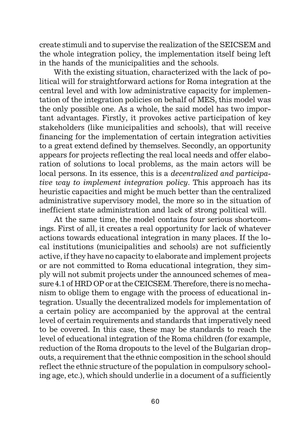create stimuli and to supervise the realization of the SEICSEM and the whole integration policy, the implementation itself being left in the hands of the municipalities and the schools.

With the existing situation, characterized with the lack of political will for straightforward actions for Roma integration at the central level and with low administrative capacity for implementation of the integration policies on behalf of MES, this model was the only possible one. As a whole, the said model has two important advantages. Firstly, it provokes active participation of key stakeholders (like municipalities and schools), that will receive financing for the implementation of certain integration activities to a great extend defined by themselves. Secondly, an opportunity appears for projects reflecting the real local needs and offer elaboration of solutions to local problems, as the main actors will be local persons. In its essence, this is a *decentralized and participative way to implement integration policy*. This approach has its heuristic capacities and might be much better than the centralized administrative supervisory model, the more so in the situation of inefficient state administration and lack of strong political will.

At the same time, the model contains four serious shortcomings. First of all, it creates a real opportunity for lack of whatever actions towards educational integration in many places. If the local institutions (municipalities and schools) are not sufficiently active, if they have no capacity to elaborate and implement projects or are not committed to Roma educational integration, they simply will not submit projects under the announced schemes of measure 4.1 of HRD OP or at the CEICSEM. Therefore, there is no mechanism to oblige them to engage with the process of educational integration. Usually the decentralized models for implementation of a certain policy are accompanied by the approval at the central level of certain requirements and standards that imperatively need to be covered. In this case, these may be standards to reach the level of educational integration of the Roma children (for example, reduction of the Roma dropouts to the level of the Bulgarian dropouts, a requirement that the ethnic composition in the school should reflect the ethnic structure of the population in compulsory schooling age, etc.), which should underlie in a document of a sufficiently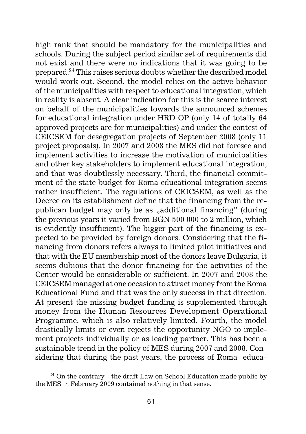high rank that should be mandatory for the municipalities and schools. During the subject period similar set of requirements did not exist and there were no indications that it was going to be prepared.24 This raises serious doubts whether the described model would work out. Second, the model relies on the active behavior of the municipalities with respect to educational integration, which in reality is absent. A clear indication for this is the scarce interest on behalf of the municipalities towards the announced schemes for educational integration under HRD OP (only 14 of totally 64 approved projects are for municipalities) and under the contest of CEICSEM for desegregation projects of September 2008 (only 11 project proposals). In 2007 and 2008 the MES did not foresee and implement activities to increase the motivation of municipalities and other key stakeholders to implement educational integration, and that was doubtlessly necessary. Third, the financial commitment of the state budget for Roma educational integration seems rather insufficient. The regulations of CEICSEM, as well as the Decree on its establishment define that the financing from the republican budget may only be as "additional financing" (during the previous years it varied from BGN 500 000 to 2 million, which is evidently insufficient). The bigger part of the financing is expected to be provided by foreign donors. Considering that the financing from donors refers always to limited pilot initiatives and that with the EU membership most of the donors leave Bulgaria, it seems dubious that the donor financing for the activities of the Center would be considerable or sufficient. In 2007 and 2008 the CEICSEM managed at one occasion to attract money from the Roma Educational Fund and that was the only success in that direction. At present the missing budget funding is supplemented through money from the Human Resources Development Operational Programme, which is also relatively limited. Fourth, the model drastically limits or even rejects the opportunity NGO to implement projects individually or as leading partner. This has been a sustainable trend in the policy of MES during 2007 and 2008. Considering that during the past years, the process of Roma educa-

 $24$  On the contrary – the draft Law on School Education made public by the MES in February 2009 contained nothing in that sense.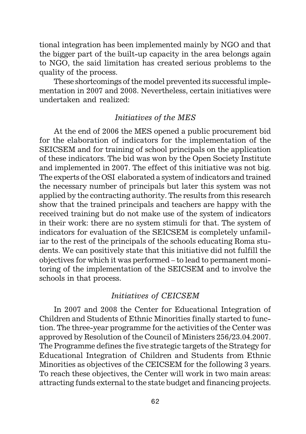tional integration has been implemented mainly by NGO and that the bigger part of the built-up capacity in the area belongs again to NGO, the said limitation has created serious problems to the quality of the process.

These shortcomings of the model prevented its successful implementation in 2007 and 2008. Nevertheless, certain initiatives were undertaken and realized:

### *Initiatives of the MES*

At the end of 2006 the MES opened a public procurement bid for the elaboration of indicators for the implementation of the SEICSEM and for training of school principals on the application of these indicators. The bid was won by the Open Society Institute and implemented in 2007. The effect of this initiative was not big. The experts of the OSI elaborated a system of indicators and trained the necessary number of principals but later this system was not applied by the contracting authority. The results from this research show that the trained principals and teachers are happy with the received training but do not make use of the system of indicators in their work: there are no system stimuli for that. The system of indicators for evaluation of the SEICSEM is completely unfamiliar to the rest of the principals of the schools educating Roma students. We can positively state that this initiative did not fulfill the objectives for which it was performed – to lead to permanent monitoring of the implementation of the SEICSEM and to involve the schools in that process.

# *Initiatives of CEICSEM*

In 2007 and 2008 the Center for Educational Integration of Children and Students of Ethnic Minorities finally started to function. The three-year programme for the activities of the Center was approved by Resolution of the Council of Ministers 256/23.04.2007. The Programme defines the five strategic targets of the Strategy for Educational Integration of Children and Students from Ethnic Minorities as objectives of the CEICSEM for the following 3 years. To reach these objectives, the Center will work in two main areas: attracting funds external to the state budget and financing projects.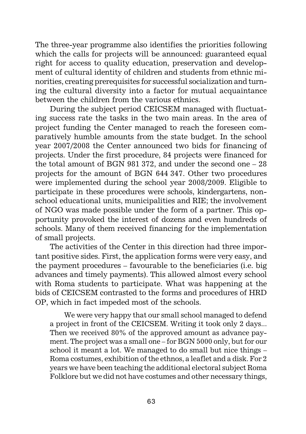The three-year programme also identifies the priorities following which the calls for projects will be announced: guaranteed equal right for access to quality education, preservation and development of cultural identity of children and students from ethnic minorities, creating prerequisites for successful socialization and turning the cultural diversity into a factor for mutual acquaintance between the children from the various ethnics.

During the subject period CEICSEM managed with fluctuating success rate the tasks in the two main areas. In the area of project funding the Center managed to reach the foreseen comparatively humble amounts from the state budget. In the school year 2007/2008 the Center announced two bids for financing of projects. Under the first procedure, 84 projects were financed for the total amount of BGN 981 372, and under the second one – 28 projects for the amount of BGN 644 347. Other two procedures were implemented during the school year 2008/2009. Eligible to participate in these procedures were schools, kindergartens, nonschool educational units, municipalities and RIE; the involvement of NGO was made possible under the form of a partner. This opportunity provoked the interest of dozens and even hundreds of schools. Many of them received financing for the implementation of small projects.

The activities of the Center in this direction had three important positive sides. First, the application forms were very easy, and the payment procedures – favourable to the beneficiaries (i.e. big advances and timely payments). This allowed almost every school with Roma students to participate. What was happening at the bids of CEICSEM contrasted to the forms and procedures of HRD OP, which in fact impeded most of the schools.

We were very happy that our small school managed to defend a project in front of the CEICSEM. Writing it took only 2 days... Then we received 80% of the approved amount as advance payment. The project was a small one – for BGN 5000 only, but for our school it meant a lot. We managed to do small but nice things – Roma costumes, exhibition of the ethnos, a leaflet and a disk. For 2 years we have been teaching the additional electoral subject Roma Folklore but we did not have costumes and other necessary things,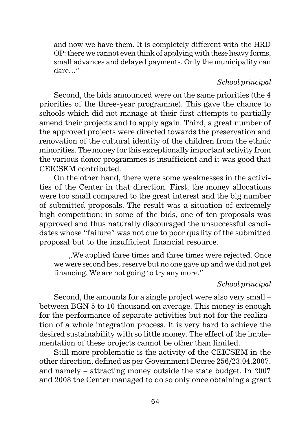and now we have them. It is completely different with the HRD OP: there we cannot even think of applying with these heavy forms, small advances and delayed payments. Only the municipality can dare…"

#### *School principal*

Second, the bids announced were on the same priorities (the 4 priorities of the three-year programme). This gave the chance to schools which did not manage at their first attempts to partially amend their projects and to apply again. Third, a great number of the approved projects were directed towards the preservation and renovation of the cultural identity of the children from the ethnic minorities. The money for this exceptionally important activity from the various donor programmes is insufficient and it was good that CEICSEM contributed.

On the other hand, there were some weaknesses in the activities of the Center in that direction. First, the money allocations were too small compared to the great interest and the big number of submitted proposals. The result was a situation of extremely high competition: in some of the bids, one of ten proposals was approved and thus naturally discouraged the unsuccessful candidates whose "failure" was not due to poor quality of the submitted proposal but to the insufficient financial resource.

", We applied three times and three times were rejected. Once we were second best reserve but no one gave up and we did not get financing. We are not going to try any more."

#### *School principal*

Second, the amounts for a single project were also very small – between BGN 5 to 10 thousand on average. This money is enough for the performance of separate activities but not for the realization of a whole integration process. It is very hard to achieve the desired sustainability with so little money. The effect of the implementation of these projects cannot be other than limited.

Still more problematic is the activity of the CEICSEM in the other direction, defined as per Government Decree 256/23.04.2007, and namely – attracting money outside the state budget. In 2007 and 2008 the Center managed to do so only once obtaining a grant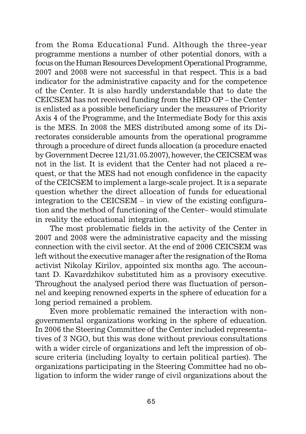from the Roma Educational Fund. Although the three-year programme mentions a number of other potential donors, with a focus on the Human Resources Development Operational Programme, 2007 and 2008 were not successful in that respect. This is a bad indicator for the administrative capacity and for the competence of the Center. It is also hardly understandable that to date the CEICSEM has not received funding from the HRD OP – the Center is enlisted as a possible beneficiary under the measures of Priority Axis 4 of the Programme, and the Intermediate Body for this axis is the MES. In 2008 the MES distributed among some of its Directorates considerable amounts from the operational programme through a procedure of direct funds allocation (a procedure enacted by Government Decree 121/31.05.2007), however, the CEICSEM was not in the list. It is evident that the Center had not placed a request, or that the MES had not enough confidence in the capacity of the CEICSEM to implement a large-scale project. It is a separate question whether the direct allocation of funds for educational integration to the CEICSEM – in view of the existing configuration and the method of functioning of the Center– would stimulate in reality the educational integration.

The most problematic fields in the activity of the Center in 2007 and 2008 were the administrative capacity and the missing connection with the civil sector. At the end of 2006 CEICSEM was left without the executive manager after the resignation of the Roma activist Nikolay Kirilov, appointed six months ago. The accountant D. Kavardzhikov substituted him as a provisory executive. Throughout the analysed period there was fluctuation of personnel and keeping renowned experts in the sphere of education for a long period remained a problem.

Even more problematic remained the interaction with nongovernmental organizations working in the sphere of education. In 2006 the Steering Committee of the Center included representatives of 3 NGO, but this was done without previous consultations with a wider circle of organizations and left the impression of obscure criteria (including loyalty to certain political parties). The organizations participating in the Steering Committee had no obligation to inform the wider range of civil organizations about the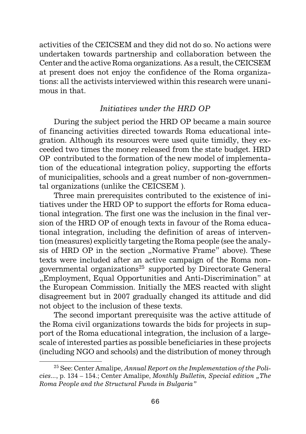activities of the CEICSEM and they did not do so. No actions were undertaken towards partnership and collaboration between the Center and the active Roma organizations. As a result, the CEICSEM at present does not enjoy the confidence of the Roma organizations: all the activists interviewed within this research were unanimous in that.

# *Initiatives under the HRD OP*

During the subject period the HRD OP became a main source of financing activities directed towards Roma educational integration. Although its resources were used quite timidly, they exceeded two times the money released from the state budget. HRD OP contributed to the formation of the new model of implementation of the educational integration policy, supporting the efforts of municipalities, schools and a great number of non-governmental organizations (unlike the CEICSEM ).

Three main prerequisites contributed to the existence of initiatives under the HRD OP to support the efforts for Roma educational integration. The first one was the inclusion in the final version of the HRD OP of enough texts in favour of the Roma educational integration, including the definition of areas of intervention (measures) explicitly targeting the Roma people (see the analysis of HRD OP in the section "Normative Frame" above). These texts were included after an active campaign of the Roma nongovernmental organizations<sup>25</sup> supported by Directorate General ".Employment, Equal Opportunities and Anti-Discrimination" at the European Commission. Initially the MES reacted with slight disagreement but in 2007 gradually changed its attitude and did not object to the inclusion of these texts.

The second important prerequisite was the active attitude of the Roma civil organizations towards the bids for projects in support of the Roma educational integration, the inclusion of a largescale of interested parties as possible beneficiaries in these projects (including NGO and schools) and the distribution of money through

<sup>25</sup> See: Center Amalipe, *Annual Report on the Implementation of the Policies...*, p. 134 – 154.; Center Amalipe, *Monthly Bulletin, Special edition "The Roma People and the Structural Funds in Bulgaria"*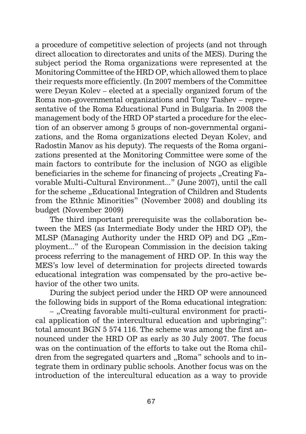a procedure of competitive selection of projects (and not through direct allocation to directorates and units of the MES). During the subject period the Roma organizations were represented at the Monitoring Committee of the HRD OP, which allowed them to place their requests more efficiently. (In 2007 members of the Committee were Deyan Kolev – elected at a specially organized forum of the Roma non-governmental organizations and Tony Tashev – representative of the Roma Educational Fund in Bulgaria. In 2008 the management body of the HRD OP started a procedure for the election of an observer among 5 groups of non-governmental organizations, and the Roma organizations elected Deyan Kolev, and Radostin Manov as his deputy). The requests of the Roma organizations presented at the Monitoring Committee were some of the main factors to contribute for the inclusion of NGO as eligible beneficiaries in the scheme for financing of projects "Creating Favorable Multi-Cultural Environment..." (June 2007), until the call for the scheme "Educational Integration of Children and Students from the Ethnic Minorities" (November 2008) and doubling its budget (November 2009)

The third important prerequisite was the collaboration between the MES (as Intermediate Body under the HRD OP), the MLSP (Managing Authority under the HRD OP) and DG "Employment..." of the European Commission in the decision taking process referring to the management of HRD OP. In this way the MES's low level of determination for projects directed towards educational integration was compensated by the pro-active behavior of the other two units.

During the subject period under the HRD OP were announced the following bids in support of the Roma educational integration:

– ...Creating favorable multi-cultural environment for practical application of the intercultural education and upbringing": total amount BGN 5 574 116. The scheme was among the first announced under the HRD OP as early as 30 July 2007. The focus was on the continuation of the efforts to take out the Roma children from the segregated quarters and "Roma" schools and to integrate them in ordinary public schools. Another focus was on the introduction of the intercultural education as a way to provide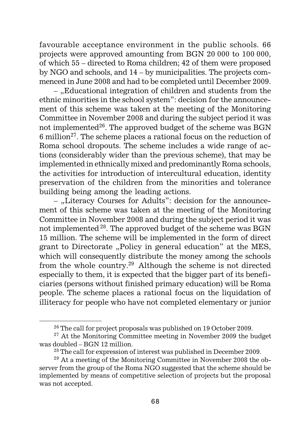favourable acceptance environment in the public schools. 66 projects were approved amounting from BGN 20 000 to 100 000, of which 55 – directed to Roma children; 42 of them were proposed by NGO and schools, and 14 – by municipalities. The projects commenced in June 2008 and had to be completed until December 2009.

– "Educational integration of children and students from the ethnic minorities in the school system": decision for the announcement of this scheme was taken at the meeting of the Monitoring Committee in November 2008 and during the subject period it was not implemented $^{26}$ . The approved budget of the scheme was BGN 6 million27. The scheme places a rational focus on the reduction of Roma school dropouts. The scheme includes a wide range of actions (considerably wider than the previous scheme), that may be implemented in ethnically mixed and predominantly Roma schools, the activities for introduction of intercultural education, identity preservation of the children from the minorities and tolerance building being among the leading actions.

– "Literacy Courses for Adults": decision for the announcement of this scheme was taken at the meeting of the Monitoring Committee in November 2008 and during the subject period it was not implemented 28. The approved budget of the scheme was BGN 15 million. The scheme will be implemented in the form of direct grant to Directorate ..Policy in general education" at the MES, which will consequently distribute the money among the schools from the whole country.29 Although the scheme is not directed especially to them, it is expected that the bigger part of its beneficiaries (persons without finished primary education) will be Roma people. The scheme places a rational focus on the liquidation of illiteracy for people who have not completed elementary or junior

 $26$  The call for project proposals was published on 19 October 2009.

<sup>&</sup>lt;sup>27</sup> At the Monitoring Committee meeting in November 2009 the budget was doubled – BGN 12 million.

 $28$  The call for expression of interest was published in December 2009.

 $29$  At a meeting of the Monitoring Committee in November 2008 the observer from the group of the Roma NGO suggested that the scheme should be implemented by means of competitive selection of projects but the proposal was not accepted.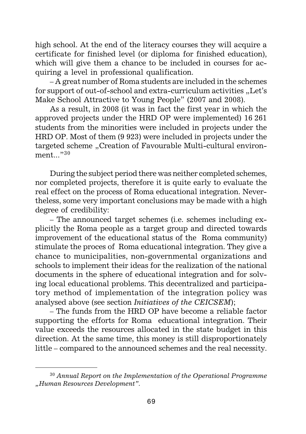high school. At the end of the literacy courses they will acquire a certificate for finished level (or diploma for finished education), which will give them a chance to be included in courses for acquiring a level in professional qualification.

– A great number of Roma students are included in the schemes for support of out-of-school and extra-curriculum activities "Let's Make School Attractive to Young People" (2007 and 2008).

As a result, in 2008 (it was in fact the first year in which the approved projects under the HRD OP were implemented) 16 261 students from the minorities were included in projects under the HRD OP. Most of them (9 923) were included in projects under the targeted scheme "Creation of Favourable Multi-cultural environment. $"30$ 

During the subject period there was neither completed schemes, nor completed projects, therefore it is quite early to evaluate the real effect on the process of Roma educational integration. Nevertheless, some very important conclusions may be made with a high degree of credibility:

– The announced target schemes (i.e. schemes including explicitly the Roma people as a target group and directed towards improvement of the educational status of the Roma community) stimulate the proces of Roma educational integration. They give a chance to municipalities, non-governmental organizations and schools to implement their ideas for the realization of the national documents in the sphere of educational integration and for solving local educational problems. This decentralized and participatory method of implementation of the integration policy was analysed above (see section *Initiatives of the CEICSEM*);

– The funds from the HRD OP have become a reliable factor supporting the efforts for Roma educational integration. Their value exceeds the resources allocated in the state budget in this direction. At the same time, this money is still disproportionately little – compared to the announced schemes and the real necessity.

<sup>30</sup> *Annual Report on the Implementation of the Operational Programme "Human Resources Development".*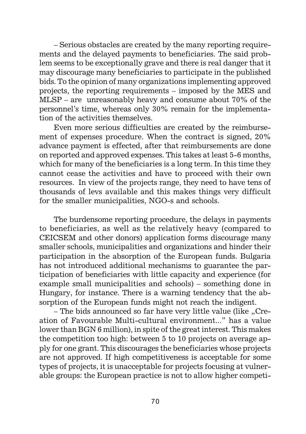– Serious obstacles are created by the many reporting requirements and the delayed payments to beneficiaries. The said problem seems to be exceptionally grave and there is real danger that it may discourage many beneficiaries to participate in the published bids. To the opinion of many organizations implementing approved projects, the reporting requirements – imposed by the MES and MLSP – are unreasonably heavy and consume about 70% of the personnel's time, whereas only 30% remain for the implementation of the activities themselves.

Even more serious difficulties are created by the reimbursement of expenses procedure. When the contract is signed, 20% advance payment is effected, after that reimbursements are done on reported and approved expenses. This takes at least 5-6 months, which for many of the beneficiaries is a long term. In this time they cannot cease the activities and have to proceed with their own resources. In view of the projects range, they need to have tens of thousands of levs available and this makes things very difficult for the smaller municipalities, NGO-s and schools.

The burdensome reporting procedure, the delays in payments to beneficiaries, as well as the relatively heavy (compared to CEICSEM and other donors) application forms discourage many smaller schools, municipalities and organizations and hinder their participation in the absorption of the European funds. Bulgaria has not introduced additional mechanisms to guarantee the participation of beneficiaries with little capacity and experience (for example small municipalities and schools) – something done in Hungary, for instance. There is a warning tendency that the absorption of the European funds might not reach the indigent.

– The bids announced so far have very little value (like "Creation of Favourable Multi-cultural environment..." has a value lower than BGN 6 million), in spite of the great interest. This makes the competition too high: between 5 to 10 projects on average apply for one grant. This discourages the beneficiaries whose projects are not approved. If high competitiveness is acceptable for some types of projects, it is unacceptable for projects focusing at vulnerable groups: the European practice is not to allow higher competi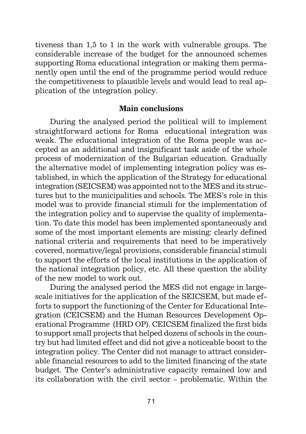tiveness than 1,5 to 1 in the work with vulnerable groups. The considerable increase of the budget for the announced schemes supporting Roma educational integration or making them permanently open until the end of the programme period would reduce the competitiveness to plausible levels and would lead to real application of the integration policy.

### **Main conclusions**

During the analysed period the political will to implement straightforward actions for Roma educational integration was weak. The educational integration of the Roma people was accepted as an additional and insignificant task aside of the whole process of modernization of the Bulgarian education. Gradually the alternative model of implementing integration policy was established, in which the application of the Strategy for educational integration (SEICSEM) was appointed not to the MES and its structures but to the municipalities and schools. The MES's role in this model was to provide financial stimuli for the implementation of the integration policy and to supervise the quality of implementation. To date this model has been implemented spontaneously and some of the most important elements are missing: clearly defined national criteria and requirements that need to be imperatively covered, normative/legal provisions, considerable financial stimuli to support the efforts of the local institutions in the application of the national integration policy, etc. All these question the ability of the new model to work out.

During the analysed period the MES did not engage in largescale initiatives for the application of the SEICSEM, but made efforts to support the functioning of the Center for Educational Integration (CEICSEM) and the Human Resources Development Operational Programme (HRD OP). CEICSEM finalized the first bids to support small projects that helped dozens of schools in the country but had limited effect and did not give a noticeable boost to the integration policy. The Center did not manage to attract considerable financial resources to add to the limited financing of the state budget. The Center's administrative capacity remained low and its collaboration with the civil sector – problematic. Within the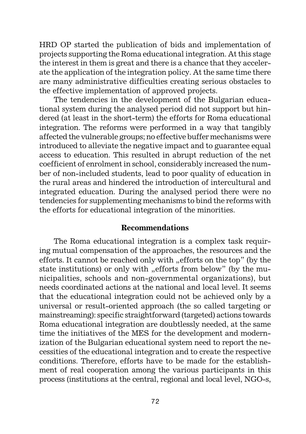HRD OP started the publication of bids and implementation of projects supporting the Roma educational integration. At this stage the interest in them is great and there is a chance that they accelerate the application of the integration policy. At the same time there are many administrative difficulties creating serious obstacles to the effective implementation of approved projects.

The tendencies in the development of the Bulgarian educational system during the analysed period did not support but hindered (at least in the short-term) the efforts for Roma educational integration. The reforms were performed in a way that tangibly affected the vulnerable groups; no effective buffer mechanisms were introduced to alleviate the negative impact and to guarantee equal access to education. This resulted in abrupt reduction of the net coefficient of enrolment in school, considerably increased the number of non-included students, lead to poor quality of education in the rural areas and hindered the introduction of intercultural and integrated education. During the analysed period there were no tendencies for supplementing mechanisms to bind the reforms with the efforts for educational integration of the minorities.

#### **Recommendations**

The Roma educational integration is a complex task requiring mutual compensation of the approaches, the resources and the efforts. It cannot be reached only with "efforts on the top" (by the state institutions) or only with "efforts from below" (by the municipalities, schools and non-governmental organizations), but needs coordinated actions at the national and local level. It seems that the educational integration could not be achieved only by a universal or result-oriented approach (the so called targeting or mainstreaming): specific straightforward (targeted) actions towards Roma educational integration are doubtlessly needed, at the same time the initiatives of the MES for the development and modernization of the Bulgarian educational system need to report the necessities of the educational integration and to create the respective conditions. Therefore, efforts have to be made for the establishment of real cooperation among the various participants in this process (institutions at the central, regional and local level, NGO-s,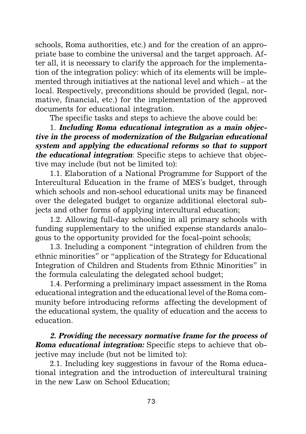schools, Roma authorities, etc.) and for the creation of an appropriate base to combine the universal and the target approach. After all, it is necessary to clarify the approach for the implementation of the integration policy: which of its elements will be implemented through initiatives at the national level and which – at the local. Respectively, preconditions should be provided (legal, normative, financial, etc.) for the implementation of the approved documents for educational integration.

The specific tasks and steps to achieve the above could be:

1. **Including Roma educational integration as a main objective in the process of modernization of the Bulgarian educational system and applying the educational reforms so that to support the educational integration**: Specific steps to achieve that objective may include (but not be limited to):

1.1. Elaboration of a National Programme for Support of the Intercultural Education in the frame of MES's budget, through which schools and non-school educational units may be financed over the delegated budget to organize additional electoral subjects and other forms of applying intercultural education;

1.2. Allowing full-day schooling in all primary schools with funding supplementary to the unified expense standards analogous to the opportunity provided for the focal-point schools;

1.3. Including a component "integration of children from the ethnic minorities" or "application of the Strategy for Educational Integration of Children and Students from Ethnic Minorities" in the formula calculating the delegated school budget;

1.4. Performing a preliminary impact assessment in the Roma educational integration and the educational level of the Roma community before introducing reforms affecting the development of the educational system, the quality of education and the access to education.

**2. Providing the necessary normative frame for the process of Roma educational integration:** Specific steps to achieve that objective may include (but not be limited to):

2.1. Including key suggestions in favour of the Roma educational integration and the introduction of intercultural training in the new Law on School Education;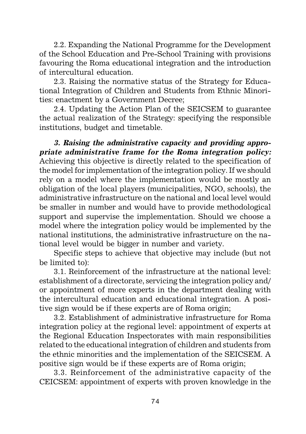2.2. Expanding the National Programme for the Development of the School Education and Pre-School Training with provisions favouring the Roma educational integration and the introduction of intercultural education.

2.3. Raising the normative status of the Strategy for Educational Integration of Children and Students from Ethnic Minorities: enactment by a Government Decree;

2.4. Updating the Action Plan of the SEICSEM to guarantee the actual realization of the Strategy: specifying the responsible institutions, budget and timetable.

**3. Raising the administrative capacity and providing appropriate administrative frame for the Roma integration policy:** Achieving this objective is directly related to the specification of the model for implementation of the integration policy. If we should rely on a model where the implementation would be mostly an obligation of the local players (municipalities, NGO, schools), the administrative infrastructure on the national and local level would be smaller in number and would have to provide methodological support and supervise the implementation. Should we choose a model where the integration policy would be implemented by the national institutions, the administrative infrastructure on the national level would be bigger in number and variety.

Specific steps to achieve that objective may include (but not be limited to):

3.1. Reinforcement of the infrastructure at the national level: establishment of a directorate, servicing the integration policy and/ or appointment of more experts in the department dealing with the intercultural education and educational integration. A positive sign would be if these experts are of Roma origin;

3.2. Establishment of administrative infrastructure for Roma integration policy at the regional level: appointment of experts at the Regional Education Inspectorates with main responsibilities related to the educational integration of children and students from the ethnic minorities and the implementation of the SEICSEM. A positive sign would be if these experts are of Roma origin;

3.3. Reinforcement of the administrative capacity of the CEICSEM: appointment of experts with proven knowledge in the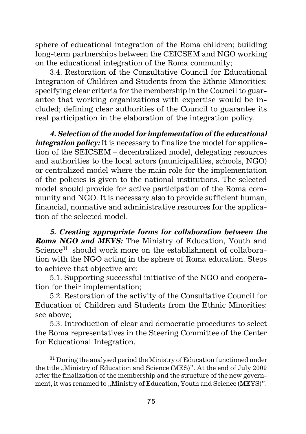sphere of educational integration of the Roma children; building long-term partnerships between the CEICSEM and NGO working on the educational integration of the Roma community;

3.4. Restoration of the Consultative Council for Educational Integration of Children and Students from the Ethnic Minorities: specifying clear criteria for the membership in the Council to guarantee that working organizations with expertise would be included; defining clear authorities of the Council to guarantee its real participation in the elaboration of the integration policy.

**4. Selection of the model for implementation of the educational** *integration policy:* It is necessary to finalize the model for application of the SEICSEM – decentralized model, delegating resources and authorities to the local actors (municipalities, schools, NGO) or centralized model where the main role for the implementation of the policies is given to the national institutions. The selected model should provide for active participation of the Roma community and NGO. It is necessary also to provide sufficient human, financial, normative and administrative resources for the application of the selected model.

**5. Creating appropriate forms for collaboration between the Roma NGO and MEYS:** The Ministry of Education, Youth and Science<sup>31</sup> should work more on the establishment of collaboration with the NGO acting in the sphere of Roma education. Steps to achieve that objective are:

5.1. Supporting successful initiative of the NGO and cooperation for their implementation;

5.2. Restoration of the activity of the Consultative Council for Education of Children and Students from the Ethnic Minorities: see above;

5.3. Introduction of clear and democratic procedures to select the Roma representatives in the Steering Committee of the Center for Educational Integration.

 $31$  During the analysed period the Ministry of Education functioned under the title "Ministry of Education and Science (MES)". At the end of July 2009 after the finalization of the membership and the structure of the new government, it was renamed to "Ministry of Education, Youth and Science (MEYS)".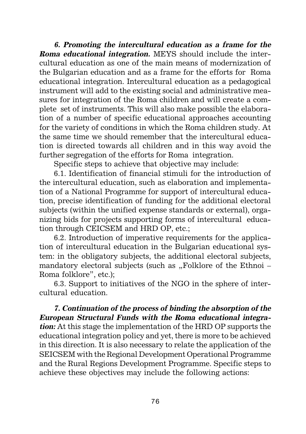**6. Promoting the intercultural education as a frame for the Roma educational integration.** MEYS should include the intercultural education as one of the main means of modernization of the Bulgarian education and as a frame for the efforts for Roma educational integration. Intercultural education as a pedagogical instrument will add to the existing social and administrative measures for integration of the Roma children and will create a complete set of instruments. This will also make possible the elaboration of a number of specific educational approaches accounting for the variety of conditions in which the Roma children study. At the same time we should remember that the intercultural education is directed towards all children and in this way avoid the further segregation of the efforts for Roma integration.

Specific steps to achieve that objective may include:

6.1. Identification of financial stimuli for the introduction of the intercultural education, such as elaboration and implementation of a National Programme for support of intercultural education, precise identification of funding for the additional electoral subjects (within the unified expense standards or external), organizing bids for projects supporting forms of intercultural education through CEICSEM and HRD OP, etc.;

6.2. Introduction of imperative requirements for the application of intercultural education in the Bulgarian educational system: in the obligatory subjects, the additional electoral subjects, mandatory electoral subjects (such as "Folklore of the Ethnoi  $-$ Roma folklore", etc.);

6.3. Support to initiatives of the NGO in the sphere of intercultural education.

**7. Continuation of the process of binding the absorption of the European Structural Funds with the Roma educational integration:** At this stage the implementation of the HRD OP supports the educational integration policy and yet, there is more to be achieved in this direction. It is also necessary to relate the application of the SEICSEM with the Regional Development Operational Programme and the Rural Regions Development Programme. Specific steps to achieve these objectives may include the following actions: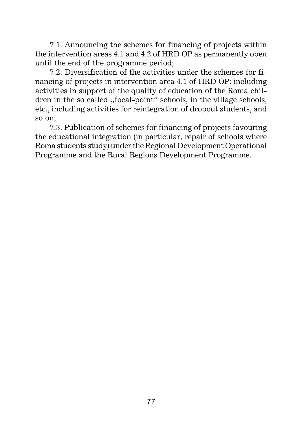7.1. Announcing the schemes for financing of projects within the intervention areas 4.1 and 4.2 of HRD OP as permanently open until the end of the programme period;

7.2. Diversification of the activities under the schemes for financing of projects in intervention area 4.1 of HRD OP: including activities in support of the quality of education of the Roma children in the so called "focal-point" schools, in the village schools, etc., including activities for reintegration of dropout students, and so on;

7.3. Publication of schemes for financing of projects favouring the educational integration (in particular, repair of schools where Roma students study) under the Regional Development Operational Programme and the Rural Regions Development Programme.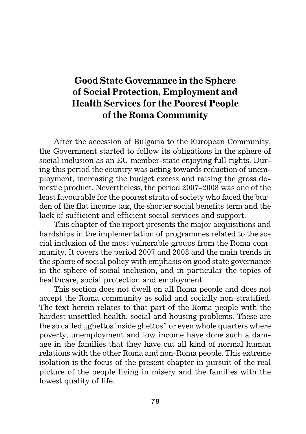# **Good State Governance in the Sphere of Social Protection, Employment and Health Services for the Poorest People of the Roma Community**

After the accession of Bulgaria to the European Community, the Government started to follow its obligations in the sphere of social inclusion as an EU member-state enjoying full rights. During this period the country was acting towards reduction of unemployment, increasing the budget excess and raising the gross domestic product. Nevertheless, the period 2007–2008 was one of the least favourable for the poorest strata of society who faced the burden of the flat income tax, the shorter social benefits term and the lack of sufficient and efficient social services and support.

This chapter of the report presents the major acquisitions and hardships in the implementation of programmes related to the social inclusion of the most vulnerable groups from the Roma community. It covers the period 2007 and 2008 and the main trends in the sphere of social policy with emphasis on good state governance in the sphere of social inclusion, and in particular the topics of healthcare, social protection and employment.

This section does not dwell on all Roma people and does not accept the Roma community as solid and socially non-stratified. The text herein relates to that part of the Roma people with the hardest unsettled health, social and housing problems. These are the so called "ghettos inside ghettos" or even whole quarters where poverty, unemployment and low income have done such a damage in the families that they have cut all kind of normal human relations with the other Roma and non-Roma people. This extreme isolation is the focus of the present chapter in pursuit of the real picture of the people living in misery and the families with the lowest quality of life.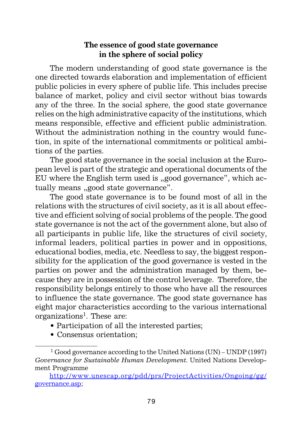# **The essence of good state governance in the sphere of social policy**

The modern understanding of good state governance is the one directed towards elaboration and implementation of efficient public policies in every sphere of public life. This includes precise balance of market, policy and civil sector without bias towards any of the three. In the social sphere, the good state governance relies on the high administrative capacity of the institutions, which means responsible, effective and efficient public administration. Without the administration nothing in the country would function, in spite of the international commitments or political ambitions of the parties.

The good state governance in the social inclusion at the European level is part of the strategic and operational documents of the EU where the English term used is "good governance", which actually means "good state governance".

The good state governance is to be found most of all in the relations with the structures of civil society, as it is all about effective and efficient solving of social problems of the people. The good state governance is not the act of the government alone, but also of all participants in public life, like the structures of civil society, informal leaders, political parties in power and in oppositions, educational bodies, media, etc. Needless to say, the biggest responsibility for the application of the good governance is vested in the parties on power and the administration managed by them, because they are in possession of the control leverage. Therefore, the responsibility belongs entirely to those who have all the resources to influence the state governance. The good state governance has eight major characteristics according to the various international organizations<sup>1</sup>. These are:

- Participation of all the interested parties;
- Consensus orientation;

<sup>&</sup>lt;sup>1</sup> Good governance according to the United Nations (UN) – UNDP (1997) *Governance for Sustainable Human Development*. United Nations Development Programme

http://www.unescap.org/pdd/prs/ProjectActivities/Ongoing/gg/ governance.asp;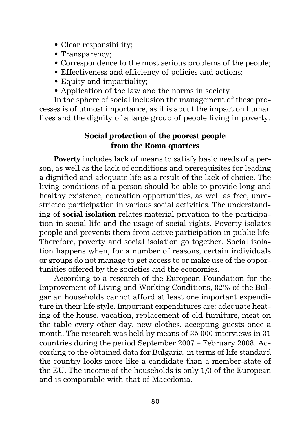- Clear responsibility;
- Transparency;
- Correspondence to the most serious problems of the people;
- Effectiveness and efficiency of policies and actions;
- Equity and impartiality;
- Application of the law and the norms in society

In the sphere of social inclusion the management of these processes is of utmost importance, as it is about the impact on human lives and the dignity of a large group of people living in poverty.

# **Social protection of the poorest people from the Roma quarters**

**Poverty** includes lack of means to satisfy basic needs of a person, as well as the lack of conditions and prerequisites for leading a dignified and adequate life as a result of the lack of choice. The living conditions of a person should be able to provide long and healthy existence, education opportunities, as well as free, unrestricted participation in various social activities. The understanding of **social isolation** relates material privation to the participation in social life and the usage of social rights. Poverty isolates people and prevents them from active participation in public life. Therefore, poverty and social isolation go together. Social isolation happens when, for a number of reasons, certain individuals or groups do not manage to get access to or make use of the opportunities offered by the societies and the economies.

According to a research of the European Foundation for the Improvement of Living and Working Conditions, 82% of the Bulgarian households cannot afford at least one important expenditure in their life style. Important expenditures are: adequate heating of the house, vacation, replacement of old furniture, meat on the table every other day, new clothes, accepting guests once a month. The research was held by means of 35 000 interviews in 31 countries during the period September 2007 – February 2008. According to the obtained data for Bulgaria, in terms of life standard the country looks more like a candidate than a member-state of the EU. The income of the households is only 1/3 of the European and is comparable with that of Macedonia.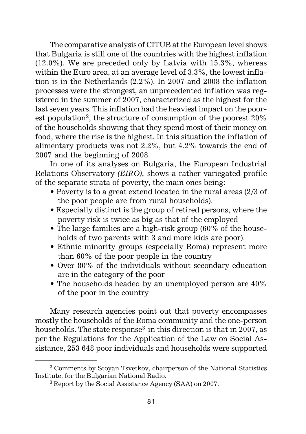The comparative analysis of CITUB at the European level shows that Bulgaria is still one of the countries with the highest inflation (12.0%). We are preceded only by Latvia with 15.3%, whereas within the Euro area, at an average level of 3.3%, the lowest inflation is in the Netherlands (2.2%). In 2007 and 2008 the inflation processes were the strongest, an unprecedented inflation was registered in the summer of 2007, characterized as the highest for the last seven years. This inflation had the heaviest impact on the poorest population<sup>2</sup>, the structure of consumption of the poorest  $20\%$ of the households showing that they spend most of their money on food, where the rise is the highest. In this situation the inflation of alimentary products was not 2.2%, but 4.2% towards the end of 2007 and the beginning of 2008.

In one of its analyses on Bulgaria, the European Industrial Relations Observatory *(EIRO),* shows a rather variegated profile of the separate strata of poverty, the main ones being:

- Poverty is to a great extend located in the rural areas (2/3 of the poor people are from rural households).
- Especially distinct is the group of retired persons, where the poverty risk is twice as big as that of the employed
- The large families are a high-risk group (60% of the households of two parents with 3 and more kids are poor).
- Ethnic minority groups (especially Roma) represent more than 60% of the poor people in the country
- Over 80% of the individuals without secondary education are in the category of the poor
- The households headed by an unemployed person are 40% of the poor in the country

Many research agencies point out that poverty encompasses mostly the households of the Roma community and the one-person households. The state response<sup>3</sup> in this direction is that in 2007, as per the Regulations for the Application of the Law on Social Assistance, 253 648 poor individuals and households were supported

<sup>2</sup> Comments by Stoyan Tsvetkov, chairperson of the National Statistics Institute, for the Bulgarian National Radio.

<sup>3</sup> Report by the Social Assistance Agency (SAA) on 2007.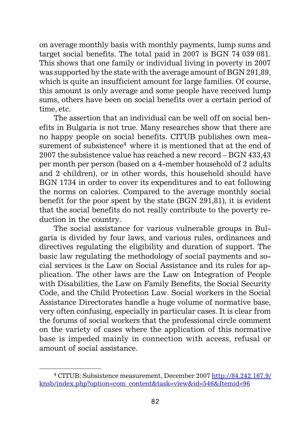on average monthly basis with monthly payments, lump sums and target social benefits. The total paid in 2007 is BGN 74 039 081. This shows that one family or individual living in poverty in 2007 was supported by the state with the average amount of BGN 291,89, which is quite an insufficient amount for large families. Of course, this amount is only average and some people have received lump sums, others have been on social benefits over a certain period of time, etc.

The assertion that an individual can be well off on social benefits in Bulgaria is not true. Many researches show that there are no happy people on social benefits. CITUB publishes own measurement of subsistence<sup>4</sup> where it is mentioned that at the end of 2007 the subsistence value has reached a new record – BGN 433,43 per month per person (based on a 4-member household of 2 adults and 2 children), or in other words, this household should have BGN 1734 in order to cover its expenditures and to eat following the norms on calories. Compared to the average monthly social benefit for the poor spent by the state (BGN 291,81), it is evident that the social benefits do not really contribute to the poverty reduction in the country.

The social assistance for various vulnerable groups in Bulgaria is divided by four laws, and various rules, ordinances and directives regulating the eligibility and duration of support. The basic law regulating the methodology of social payments and social services is the Law on Social Assistance and its rules for application. The other laws are the Law on Integration of People with Disabilities, the Law on Family Benefits, the Social Security Code, and the Child Protection Law. Social workers in the Social Assistance Directorates handle a huge volume of normative base, very often confusing, especially in particular cases. It is clear from the forums of social workers that the professional circle comment on the variety of cases where the application of this normative base is impeded mainly in connection with access, refusal or amount of social assistance.

<sup>4</sup> CITUB: Subsistence measurement, December 2007 http://84.242.167.9/ knsb/index.php?option=com\_content&task=view&id=546&Itemid=96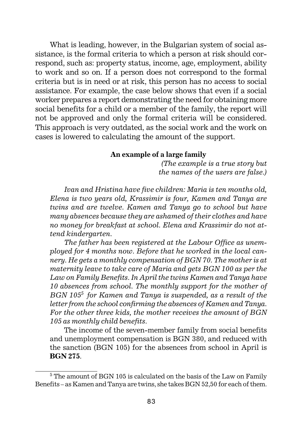What is leading, however, in the Bulgarian system of social assistance, is the formal criteria to which a person at risk should correspond, such as: property status, income, age, employment, ability to work and so on. If a person does not correspond to the formal criteria but is in need or at risk, this person has no access to social assistance. For example, the case below shows that even if a social worker prepares a report demonstrating the need for obtaining more social benefits for a child or a member of the family, the report will not be approved and only the formal criteria will be considered. This approach is very outdated, as the social work and the work on cases is lowered to calculating the amount of the support.

#### **An example of a large family**

*(The example is a true story but the names of the users are false.)*

*Ivan and Hristina have five children: Maria is ten months old, Elena is two years old, Krassimir is four, Kamen and Tanya are twins and are twelve. Kamen and Tanya go to school but have many absences because they are ashamed of their clothes and have no money for breakfast at school. Elena and Krassimir do not attend kindergarten.*

*The father has been registered at the Labour Office as unemployed for 4 months now. Before that he worked in the local cannery. He gets a monthly compensation of BGN 70. The mother is at maternity leave to take care of Maria and gets BGN 100 as per the Law on Family Benefits. In April the twins Kamen and Tanya have 10 absences from school. The monthly support for the mother of BGN 1055 for Kamen and Tanya is suspended, as a result of the letter from the school confirming the absences of Kamen and Tanya. For the other three kids, the mother receives the amount of BGN 105 as monthly child benefits.*

The income of the seven-member family from social benefits and unemployment compensation is BGN 380, and reduced with the sanction (BGN 105) for the absences from school in April is **BGN 275**.

 $\frac{5 \text{ The amount of BGN 105 is calculated on the basis of the Law on Family}{}$ Benefits – as Kamen and Tanya are twins, she takes BGN 52,50 for each of them.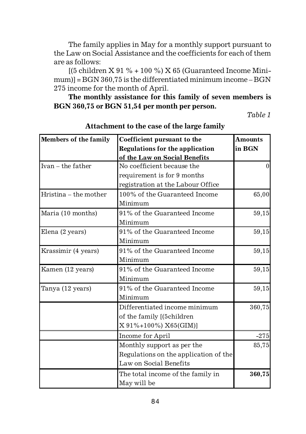The family applies in May for a monthly support pursuant to the Law on Social Assistance and the coefficients for each of them are as follows:

 $(5$  children X 91 % + 100 %) X 65 (Guaranteed Income Minimum)] = BGN 360,75 is the differentiated minimum income – BGN 275 income for the month of April.

**The monthly assistance for this family of seven members is BGN 360,75 or BGN 51,54 per month per person.**

*Table 1*

| Members of the family | Coefficient pursuant to the            | <b>Amounts</b> |
|-----------------------|----------------------------------------|----------------|
|                       | <b>Regulations for the application</b> | in BGN         |
|                       | of the Law on Social Benefits          |                |
| $Ivan - the father$   | No coefficient because the             |                |
|                       | requirement is for 9 months            |                |
|                       | registration at the Labour Office      |                |
| Hristina – the mother | 100% of the Guaranteed Income          | 65,00          |
|                       | Minimum                                |                |
| Maria (10 months)     | 91% of the Guaranteed Income           | 59,15          |
|                       | Minimum                                |                |
| Elena (2 years)       | 91% of the Guaranteed Income           | 59,15          |
|                       | Minimum                                |                |
| Krassimir (4 years)   | 91% of the Guaranteed Income           | 59,15          |
|                       | Minimum                                |                |
| Kamen (12 years)      | 91% of the Guaranteed Income           | 59,15          |
|                       | Minimum                                |                |
| Tanya (12 years)      | 91% of the Guaranteed Income           | 59,15          |
|                       | Minimum                                |                |
|                       | Differentiated income minimum          | 360,75         |
|                       | of the family [(5children              |                |
|                       | X 91%+100%) X65(GIM)]                  |                |
|                       | Income for April                       | $-275$         |
|                       | Monthly support as per the             | 85,75          |
|                       | Regulations on the application of the  |                |
|                       | Law on Social Benefits                 |                |
|                       | The total income of the family in      | 360,75         |
|                       | May will be                            |                |

**Attachment to the case of the large family**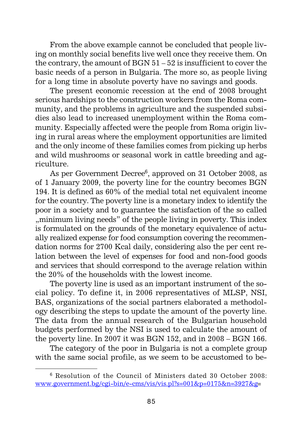From the above example cannot be concluded that people living on monthly social benefits live well once they receive them. On the contrary, the amount of BGN 51 – 52 is insufficient to cover the basic needs of a person in Bulgaria. The more so, as people living for a long time in absolute poverty have no savings and goods.

The present economic recession at the end of 2008 brought serious hardships to the construction workers from the Roma community, and the problems in agriculture and the suspended subsidies also lead to increased unemployment within the Roma community. Especially affected were the people from Roma origin living in rural areas where the employment opportunities are limited and the only income of these families comes from picking up herbs and wild mushrooms or seasonal work in cattle breeding and agriculture.

As per Government Decree<sup>6</sup>, approved on 31 October 2008, as of 1 January 2009, the poverty line for the country becomes BGN 194. It is defined as  $60\%$  of the medial total net equivalent income for the country. The poverty line is a monetary index to identify the poor in a society and to guarantee the satisfaction of the so called "", minimum living needs" of the people living in poverty. This index is formulated on the grounds of the monetary equivalence of actually realized expense for food consumption covering the recommendation norms for 2700 Kcal daily, considering also the per cent relation between the level of expenses for food and non-food goods and services that should correspond to the average relation within the 20% of the households with the lowest income.

The poverty line is used as an important instrument of the social policy. To define it, in 2006 representatives of MLSP, NSI, BAS, organizations of the social partners elaborated a methodology describing the steps to update the amount of the poverty line. The data from the annual research of the Bulgarian household budgets performed by the NSI is used to calculate the amount of the poverty line. In 2007 it was BGN 152, and in 2008 – BGN 166.

The category of the poor in Bulgaria is not a complete group with the same social profile, as we seem to be accustomed to be-

 $6$  Resolution of the Council of Ministers dated 30 October 2008: www.government.bg/cgi-bin/e-cms/vis/vis.pl?s=001&p=0175&n=3927&g=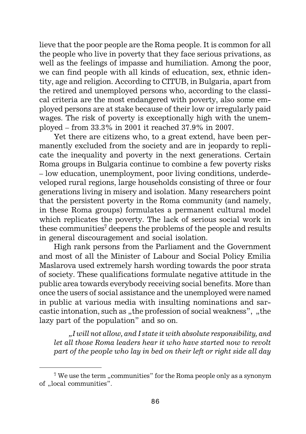lieve that the poor people are the Roma people. It is common for all the people who live in poverty that they face serious privations, as well as the feelings of impasse and humiliation. Among the poor, we can find people with all kinds of education, sex, ethnic identity, age and religion. According to CITUB, in Bulgaria, apart from the retired and unemployed persons who, according to the classical criteria are the most endangered with poverty, also some employed persons are at stake because of their low or irregularly paid wages. The risk of poverty is exceptionally high with the unemployed – from 33.3% in 2001 it reached 37.9% in 2007.

Yet there are citizens who, to a great extend, have been permanently excluded from the society and are in jeopardy to replicate the inequality and poverty in the next generations. Certain Roma groups in Bulgaria continue to combine a few poverty risks – low education, unemployment, poor living conditions, underdeveloped rural regions, large households consisting of three or four generations living in misery and isolation. Many researchers point that the persistent poverty in the Roma community (and namely, in these Roma groups) formulates a permanent cultural model which replicates the poverty. The lack of serious social work in these communities<sup> $7$ </sup> deepens the problems of the people and results in general discouragement and social isolation.

High rank persons from the Parliament and the Government and most of all the Minister of Labour and Social Policy Emilia Maslarova used extremely harsh wording towards the poor strata of society. These qualifications formulate negative attitude in the public area towards everybody receiving social benefits. More than once the users of social assistance and the unemployed were named in public at various media with insulting nominations and sarcastic intonation, such as "the profession of social weakness", "the lazy part of the population" and so on.

*"I will not allow, and I state it with absolute responsibility, and let all those Roma leaders hear it who have started now to revolt part of the people who lay in bed on their left or right side all day*

 $7$  We use the term "communities" for the Roma people only as a synonym of ..local communities".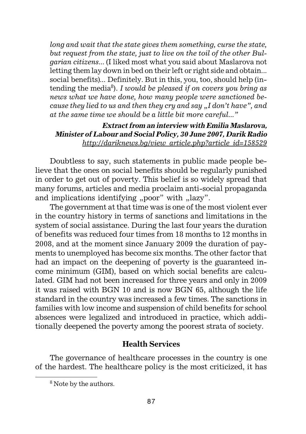*long and wait that the state gives them something, curse the state, but request from the state, just to live on the toil of the other Bulgarian citizens...* (I liked most what you said about Maslarova not letting them lay down in bed on their left or right side and obtain... social benefits)*...* Definitely. But in this, you, too, should help (intending the media8)*. I would be pleased if on covers you bring as news what we have done, how many people were sanctioned because they lied to us and then they cry and say "I don't have", and at the same time we should be a little bit more careful..."*

## **Extract from an interview with Emilia Maslarova, Minister of Labour and Social Policy, 30 June 2007, Darik Radio** *http://dariknews.bg/view\_article.php?article\_id=158529*

Doubtless to say, such statements in public made people believe that the ones on social benefits should be regularly punished in order to get out of poverty. This belief is so widely spread that many forums, articles and media proclaim anti-social propaganda and implications identifying "poor" with "lazy".

The government at that time was is one of the most violent ever in the country history in terms of sanctions and limitations in the system of social assistance. During the last four years the duration of benefits was reduced four times from 18 months to 12 months in 2008, and at the moment since January 2009 the duration of payments to unemployed has become six months. The other factor that had an impact on the deepening of poverty is the guaranteed income minimum (GIM), based on which social benefits are calculated. GIM had not been increased for three years and only in 2009 it was raised with BGN 10 and is now BGN 65, although the life standard in the country was increased a few times. The sanctions in families with low income and suspension of child benefits for school absences were legalized and introduced in practice, which additionally deepened the poverty among the poorest strata of society.

## **Health Services**

The governance of healthcare processes in the country is one of the hardest. The healthcare policy is the most criticized, it has

<sup>&</sup>lt;sup>8</sup> Note by the authors.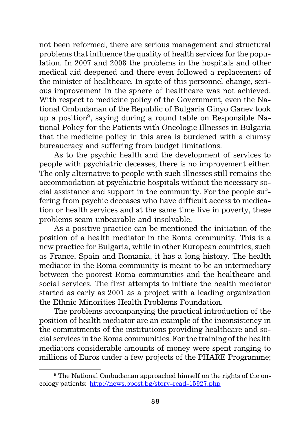not been reformed, there are serious management and structural problems that influence the quality of health services for the population. In 2007 and 2008 the problems in the hospitals and other medical aid deepened and there even followed a replacement of the minister of healthcare. In spite of this personnel change, serious improvement in the sphere of healthcare was not achieved. With respect to medicine policy of the Government, even the National Ombudsman of the Republic of Bulgaria Ginyo Ganev took up a position<sup>9</sup>, saying during a round table on Responsible National Policy for the Patients with Oncologic Illnesses in Bulgaria that the medicine policy in this area is burdened with a clumsy bureaucracy and suffering from budget limitations.

As to the psychic health and the development of services to people with psychiatric deceases, there is no improvement either. The only alternative to people with such illnesses still remains the accommodation at psychiatric hospitals without the necessary social assistance and support in the community. For the people suffering from psychic deceases who have difficult access to medication or health services and at the same time live in poverty, these problems seam unbearable and insolvable.

As a positive practice can be mentioned the initiation of the position of a health mediator in the Roma community. This is a new practice for Bulgaria, while in other European countries, such as France, Spain and Romania, it has a long history. The health mediator in the Roma community is meant to be an intermediary between the poorest Roma communities and the healthcare and social services. The first attempts to initiate the health mediator started as early as 2001 as a project with a leading organization the Ethnic Minorities Health Problems Foundation.

The problems accompanying the practical introduction of the position of health mediator are an example of the inconsistency in the commitments of the institutions providing healthcare and social services in the Roma communities. For the training of the health mediators considerable amounts of money were spent ranging to millions of Euros under a few projects of the PHARE Programme;

<sup>&</sup>lt;sup>9</sup> The National Ombudsman approached himself on the rights of the oncology patients: http://news.bpost.bg/story-read-15927.php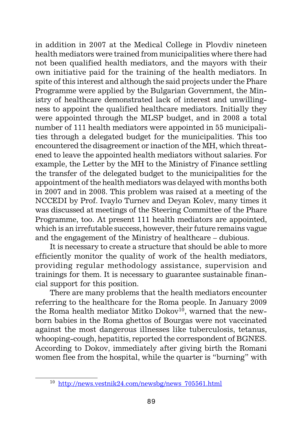in addition in 2007 at the Medical College in Plovdiv nineteen health mediators were trained from municipalities where there had not been qualified health mediators, and the mayors with their own initiative paid for the training of the health mediators. In spite of this interest and although the said projects under the Phare Programme were applied by the Bulgarian Government, the Ministry of healthcare demonstrated lack of interest and unwillingness to appoint the qualified healthcare mediators. Initially they were appointed through the MLSP budget, and in 2008 a total number of 111 health mediators were appointed in 55 municipalities through a delegated budget for the municipalities. This too encountered the disagreement or inaction of the MH, which threatened to leave the appointed health mediators without salaries. For example, the Letter by the MH to the Ministry of Finance settling the transfer of the delegated budget to the municipalities for the appointment of the health mediators was delayed with months both in 2007 and in 2008. This problem was raised at a meeting of the NCCEDI by Prof. Ivaylo Turnev and Deyan Kolev, many times it was discussed at meetings of the Steering Committee of the Phare Programme, too. At present 111 health mediators are appointed, which is an irrefutable success, however, their future remains vague and the engagement of the Ministry of healthcare – dubious.

It is necessary to create a structure that should be able to more efficiently monitor the quality of work of the health mediators, providing regular methodology assistance, supervision and trainings for them. It is necessary to guarantee sustainable financial support for this position.

There are many problems that the health mediators encounter referring to the healthcare for the Roma people. In January 2009 the Roma health mediator Mitko Dokov<sup>10</sup>, warned that the newborn babies in the Roma ghettos of Bourgas were not vaccinated against the most dangerous illnesses like tuberculosis, tetanus, whooping-cough, hepatitis, reported the correspondent of BGNES. According to Dokov, immediately after giving birth the Romani women flee from the hospital, while the quarter is "burning" with

<sup>10</sup> http://news.vestnik24.com/newsbg/news\_705561.html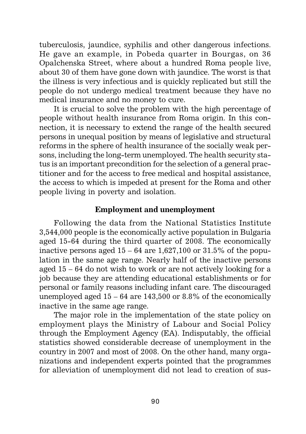tuberculosis, jaundice, syphilis and other dangerous infections. He gave an example, in Pobeda quarter in Bourgas, on 36 Opalchenska Street, where about a hundred Roma people live, about 30 of them have gone down with jaundice. The worst is that the illness is very infectious and is quickly replicated but still the people do not undergo medical treatment because they have no medical insurance and no money to cure.

It is crucial to solve the problem with the high percentage of people without health insurance from Roma origin. In this connection, it is necessary to extend the range of the health secured persons in unequal position by means of legislative and structural reforms in the sphere of health insurance of the socially weak persons, including the long-term unemployed. The health security status is an important precondition for the selection of a general practitioner and for the access to free medical and hospital assistance, the access to which is impeded at present for the Roma and other people living in poverty and isolation.

## **Employment and unemployment**

Following the data from the National Statistics Institute 3,544,000 people is the economically active population in Bulgaria aged 15-64 during the third quarter of 2008. The economically inactive persons aged  $15 - 64$  are  $1,627,100$  or  $31.5\%$  of the population in the same age range. Nearly half of the inactive persons aged 15 – 64 do not wish to work or are not actively looking for a job because they are attending educational establishments or for personal or family reasons including infant care. The discouraged unemployed aged 15 – 64 are 143,500 or 8.8% of the economically inactive in the same age range.

The major role in the implementation of the state policy on employment plays the Ministry of Labour and Social Policy through the Employment Agency (EA). Indisputably, the official statistics showed considerable decrease of unemployment in the country in 2007 and most of 2008. On the other hand, many organizations and independent experts pointed that the programmes for alleviation of unemployment did not lead to creation of sus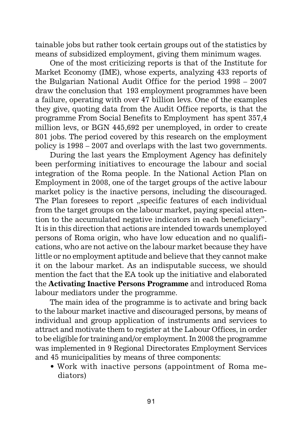tainable jobs but rather took certain groups out of the statistics by means of subsidized employment, giving them minimum wages.

One of the most criticizing reports is that of the Institute for Market Economy (IME), whose experts, analyzing 433 reports of the Bulgarian National Audit Office for the period 1998 – 2007 draw the conclusion that 193 employment programmes have been a failure, operating with over 47 billion levs. One of the examples they give, quoting data from the Audit Office reports, is that the programme From Social Benefits to Employment has spent 357,4 million levs, or BGN 445,692 per unemployed, in order to create 801 jobs. The period covered by this research on the employment policy is 1998 – 2007 and overlaps with the last two governments.

During the last years the Employment Agency has definitely been performing initiatives to encourage the labour and social integration of the Roma people. In the National Action Plan on Employment in 2008, one of the target groups of the active labour market policy is the inactive persons, including the discouraged. The Plan foresees to report "specific features of each individual from the target groups on the labour market, paying special attention to the accumulated negative indicators in each beneficiary". It is in this direction that actions are intended towards unemployed persons of Roma origin, who have low education and no qualifications, who are not active on the labour market because they have little or no employment aptitude and believe that they cannot make it on the labour market. As an indisputable success, we should mention the fact that the EA took up the initiative and elaborated the **Activating Inactive Persons Programme** and introduced Roma labour mediators under the programme.

The main idea of the programme is to activate and bring back to the labour market inactive and discouraged persons, by means of individual and group application of instruments and services to attract and motivate them to register at the Labour Offices, in order to be eligible for training and/or employment. In 2008 the programme was implemented in 9 Regional Directorates Employment Services and 45 municipalities by means of three components:

• Work with inactive persons (appointment of Roma mediators)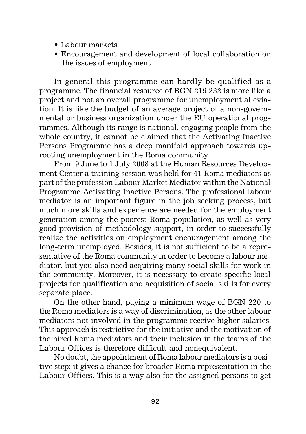- Labour markets
- Encouragement and development of local collaboration on the issues of employment

In general this programme can hardly be qualified as a programme. The financial resource of BGN 219 232 is more like a project and not an overall programme for unemployment alleviation. It is like the budget of an average project of a non-governmental or business organization under the EU operational programmes. Although its range is national, engaging people from the whole country, it cannot be claimed that the Activating Inactive Persons Programme has a deep manifold approach towards uprooting unemployment in the Roma community.

From 9 June to 1 July 2008 at the Human Resources Development Center a training session was held for 41 Roma mediators as part of the profession Labour Market Mediator within the National Programme Activating Inactive Persons. The professional labour mediator is an important figure in the job seeking process, but much more skills and experience are needed for the employment generation among the poorest Roma population, as well as very good provision of methodology support, in order to successfully realize the activities on employment encouragement among the long-term unemployed. Besides, it is not sufficient to be a representative of the Roma community in order to become a labour mediator, but you also need acquiring many social skills for work in the community. Moreover, it is necessary to create specific local projects for qualification and acquisition of social skills for every separate place.

On the other hand, paying a minimum wage of BGN 220 to the Roma mediators is a way of discrimination, as the other labour mediators not involved in the programme receive higher salaries. This approach is restrictive for the initiative and the motivation of the hired Roma mediators and their inclusion in the teams of the Labour Offices is therefore difficult and nonequivalent.

No doubt, the appointment of Roma labour mediators is a positive step: it gives a chance for broader Roma representation in the Labour Offices. This is a way also for the assigned persons to get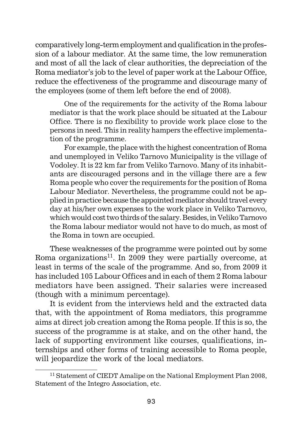comparatively long-term employment and qualification in the profession of a labour mediator. At the same time, the low remuneration and most of all the lack of clear authorities, the depreciation of the Roma mediator's job to the level of paper work at the Labour Office, reduce the effectiveness of the programme and discourage many of the employees (some of them left before the end of 2008).

One of the requirements for the activity of the Roma labour mediator is that the work place should be situated at the Labour Office. There is no flexibility to provide work place close to the persons in need. This in reality hampers the effective implementation of the programme.

For example, the place with the highest concentration of Roma and unemployed in Veliko Tarnovo Municipality is the village of Vodoley. It is 22 km far from Veliko Tarnovo. Many of its inhabitants are discouraged persons and in the village there are a few Roma people who cover the requirements for the position of Roma Labour Mediator. Nevertheless, the programme could not be applied in practice because the appointed mediator should travel every day at his/her own expenses to the work place in Veliko Tarnovo, which would cost two thirds of the salary. Besides, in Veliko Tarnovo the Roma labour mediator would not have to do much, as most of the Roma in town are occupied.

These weaknesses of the programme were pointed out by some Roma organizations<sup>11</sup>. In 2009 they were partially overcome, at least in terms of the scale of the programme. And so, from 2009 it has included 105 Labour Offices and in each of them 2 Roma labour mediators have been assigned. Their salaries were increased (though with a minimum percentage).

It is evident from the interviews held and the extracted data that, with the appointment of Roma mediators, this programme aims at direct job creation among the Roma people. If this is so, the success of the programme is at stake, and on the other hand, the lack of supporting environment like courses, qualifications, internships and other forms of training accessible to Roma people, will jeopardize the work of the local mediators.

<sup>&</sup>lt;sup>11</sup> Statement of CIEDT Amalipe on the National Employment Plan 2008, Statement of the Integro Association, etc.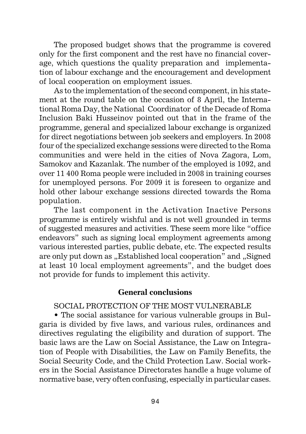The proposed budget shows that the programme is covered only for the first component and the rest have no financial coverage, which questions the quality preparation and implementation of labour exchange and the encouragement and development of local cooperation on employment issues.

As to the implementation of the second component, in his statement at the round table on the occasion of 8 April, the International Roma Day, the National Coordinator of the Decade of Roma Inclusion Baki Husseinov pointed out that in the frame of the programme, general and specialized labour exchange is organized for direct negotiations between job seekers and employers. In 2008 four of the specialized exchange sessions were directed to the Roma communities and were held in the cities of Nova Zagora, Lom, Samokov and Kazanlak. The number of the employed is 1092, and over 11 400 Roma people were included in 2008 in training courses for unemployed persons. For 2009 it is foreseen to organize and hold other labour exchange sessions directed towards the Roma population.

The last component in the Activation Inactive Persons programme is entirely wishful and is not well grounded in terms of suggested measures and activities. These seem more like "office endeavors" such as signing local employment agreements among various interested parties, public debate, etc. The expected results are only put down as "Established local cooperation" and "Signed at least 10 local employment agreements", and the budget does not provide for funds to implement this activity.

### **General conclusions**

## SOCIAL PROTECTION OF THE MOST VULNERABLE

• The social assistance for various vulnerable groups in Bulgaria is divided by five laws, and various rules, ordinances and directives regulating the eligibility and duration of support. The basic laws are the Law on Social Assistance, the Law on Integration of People with Disabilities, the Law on Family Benefits, the Social Security Code, and the Child Protection Law. Social workers in the Social Assistance Directorates handle a huge volume of normative base, very often confusing, especially in particular cases.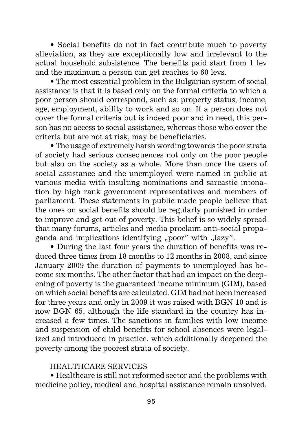• Social benefits do not in fact contribute much to poverty alleviation, as they are exceptionally low and irrelevant to the actual household subsistence. The benefits paid start from 1 lev and the maximum a person can get reaches to 60 levs.

• The most essential problem in the Bulgarian system of social assistance is that it is based only on the formal criteria to which a poor person should correspond, such as: property status, income, age, employment, ability to work and so on. If a person does not cover the formal criteria but is indeed poor and in need, this person has no access to social assistance, whereas those who cover the criteria but are not at risk, may be beneficiaries.

• The usage of extremely harsh wording towards the poor strata of society had serious consequences not only on the poor people but also on the society as a whole. More than once the users of social assistance and the unemployed were named in public at various media with insulting nominations and sarcastic intonation by high rank government representatives and members of parliament. These statements in public made people believe that the ones on social benefits should be regularly punished in order to improve and get out of poverty. This belief is so widely spread that many forums, articles and media proclaim anti-social propaganda and implications identifying "poor" with "lazy".

• During the last four years the duration of benefits was reduced three times from 18 months to 12 months in 2008, and since January 2009 the duration of payments to unemployed has become six months. The other factor that had an impact on the deepening of poverty is the guaranteed income minimum (GIM), based on which social benefits are calculated. GIM had not been increased for three years and only in 2009 it was raised with BGN 10 and is now BGN 65, although the life standard in the country has increased a few times. The sanctions in families with low income and suspension of child benefits for school absences were legalized and introduced in practice, which additionally deepened the poverty among the poorest strata of society.

### HEALTHCARE SERVICES

• Healthcare is still not reformed sector and the problems with medicine policy, medical and hospital assistance remain unsolved.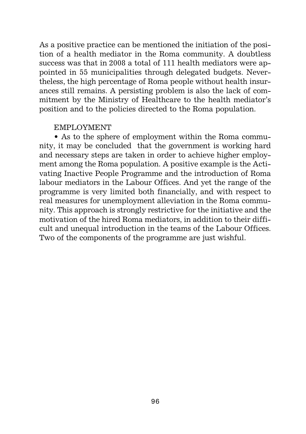As a positive practice can be mentioned the initiation of the position of a health mediator in the Roma community. A doubtless success was that in 2008 a total of 111 health mediators were appointed in 55 municipalities through delegated budgets. Nevertheless, the high percentage of Roma people without health insurances still remains. A persisting problem is also the lack of commitment by the Ministry of Healthcare to the health mediator's position and to the policies directed to the Roma population.

#### EMPLOYMENT

• As to the sphere of employment within the Roma community, it may be concluded that the government is working hard and necessary steps are taken in order to achieve higher employment among the Roma population. A positive example is the Activating Inactive People Programme and the introduction of Roma labour mediators in the Labour Offices. And yet the range of the programme is very limited both financially, and with respect to real measures for unemployment alleviation in the Roma community. This approach is strongly restrictive for the initiative and the motivation of the hired Roma mediators, in addition to their difficult and unequal introduction in the teams of the Labour Offices. Two of the components of the programme are just wishful.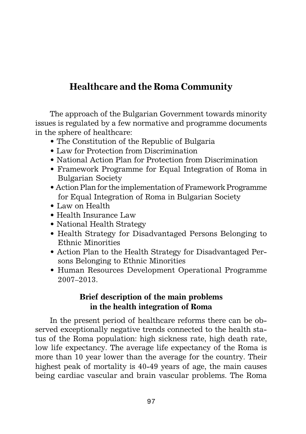# **Healthcare and the Roma Community**

The approach of the Bulgarian Government towards minority issues is regulated by a few normative and programme documents in the sphere of healthcare:

- The Constitution of the Republic of Bulgaria
- Law for Protection from Discrimination
- National Action Plan for Protection from Discrimination
- Framework Programme for Equal Integration of Roma in Bulgarian Society
- Action Plan for the implementation of Framework Programme for Equal Integration of Roma in Bulgarian Society
- Law on Health
- Health Insurance Law
- National Health Strategy
- Health Strategy for Disadvantaged Persons Belonging to Ethnic Minorities
- Action Plan to the Health Strategy for Disadvantaged Persons Belonging to Ethnic Minorities
- Human Resources Development Operational Programme 2007–2013.

# **Brief description of the main problems in the health integration of Roma**

In the present period of healthcare reforms there can be observed exceptionally negative trends connected to the health status of the Roma population: high sickness rate, high death rate, low life expectancy. The average life expectancy of the Roma is more than 10 year lower than the average for the country. Their highest peak of mortality is 40-49 years of age, the main causes being cardiac vascular and brain vascular problems. The Roma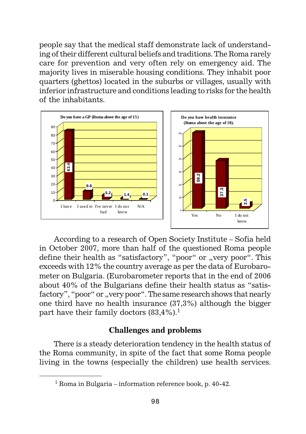people say that the medical staff demonstrate lack of understanding of their different cultural beliefs and traditions. The Roma rarely care for prevention and very often rely on emergency aid. The majority lives in miserable housing conditions. They inhabit poor quarters (ghettos) located in the suburbs or villages, usually with inferior infrastructure and conditions leading to risks for the health of the inhabitants.



According to a research of Open Society Institute – Sofia held in October 2007, more than half of the questioned Roma people define their health as "satisfactory", "poor" or "very poor". This exceeds with 12% the country average as per the data of Eurobarometer on Bulgaria. (Eurobarometer reports that in the end of 2006 about 40% of the Bulgarians define their health status as "satisfactory", "poor" or "very poor". The same research shows that nearly one third have no health insurance (37,3%) although the bigger part have their family doctors  $(83.4\%)$ <sup>1</sup>  $\begin{tabular}{|c|c|} \hline $\begin{array}{c} \hline $\begin{array}{l} \hline $\begin{array}{l} \hline $\begin{array}{l} \hline $\begin{array}{l} \hline $\begin{array}{l} \hline $\begin{array}{l} \hline $\begin{array}{l} \hline $\begin{array}{l} \hline $\begin{array}{l} \hline $\begin{array}{l} \hline $\begin{array}{l} \hline $\begin{array}{l} \hline $\begin{array}{l} \hline $\begin{array}{l} \hline $\begin{array}{l} \hline $\begin{array}{l} \hline $\begin{array}{l} \hline $\begin{array}{l} \hline $\begin{array}{l} \hline $\begin{array}{$ 

## **Challenges and problems**

There is a steady deterioration tendency in the health status of the Roma community, in spite of the fact that some Roma people living in the towns (especially the children) use health services.

 $1$  Roma in Bulgaria – information reference book, p. 40-42.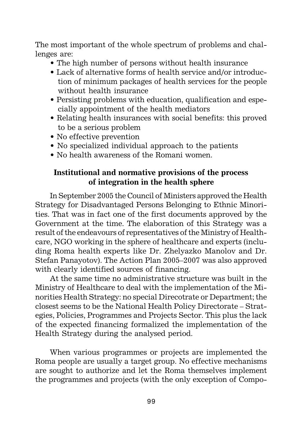The most important of the whole spectrum of problems and challenges are:

- The high number of persons without health insurance
- Lack of alternative forms of health service and/or introduction of minimum packages of health services for the people without health insurance
- Persisting problems with education, qualification and especially appointment of the health mediators
- Relating health insurances with social benefits: this proved to be a serious problem
- No effective prevention
- No specialized individual approach to the patients
- No health awareness of the Romani women.

## **Institutional and normative provisions of the process of integration in the health sphere**

In September 2005 the Council of Ministers approved the Health Strategy for Disadvantaged Persons Belonging to Ethnic Minorities. That was in fact one of the first documents approved by the Government at the time. The elaboration of this Strategy was a result of the endeavours of representatives of the Ministry of Healthcare, NGO working in the sphere of healthcare and experts (including Roma health experts like Dr. Zhelyazko Manolov and Dr. Stefan Panayotov). The Action Plan 2005–2007 was also approved with clearly identified sources of financing.

At the same time no administrative structure was built in the Ministry of Healthcare to deal with the implementation of the Minorities Health Strategy: no special Direcotrate or Department; the closest seems to be the National Health Policy Directorate – Strategies, Policies, Programmes and Projects Sector. This plus the lack of the expected financing formalized the implementation of the Health Strategy during the analysed period.

When various programmes or projects are implemented the Roma people are usually a target group. No effective mechanisms are sought to authorize and let the Roma themselves implement the programmes and projects (with the only exception of Compo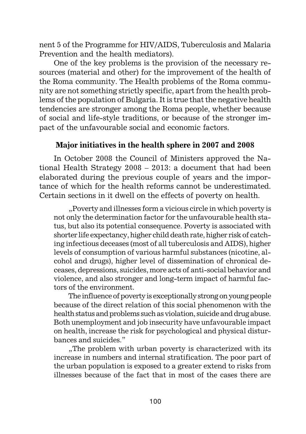nent 5 of the Programme for HIV/AIDS, Tuberculosis and Malaria Prevention and the health mediators).

One of the key problems is the provision of the necessary resources (material and other) for the improvement of the health of the Roma community. The Health problems of the Roma community are not something strictly specific, apart from the health problems of the population of Bulgaria. It is true that the negative health tendencies are stronger among the Roma people, whether because of social and life-style traditions, or because of the stronger impact of the unfavourable social and economic factors.

## **Major initiatives in the health sphere in 2007 and 2008**

In October 2008 the Council of Ministers approved the National Health Strategy 2008 – 2013: a document that had been elaborated during the previous couple of years and the importance of which for the health reforms cannot be underestimated. Certain sections in it dwell on the effects of poverty on health.

"Poverty and illnesses form a vicious circle in which poverty is not only the determination factor for the unfavourable health status, but also its potential consequence. Poverty is associated with shorter life expectancy, higher child death rate, higher risk of catching infectious deceases (most of all tuberculosis and AIDS), higher levels of consumption of various harmful substances (nicotine, alcohol and drugs), higher level of dissemination of chronical deceases, depressions, suicides, more acts of anti-social behavior and violence, and also stronger and long-term impact of harmful factors of the environment.

The influence of poverty is exceptionally strong on young people because of the direct relation of this social phenomenon with the health status and problems such as violation, suicide and drug abuse. Both unemployment and job insecurity have unfavourable impact on health, increase the risk for psychological and physical disturbances and suicides."

..The problem with urban poverty is characterized with its. increase in numbers and internal stratification. The poor part of the urban population is exposed to a greater extend to risks from illnesses because of the fact that in most of the cases there are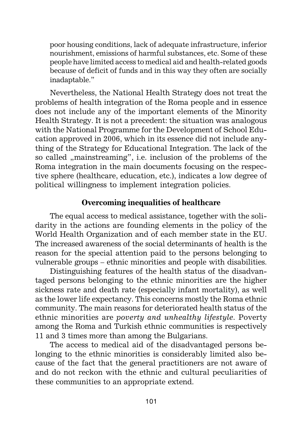poor housing conditions, lack of adequate infrastructure, inferior nourishment, emissions of harmful substances, etc. Some of these people have limited access to medical aid and health-related goods because of deficit of funds and in this way they often are socially inadaptable."

Nevertheless, the National Health Strategy does not treat the problems of health integration of the Roma people and in essence does not include any of the important elements of the Minority Health Strategy. It is not a precedent: the situation was analogous with the National Programme for the Development of School Education approved in 2006, which in its essence did not include anything of the Strategy for Educational Integration. The lack of the so called "mainstreaming", i.e. inclusion of the problems of the Roma integration in the main documents focusing on the respective sphere (healthcare, education, etc.), indicates a low degree of political willingness to implement integration policies.

## **Overcoming inequalities of healthcare**

The equal access to medical assistance, together with the solidarity in the actions are founding elements in the policy of the World Health Organization and of each member state in the EU. The increased awareness of the social determinants of health is the reason for the special attention paid to the persons belonging to vulnerable groups – ethnic minorities and people with disabilities.

Distinguishing features of the health status of the disadvantaged persons belonging to the ethnic minorities are the higher sickness rate and death rate (especially infant mortality), as well as the lower life expectancy. This concerns mostly the Roma ethnic community. The main reasons for deteriorated health status of the ethnic minorities are *poverty and unhealthy lifestyle.* Poverty among the Roma and Turkish ethnic communities is respectively 11 and 3 times more than among the Bulgarians.

The access to medical aid of the disadvantaged persons belonging to the ethnic minorities is considerably limited also because of the fact that the general practitioners are not aware of and do not reckon with the ethnic and cultural peculiarities of these communities to an appropriate extend.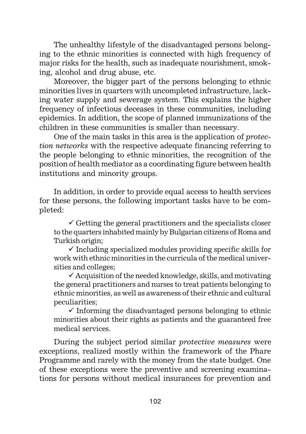The unhealthy lifestyle of the disadvantaged persons belonging to the ethnic minorities is connected with high frequency of major risks for the health, such as inadequate nourishment, smoking, alcohol and drug abuse, etc.

Moreover, the bigger part of the persons belonging to ethnic minorities lives in quarters with uncompleted infrastructure, lacking water supply and sewerage system. This explains the higher frequency of infectious deceases in these communities, including epidemics. In addition, the scope of planned immunizations of the children in these communities is smaller than necessary.

One of the main tasks in this area is the application of *protection networks* with the respective adequate financing referring to the people belonging to ethnic minorities, the recognition of the position of health mediator as a coordinating figure between health institutions and minority groups.

In addition, in order to provide equal access to health services for these persons, the following important tasks have to be completed:

 $\checkmark$  Getting the general practitioners and the specialists closer to the quarters inhabited mainly by Bulgarian citizens of Roma and Turkish origin;

 $\checkmark$  Including specialized modules providing specific skills for work with ethnic minorities in the curricula of the medical universities and colleges;

 $\checkmark$  Acquisition of the needed knowledge, skills, and motivating the general practitioners and nurses to treat patients belonging to ethnic minorities, as well as awareness of their ethnic and cultural peculiarities;

 $\checkmark$  Informing the disadvantaged persons belonging to ethnic minorities about their rights as patients and the guaranteed free medical services.

During the subject period similar *protective measures* were exceptions, realized mostly within the framework of the Phare Programme and rarely with the money from the state budget. One of these exceptions were the preventive and screening examinations for persons without medical insurances for prevention and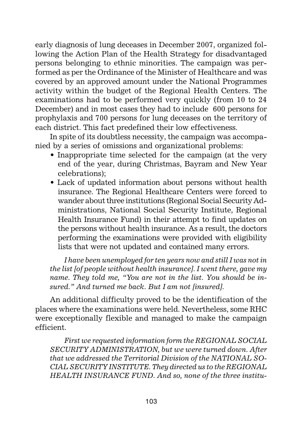early diagnosis of lung deceases in December 2007, organized following the Action Plan of the Health Strategy for disadvantaged persons belonging to ethnic minorities. The campaign was performed as per the Ordinance of the Minister of Healthcare and was covered by an approved amount under the National Programmes activity within the budget of the Regional Health Centers. The examinations had to be performed very quickly (from 10 to 24 December) and in most cases they had to include 600 persons for prophylaxis and 700 persons for lung deceases on the territory of each district. This fact predefined their low effectiveness.

In spite of its doubtless necessity, the campaign was accompanied by a series of omissions and organizational problems:

- Inappropriate time selected for the campaign (at the very end of the year, during Christmas, Bayram and New Year celebrations);
- Lack of updated information about persons without health insurance. The Regional Healthcare Centers were forced to wander about three institutions (Regional Social Security Administrations, National Social Security Institute, Regional Health Insurance Fund) in their attempt to find updates on the persons without health insurance. As a result, the doctors performing the examinations were provided with eligibility lists that were not updated and contained many errors.

*I have been unemployed for ten years now and still I was not in the list [of people without health insurance]. I went there, gave my name. They told me, "You are not in the list. You should be insured." And turned me back. But I am not [insured].*

An additional difficulty proved to be the identification of the places where the examinations were held. Nevertheless, some RHC were exceptionally flexible and managed to make the campaign efficient.

*First we requested information form the REGIONAL SOCIAL SECURITY ADMINISTRATION, but we were turned down. After that we addressed the Territorial Division of the NATIONAL SO-CIAL SECURITY INSTITUTE. They directed us to the REGIONAL HEALTH INSURANCE FUND. And so, none of the three institu-*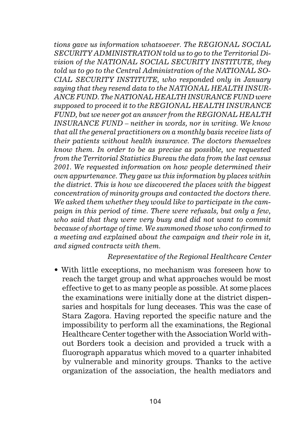*tions gave us information whatsoever. The REGIONAL SOCIAL SECURITY ADMINISTRATION told us to go to the Territorial Division of the NATIONAL SOCIAL SECURITY INSTITUTE, they told us to go to the Central Administration of the NATIONAL SO-CIAL SECURITY INSTITUTE, who responded only in January saying that they resend data to the NATIONAL HEALTH INSUR-ANCE FUND. The NATIONAL HEALTH INSURANCE FUND were supposed to proceed it to the REGIONAL HEALTH INSURANCE FUND, but we never got an answer from the REGIONAL HEALTH INSURANCE FUND – neither in words, nor in writing. We know that all the general practitioners on a monthly basis receive lists of their patients without health insurance. The doctors themselves know them. In order to be as precise as possible, we requested from the Territorial Statistics Bureau the data from the last census 2001. We requested information on how people determined their own appurtenance. They gave us this information by places within the district. This is how we discovered the places with the biggest concentration of minority groups and contacted the doctors there. We asked them whether they would like to participate in the campaign in this period of time. There were refusals, but only a few, who said that they were very busy and did not want to commit because of shortage of time. We summoned those who confirmed to a meeting and explained about the campaign and their role in it, and signed contracts with them.*

### *Representative of the Regional Healthcare Center*

• With little exceptions, no mechanism was foreseen how to reach the target group and what approaches would be most effective to get to as many people as possible. At some places the examinations were initially done at the district dispensaries and hospitals for lung deceases. This was the case of Stara Zagora. Having reported the specific nature and the impossibility to perform all the examinations, the Regional Healthcare Center together with the Association World without Borders took a decision and provided a truck with a fluorograph apparatus which moved to a quarter inhabited by vulnerable and minority groups. Thanks to the active organization of the association, the health mediators and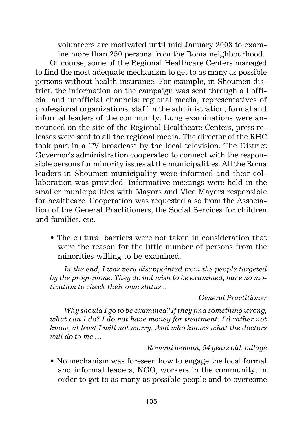volunteers are motivated until mid January 2008 to examine more than 250 persons from the Roma neighbourhood.

Of course, some of the Regional Healthcare Centers managed to find the most adequate mechanism to get to as many as possible persons without health insurance. For example, in Shoumen district, the information on the campaign was sent through all official and unofficial channels: regional media, representatives of professional organizations, staff in the administration, formal and informal leaders of the community. Lung examinations were announced on the site of the Regional Healthcare Centers, press releases were sent to all the regional media. The director of the RHC took part in a TV broadcast by the local television. The District Governor's administration cooperated to connect with the responsible persons for minority issues at the municipalities. All the Roma leaders in Shoumen municipality were informed and their collaboration was provided. Informative meetings were held in the smaller municipalities with Mayors and Vice Mayors responsible for healthcare. Cooperation was requested also from the Association of the General Practitioners, the Social Services for children and families, etc.

• The cultural barriers were not taken in consideration that were the reason for the little number of persons from the minorities willing to be examined.

*In the end, I was very disappointed from the people targeted by the programme. They do not wish to be examined, have no motivation to check their own status...*

#### *General Practitioner*

*Why should I go to be examined? If they find something wrong, what can I do? I do not have money for treatment. I'd rather not know, at least I will not worry. And who knows what the doctors will do to me …*

### *Romani woman, 54 years old, village*

• No mechanism was foreseen how to engage the local formal and informal leaders, NGO, workers in the community, in order to get to as many as possible people and to overcome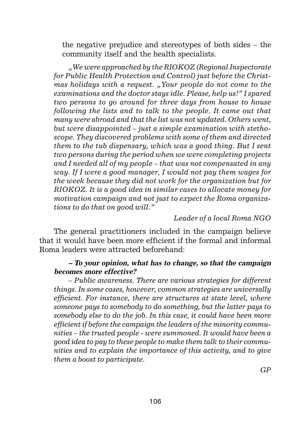the negative prejudice and stereotypes of both sides – the community itself and the health specialists.

*"We were approached by the RIOKOZ (Regional Inspectorate for Public Health Protection and Control) just before the Christmas holidays with a request. "Your people do not come to the examinations and the doctor stays idle. Please, help us!" I spared two persons to go around for three days from house to house following the lists and to talk to the people. It came out that many were abroad and that the list was not updated. Others went, but were disappointed – just a simple examination with stethoscope. They discovered problems with some of them and directed them to the tub dispensary, which was a good thing. But I sent two persons during the period when we were completing projects and I needed all of my people – that was not compensated in any way. If I were a good manager, I would not pay them wages for the week because they did not work for the organization but for RIOKOZ. It is a good idea in similar cases to allocate money for motivation campaign and not just to expect the Roma organizations to do that on good will."*

### *Leader of a local Roma NGO*

The general practitioners included in the campaign believe that it would have been more efficient if the formal and informal Roma leaders were attracted beforehand:

### **– To your opinion, what has to change, so that the campaign becomes more effective?**

*– Public awareness. There are various strategies for different things. In some cases, however, common strategies are universally efficient. For instance, there are structures at state level, where someone pays to somebody to do something, but the latter pays to somebody else to do the job. In this case, it could have been more efficient if before the campaign the leaders of the minority communities – the trusted people - were summoned. It would have been a good idea to pay to these people to make them talk to their communities and to explain the importance of this activity, and to give them a boost to participate.*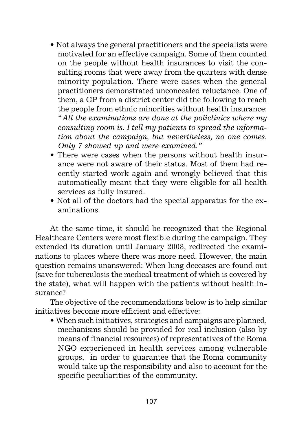- Not always the general practitioners and the specialists were motivated for an effective campaign. Some of them counted on the people without health insurances to visit the consulting rooms that were away from the quarters with dense minority population. There were cases when the general practitioners demonstrated unconcealed reluctance. One of them, a GP from a district center did the following to reach the people from ethnic minorities without health insurance: "*All the examinations are done at the policlinics where my consulting room is. I tell my patients to spread the information about the campaign, but nevertheless, no one comes. Only 7 showed up and were examined."*
- There were cases when the persons without health insurance were not aware of their status. Most of them had recently started work again and wrongly believed that this automatically meant that they were eligible for all health services as fully insured.
- Not all of the doctors had the special apparatus for the examinations.

At the same time, it should be recognized that the Regional Healthcare Centers were most flexible during the campaign. They extended its duration until January 2008, redirected the examinations to places where there was more need. However, the main question remains unanswered: When lung deceases are found out (save for tuberculosis the medical treatment of which is covered by the state), what will happen with the patients without health insurance?

The objective of the recommendations below is to help similar initiatives become more efficient and effective:

• When such initiatives, strategies and campaigns are planned, mechanisms should be provided for real inclusion (also by means of financial resources) of representatives of the Roma NGO experienced in health services among vulnerable groups, in order to guarantee that the Roma community would take up the responsibility and also to account for the specific peculiarities of the community.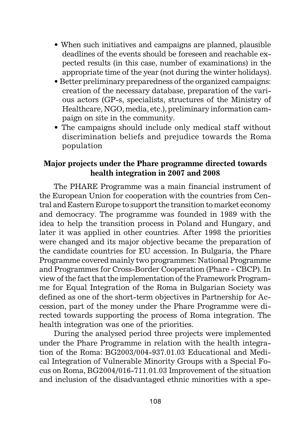- When such initiatives and campaigns are planned, plausible deadlines of the events should be foreseen and reachable expected results (in this case, number of examinations) in the appropriate time of the year (not during the winter holidays).
- Better preliminary preparedness of the organized campaigns: creation of the necessary database, preparation of the various actors (GP-s, specialists, structures of the Ministry of Healthcare, NGO, media, etc.), preliminary information campaign on site in the community.
- The campaigns should include only medical staff without discrimination beliefs and prejudice towards the Roma population

## **Major projects under the Phare programme directed towards health integration in 2007 and 2008**

The PHARE Programme was a main financial instrument of the European Union for cooperation with the countries from Central and Eastern Europe to support the transition to market economy and democracy. The programme was founded in 1989 with the idea to help the transition process in Poland and Hungary, and later it was applied in other countries. After 1998 the priorities were changed and its major objective became the preparation of the candidate countries for EU accession. In Bulgaria, the Phare Programme covered mainly two programmes: National Programme and Programmes for Cross-Border Cooperation (Phare - CBCP). In view of the fact that the implementation of the Framework Programme for Equal Integration of the Roma in Bulgarian Society was defined as one of the short-term objectives in Partnership for Accession, part of the money under the Phare Programme were directed towards supporting the process of Roma integration. The health integration was one of the priorities.

During the analysed period three projects were implemented under the Phare Programme in relation with the health integration of the Roma: BG2003/004-937.01.03 Educational and Medical Integration of Vulnerable Minority Groups with a Special Focus on Roma, BG2004/016-711.01.03 Improvement of the situation and inclusion of the disadvantaged ethnic minorities with a spe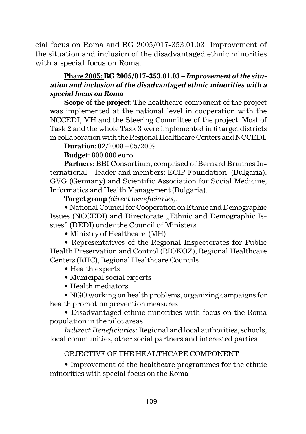cial focus on Roma and BG 2005/017-353.01.03 Improvement of the situation and inclusion of the disadvantaged ethnic minorities with a special focus on Roma.

# **Phare 2005: BG 2005/017-353.01.03 – Improvement of the situation and inclusion of the disadvantaged ethnic minorities with a special focus on Roma**

**Scope of the project:** The healthcare component of the project was implemented at the national level in cooperation with the NCCEDI, MH and the Steering Committee of the project. Most of Task 2 and the whole Task 3 were implemented in 6 target districts in collaboration with the Regional Healthcare Centers and NCCEDI.

**Duration:** 02/2008 – 05/2009

**Budget:** 800 000 euro

**Partners:** BBI Consortium, comprised of Bernard Brunhes International – leader and members: ECIP Foundation (Bulgaria), GVG (Germany) and Scientific Association for Social Medicine, Informatics and Health Management (Bulgaria).

**Target group** *(direct beneficiaries):*

• National Council for Cooperation on Ethnic and Demographic Issues (NCCEDI) and Directorate "Ethnic and Demographic Issues" (DEDI) under the Council of Ministers

• Ministry of Healthcare (MH)

• Representatives of the Regional Inspectorates for Public Health Preservation and Control (RIOKOZ), Regional Healthcare Centers (RHC), Regional Healthcare Councils

- Health experts
- Municipal social experts
- Health mediators

• NGO working on health problems, organizing campaigns for health promotion prevention measures

• Disadvantaged ethnic minorities with focus on the Roma population in the pilot areas

*Indirect Beneficiaries:* Regional and local authorities, schools, local communities, other social partners and interested parties

## OBJECTIVE OF THE HEALTHCARE COMPONENT

• Improvement of the healthcare programmes for the ethnic minorities with special focus on the Roma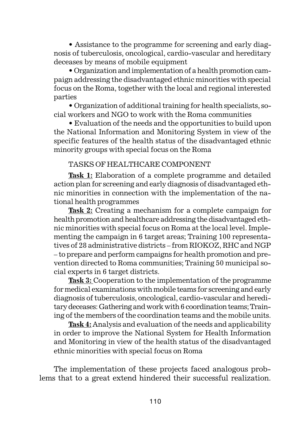• Assistance to the programme for screening and early diagnosis of tuberculosis, oncological, cardio-vascular and hereditary deceases by means of mobile equipment

• Organization and implementation of a health promotion campaign addressing the disadvantaged ethnic minorities with special focus on the Roma, together with the local and regional interested parties

• Organization of additional training for health specialists, social workers and NGO to work with the Roma communities

• Evaluation of the needs and the opportunities to build upon the National Information and Monitoring System in view of the specific features of the health status of the disadvantaged ethnic minority groups with special focus on the Roma

#### TASKS OF HEALTHCARE COMPONENT

**Task 1:** Elaboration of a complete programme and detailed action plan for screening and early diagnosis of disadvantaged ethnic minorities in connection with the implementation of the national health programmes

**Task 2:** Creating a mechanism for a complete campaign for health promotion and healthcare addressing the disadvantaged ethnic minorities with special focus on Roma at the local level. Implementing the campaign in 6 target areas; Training 100 representatives of 28 administrative districts – from RIOKOZ, RHC and NGP – to prepare and perform campaigns for health promotion and prevention directed to Roma communities; Training 50 municipal social experts in 6 target districts.

**Task 3:** Cooperation to the implementation of the programme for medical examinations with mobile teams for screening and early diagnosis of tuberculosis, oncological, cardio-vascular and hereditary deceases: Gathering and work with 6 coordination teams; Training of the members of the coordination teams and the mobile units.

**Task 4:** Analysis and evaluation of the needs and applicability in order to improve the National System for Health Information and Monitoring in view of the health status of the disadvantaged ethnic minorities with special focus on Roma

The implementation of these projects faced analogous problems that to a great extend hindered their successful realization.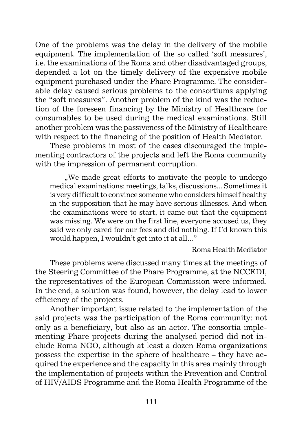One of the problems was the delay in the delivery of the mobile equipment. The implementation of the so called 'soft measures', i.e. the examinations of the Roma and other disadvantaged groups, depended a lot on the timely delivery of the expensive mobile equipment purchased under the Phare Programme. The considerable delay caused serious problems to the consortiums applying the "soft measures". Another problem of the kind was the reduction of the foreseen financing by the Ministry of Healthcare for consumables to be used during the medical examinations. Still another problem was the passiveness of the Ministry of Healthcare with respect to the financing of the position of Health Mediator.

These problems in most of the cases discouraged the implementing contractors of the projects and left the Roma community with the impression of permanent corruption.

..We made great efforts to motivate the people to undergo. medical examinations: meetings, talks, discussions... Sometimes it is very difficult to convince someone who considers himself healthy in the supposition that he may have serious illnesses. And when the examinations were to start, it came out that the equipment was missing. We were on the first line, everyone accused us, they said we only cared for our fees and did nothing. If I'd known this would happen, I wouldn't get into it at all..."

#### Roma Health Mediator

These problems were discussed many times at the meetings of the Steering Committee of the Phare Programme, at the NCCEDI, the representatives of the European Commission were informed. In the end, a solution was found, however, the delay lead to lower efficiency of the projects.

Another important issue related to the implementation of the said projects was the participation of the Roma community: not only as a beneficiary, but also as an actor. The consortia implementing Phare projects during the analysed period did not include Roma NGO, although at least a dozen Roma organizations possess the expertise in the sphere of healthcare – they have acquired the experience and the capacity in this area mainly through the implementation of projects within the Prevention and Control of HIV/AIDS Programme and the Roma Health Programme of the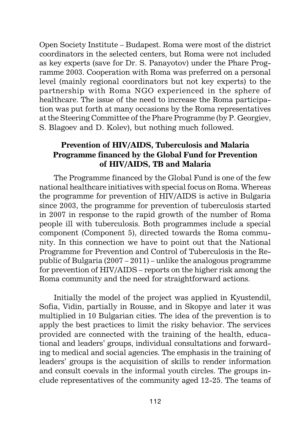Open Society Institute – Budapest. Roma were most of the district coordinators in the selected centers, but Roma were not included as key experts (save for Dr. S. Panayotov) under the Phare Programme 2003. Cooperation with Roma was preferred on a personal level (mainly regional coordinators but not key experts) to the partnership with Roma NGO experienced in the sphere of healthcare. The issue of the need to increase the Roma participation was put forth at many occasions by the Roma representatives at the Steering Committee of the Phare Programme (by P. Georgiev, S. Blagoev and D. Kolev), but nothing much followed.

# **Prevention of HIV/AIDS, Tuberculosis and Malaria Programme financed by the Global Fund for Prevention of HIV/AIDS, TB and Malaria**

The Programme financed by the Global Fund is one of the few national healthcare initiatives with special focus on Roma. Whereas the programme for prevention of HIV/AIDS is active in Bulgaria since 2003, the programme for prevention of tuberculosis started in 2007 in response to the rapid growth of the number of Roma people ill with tuberculosis. Both programmes include a special component (Component 5), directed towards the Roma community. In this connection we have to point out that the National Programme for Prevention and Control of Tuberculosis in the Republic of Bulgaria (2007 – 2011) – unlike the analogous programme for prevention of HIV/AIDS – reports on the higher risk among the Roma community and the need for straightforward actions.

Initially the model of the project was applied in Kyustendil, Sofia, Vidin, partially in Rousse, and in Skopye and later it was multiplied in 10 Bulgarian cities. The idea of the prevention is to apply the best practices to limit the risky behavior. The services provided are connected with the training of the health, educational and leaders' groups, individual consultations and forwarding to medical and social agencies. The emphasis in the training of leaders' groups is the acquisition of skills to render information and consult coevals in the informal youth circles. The groups include representatives of the community aged 12-25. The teams of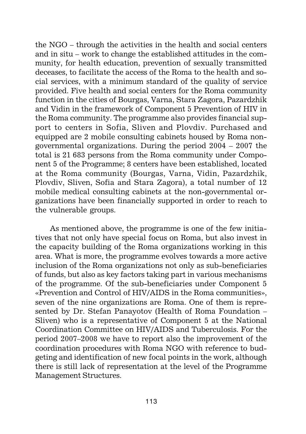the NGO – through the activities in the health and social centers and in situ – work to change the established attitudes in the community, for health education, prevention of sexually transmitted deceases, to facilitate the access of the Roma to the health and social services, with a minimum standard of the quality of service provided. Five health and social centers for the Roma community function in the cities of Bourgas, Varna, Stara Zagora, Pazardzhik and Vidin in the framework of Component 5 Prevention of HIV in the Roma community. The programme also provides financial support to centers in Sofia, Sliven and Plovdiv. Purchased and equipped are 2 mobile consulting cabinets housed by Roma nongovernmental organizations. During the period 2004 – 2007 the total is 21 683 persons from the Roma community under Component 5 of the Programme; 8 centers have been established, located at the Roma community (Bourgas, Varna, Vidin, Pazardzhik, Plovdiv, Sliven, Sofia and Stara Zagora), a total number of 12 mobile medical consulting cabinets at the non-governmental organizations have been financially supported in order to reach to the vulnerable groups.

As mentioned above, the programme is one of the few initiatives that not only have special focus on Roma, but also invest in the capacity building of the Roma organizations working in this area. What is more, the programme evolves towards a more active inclusion of the Roma organizations not only as sub-beneficiaries of funds, but also as key factors taking part in various mechanisms of the programme. Of the sub-beneficiaries under Component 5 «Prevention and Control of HIV/AIDS in the Roma communities», seven of the nine organizations are Roma. One of them is represented by Dr. Stefan Panayotov (Health of Roma Foundation – Sliven) who is a representative of Component 5 at the National Coordination Committee on HIV/AIDS and Tuberculosis. For the period 2007–2008 we have to report also the improvement of the coordination procedures with Roma NGO with reference to budgeting and identification of new focal points in the work, although there is still lack of representation at the level of the Programme Management Structures.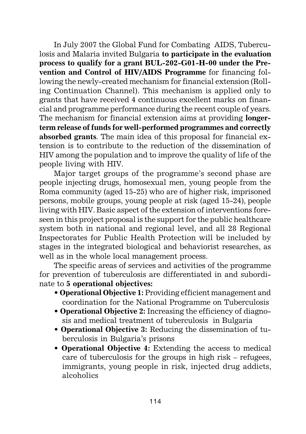In July 2007 the Global Fund for Combating AIDS, Tuberculosis and Malaria invited Bulgaria **to participate in the evaluation process to qualify for a grant BUL-202-G01-H-00 under the Prevention and Control of HIV/AIDS Programme** for financing following the newly-created mechanism for financial extension (Rolling Continuation Channel). This mechanism is applied only to grants that have received 4 continuous excellent marks on financial and programme performance during the recent couple of years. The mechanism for financial extension aims at providing **longerterm release of funds for well-performed programmes and correctly absorbed grants**. The main idea of this proposal for financial extension is to contribute to the reduction of the dissemination of HIV among the population and to improve the quality of life of the people living with HIV.

Major target groups of the programme's second phase are people injecting drugs, homosexual men, young people from the Roma community (aged 15-25) who are of higher risk, imprisoned persons, mobile groups, young people at risk (aged 15-24), people living with HIV. Basic aspect of the extension of interventions foreseen in this project proposal is the support for the public healthcare system both in national and regional level, and all 28 Regional Inspectorates for Public Health Protection will be included by stages in the integrated biological and behaviorist researches, as well as in the whole local management process.

The specific areas of services and activities of the programme for prevention of tuberculosis are differentiated in and subordinate to **5 operational objectives:**

- **Operational Objective 1:** Providing efficient management and coordination for the National Programme on Tuberculosis
- **Operational Objective 2:** Increasing the efficiency of diagnosis and medical treatment of tuberculosis in Bulgaria
- **Operational Objective 3:** Reducing the dissemination of tuberculosis in Bulgaria's prisons
- **Operational Objective 4:** Extending the access to medical care of tuberculosis for the groups in high risk – refugees, immigrants, young people in risk, injected drug addicts, alcoholics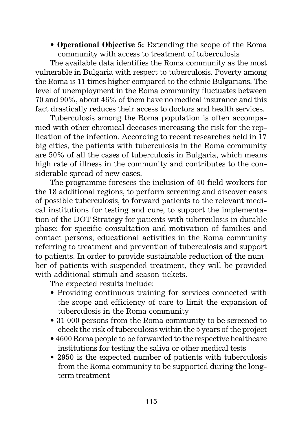• **Operational Objective 5:** Extending the scope of the Roma community with access to treatment of tuberculosis

The available data identifies the Roma community as the most vulnerable in Bulgaria with respect to tuberculosis. Poverty among the Roma is 11 times higher compared to the ethnic Bulgarians. The level of unemployment in the Roma community fluctuates between 70 and 90%, about 46% of them have no medical insurance and this fact drastically reduces their access to doctors and health services.

Tuberculosis among the Roma population is often accompanied with other chronical deceases increasing the risk for the replication of the infection. According to recent researches held in 17 big cities, the patients with tuberculosis in the Roma community are 50% of all the cases of tuberculosis in Bulgaria, which means high rate of illness in the community and contributes to the considerable spread of new cases.

The programme foresees the inclusion of 40 field workers for the 18 additional regions, to perform screening and discover cases of possible tuberculosis, to forward patients to the relevant medical institutions for testing and cure, to support the implementation of the DOT Strategy for patients with tuberculosis in durable phase; for specific consultation and motivation of families and contact persons; educational activities in the Roma community referring to treatment and prevention of tuberculosis and support to patients. In order to provide sustainable reduction of the number of patients with suspended treatment, they will be provided with additional stimuli and season tickets.

The expected results include:

- Providing continuous training for services connected with the scope and efficiency of care to limit the expansion of tuberculosis in the Roma community
- 31 000 persons from the Roma community to be screened to check the risk of tuberculosis within the 5 years of the project
- 4600 Roma people to be forwarded to the respective healthcare institutions for testing the saliva or other medical tests
- 2950 is the expected number of patients with tuberculosis from the Roma community to be supported during the longterm treatment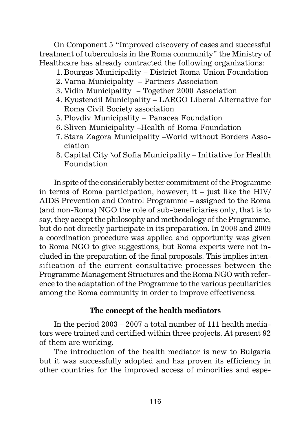On Component 5 "Improved discovery of cases and successful treatment of tuberculosis in the Roma community" the Ministry of Healthcare has already contracted the following organizations:

- 1. Bourgas Municipality District Roma Union Foundation
- 2. Varna Municipality Partners Association
- 3. Vidin Municipality Together 2000 Association
- 4. Kyustendil Municipality LARGO Liberal Alternative for Roma Civil Society association
- 5. Plovdiv Municipality Panacea Foundation
- 6. Sliven Municipality –Health of Roma Foundation
- 7. Stara Zagora Municipality –World without Borders Association
- 8. Capital City \of Sofia Municipality Initiative for Health Foundation

In spite of the considerably better commitment of the Programme in terms of Roma participation, however, it – just like the HIV/ AIDS Prevention and Control Programme – assigned to the Roma (and non-Roma) NGO the role of sub-beneficiaries only, that is to say, they accept the philosophy and methodology of the Programme, but do not directly participate in its preparation. In 2008 and 2009 a coordination procedure was applied and opportunity was given to Roma NGO to give suggestions, but Roma experts were not included in the preparation of the final proposals. This implies intensification of the current consultative processes between the Programme Management Structures and the Roma NGO with reference to the adaptation of the Programme to the various peculiarities among the Roma community in order to improve effectiveness.

#### **The concept of the health mediators**

In the period 2003 – 2007 a total number of 111 health mediators were trained and certified within three projects. At present 92 of them are working.

The introduction of the health mediator is new to Bulgaria but it was successfully adopted and has proven its efficiency in other countries for the improved access of minorities and espe-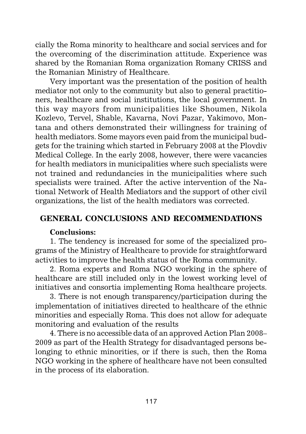cially the Roma minority to healthcare and social services and for the overcoming of the discrimination attitude. Experience was shared by the Romanian Roma organization Romany CRISS and the Romanian Ministry of Healthcare.

Very important was the presentation of the position of health mediator not only to the community but also to general practitioners, healthcare and social institutions, the local government. In this way mayors from municipalities like Shoumen, Nikola Kozlevo, Tervel, Shable, Kavarna, Novi Pazar, Yakimovo, Montana and others demonstrated their willingness for training of health mediators. Some mayors even paid from the municipal budgets for the training which started in February 2008 at the Plovdiv Medical College. In the early 2008, however, there were vacancies for health mediators in municipalities where such specialists were not trained and redundancies in the municipalities where such specialists were trained. After the active intervention of the National Network of Health Mediators and the support of other civil organizations, the list of the health mediators was corrected.

# **GENERAL CONCLUSIONS AND RECOMMENDATIONS**

#### **Conclusions:**

1. The tendency is increased for some of the specialized programs of the Ministry of Healthcare to provide for straightforward activities to improve the health status of the Roma community.

2. Roma experts and Roma NGO working in the sphere of healthcare are still included only in the lowest working level of initiatives and consortia implementing Roma healthcare projects.

3. There is not enough transparency/participation during the implementation of initiatives directed to healthcare of the ethnic minorities and especially Roma. This does not allow for adequate monitoring and evaluation of the results

4. There is no accessible data of an approved Action Plan 2008– 2009 as part of the Health Strategy for disadvantaged persons belonging to ethnic minorities, or if there is such, then the Roma NGO working in the sphere of healthcare have not been consulted in the process of its elaboration.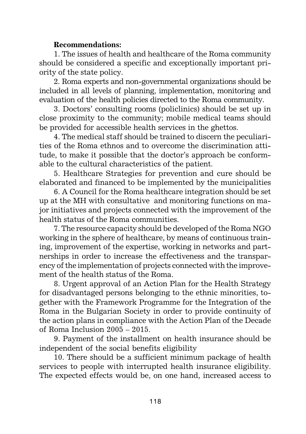# **Recommendations:**

1. The issues of health and healthcare of the Roma community should be considered a specific and exceptionally important priority of the state policy.

2. Roma experts and non-governmental organizations should be included in all levels of planning, implementation, monitoring and evaluation of the health policies directed to the Roma community.

3. Doctors' consulting rooms (policlinics) should be set up in close proximity to the community; mobile medical teams should be provided for accessible health services in the ghettos.

4. The medical staff should be trained to discern the peculiarities of the Roma ethnos and to overcome the discrimination attitude, to make it possible that the doctor's approach be conformable to the cultural characteristics of the patient.

5. Healthcare Strategies for prevention and cure should be elaborated and financed to be implemented by the municipalities

6. A Council for the Roma healthcare integration should be set up at the MH with consultative and monitoring functions on major initiatives and projects connected with the improvement of the health status of the Roma communities.

7. The resource capacity should be developed of the Roma NGO working in the sphere of healthcare, by means of continuous training, improvement of the expertise, working in networks and partnerships in order to increase the effectiveness and the transparency of the implementation of projects connected with the improvement of the health status of the Roma.

8. Urgent approval of an Action Plan for the Health Strategy for disadvantaged persons belonging to the ethnic minorities, together with the Framework Programme for the Integration of the Roma in the Bulgarian Society in order to provide continuity of the action plans in compliance with the Action Plan of the Decade of Roma Inclusion 2005 – 2015.

9. Payment of the installment on health insurance should be independent of the social benefits eligibility

10. There should be a sufficient minimum package of health services to people with interrupted health insurance eligibility. The expected effects would be, on one hand, increased access to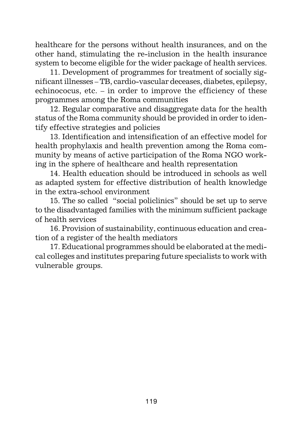healthcare for the persons without health insurances, and on the other hand, stimulating the re-inclusion in the health insurance system to become eligible for the wider package of health services.

11. Development of programmes for treatment of socially significant illnesses – TB, cardio-vascular deceases, diabetes, epilepsy, echinococus, etc. – in order to improve the efficiency of these programmes among the Roma communities

12. Regular comparative and disaggregate data for the health status of the Roma community should be provided in order to identify effective strategies and policies

13. Identification and intensification of an effective model for health prophylaxis and health prevention among the Roma community by means of active participation of the Roma NGO working in the sphere of healthcare and health representation

14. Health education should be introduced in schools as well as adapted system for effective distribution of health knowledge in the extra-school environment

15. The so called "social policlinics" should be set up to serve to the disadvantaged families with the minimum sufficient package of health services

16. Provision of sustainability, continuous education and creation of a register of the health mediators

17. Educational programmes should be elaborated at the medical colleges and institutes preparing future specialists to work with vulnerable groups.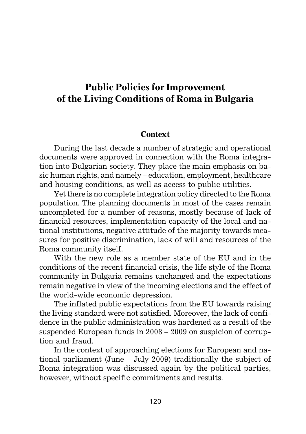# **Public Policies for Improvement of the Living Conditions of Roma in Bulgaria**

#### **Context**

During the last decade a number of strategic and operational documents were approved in connection with the Roma integration into Bulgarian society. They place the main emphasis on basic human rights, and namely – education, employment, healthcare and housing conditions, as well as access to public utilities.

Yet there is no complete integration policy directed to the Roma population. The planning documents in most of the cases remain uncompleted for a number of reasons, mostly because of lack of financial resources, implementation capacity of the local and national institutions, negative attitude of the majority towards measures for positive discrimination, lack of will and resources of the Roma community itself.

With the new role as a member state of the EU and in the conditions of the recent financial crisis, the life style of the Roma community in Bulgaria remains unchanged and the expectations remain negative in view of the incoming elections and the effect of the world-wide economic depression.

The inflated public expectations from the EU towards raising the living standard were not satisfied. Moreover, the lack of confidence in the public administration was hardened as a result of the suspended European funds in 2008 – 2009 on suspicion of corruption and fraud.

In the context of approaching elections for European and national parliament (June – July 2009) traditionally the subject of Roma integration was discussed again by the political parties, however, without specific commitments and results.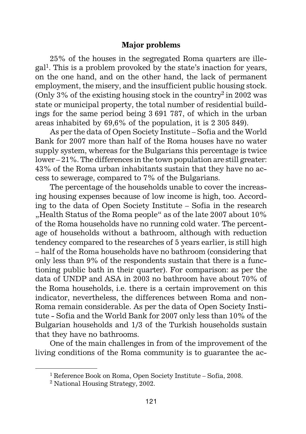#### **Major problems**

25% of the houses in the segregated Roma quarters are illegal1. This is a problem provoked by the state's inaction for years, on the one hand, and on the other hand, the lack of permanent employment, the misery, and the insufficient public housing stock. (Only  $3\%$  of the existing housing stock in the country<sup>2</sup> in 2002 was state or municipal property, the total number of residential buildings for the same period being 3 691 787, of which in the urban areas inhabited by 69,6% of the population, it is 2 305 849).

As per the data of Open Society Institute – Sofia and the World Bank for 2007 more than half of the Roma houses have no water supply system, whereas for the Bulgarians this percentage is twice lower – 21%. The differences in the town population are still greater: 43% of the Roma urban inhabitants sustain that they have no access to sewerage, compared to 7% of the Bulgarians.

The percentage of the households unable to cover the increasing housing expenses because of low income is high, too. According to the data of Open Society Institute – Sofia in the research "Health Status of the Roma people" as of the late 2007 about 10% of the Roma households have no running cold water. The percentage of households without a bathroom, although with reduction tendency compared to the researches of 5 years earlier, is still high – half of the Roma households have no bathroom (considering that only less than 9% of the respondents sustain that there is a functioning public bath in their quarter). For comparison: as per the data of UNDP and ASA in 2003 no bathroom have about 70% of the Roma households, i.e. there is a certain improvement on this indicator, nevertheless, the differences between Roma and non-Roma remain considerable. As per the data of Open Society Institute - Sofia and the World Bank for 2007 only less than 10% of the Bulgarian households and 1/3 of the Turkish households sustain that they have no bathrooms.

One of the main challenges in from of the improvement of the living conditions of the Roma community is to guarantee the ac-

<sup>1</sup> Reference Book on Roma, Open Society Institute – Sofia, 2008.

<sup>2</sup> National Housing Strategy, 2002.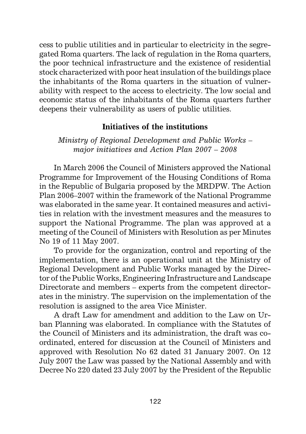cess to public utilities and in particular to electricity in the segregated Roma quarters. The lack of regulation in the Roma quarters, the poor technical infrastructure and the existence of residential stock characterized with poor heat insulation of the buildings place the inhabitants of the Roma quarters in the situation of vulnerability with respect to the access to electricity. The low social and economic status of the inhabitants of the Roma quarters further deepens their vulnerability as users of public utilities.

#### **Initiatives of the institutions**

*Ministry of Regional Development and Public Works – major initiatives and Action Plan 2007 – 2008*

In March 2006 the Council of Ministers approved the National Programme for Improvement of the Housing Conditions of Roma in the Republic of Bulgaria proposed by the MRDPW. The Action Plan 2006–2007 within the framework of the National Programme was elaborated in the same year. It contained measures and activities in relation with the investment measures and the measures to support the National Programme. The plan was approved at a meeting of the Council of Ministers with Resolution as per Minutes No 19 of 11 May 2007.

To provide for the organization, control and reporting of the implementation, there is an operational unit at the Ministry of Regional Development and Public Works managed by the Director of the Public Works, Engineering Infrastructure and Landscape Directorate and members – experts from the competent directorates in the ministry. The supervision on the implementation of the resolution is assigned to the area Vice Minister.

A draft Law for amendment and addition to the Law on Urban Planning was elaborated. In compliance with the Statutes of the Council of Ministers and its administration, the draft was coordinated, entered for discussion at the Council of Ministers and approved with Resolution No 62 dated 31 January 2007. On 12 July 2007 the Law was passed by the National Assembly and with Decree No 220 dated 23 July 2007 by the President of the Republic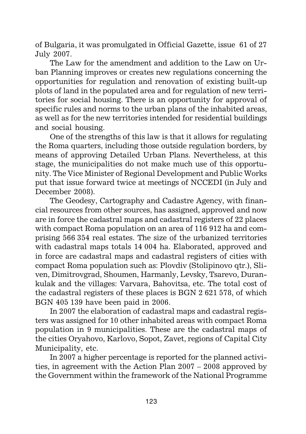of Bulgaria, it was promulgated in Official Gazette, issue 61 of 27 July 2007.

The Law for the amendment and addition to the Law on Urban Planning improves or creates new regulations concerning the opportunities for regulation and renovation of existing built-up plots of land in the populated area and for regulation of new territories for social housing. There is an opportunity for approval of specific rules and norms to the urban plans of the inhabited areas, as well as for the new territories intended for residential buildings and social housing.

One of the strengths of this law is that it allows for regulating the Roma quarters, including those outside regulation borders, by means of approving Detailed Urban Plans. Nevertheless, at this stage, the municipalities do not make much use of this opportunity. The Vice Minister of Regional Development and Public Works put that issue forward twice at meetings of NCCEDI (in July and December 2008).

The Geodesy, Cartography and Cadastre Agency, with financial resources from other sources, has assigned, approved and now are in force the cadastral maps and cadastral registers of 22 places with compact Roma population on an area of 116 912 ha and comprising 566 354 real estates. The size of the urbanized territories with cadastral maps totals 14 004 ha. Elaborated, approved and in force are cadastral maps and cadastral registers of cities with compact Roma population such as: Plovdiv (Stolipinovo qtr.), Sliven, Dimitrovgrad, Shoumen, Harmanly, Levsky, Tsarevo, Durankulak and the villages: Varvara, Bahovitsa, etc. The total cost of the cadastral registers of these places is BGN 2 621 578, of which BGN 405 139 have been paid in 2006.

In 2007 the elaboration of cadastral maps and cadastral registers was assigned for 10 other inhabited areas with compact Roma population in 9 municipalities. These are the cadastral maps of the cities Oryahovo, Karlovo, Sopot, Zavet, regions of Capital City Municipality, etc.

In 2007 a higher percentage is reported for the planned activities, in agreement with the Action Plan 2007 – 2008 approved by the Government within the framework of the National Programme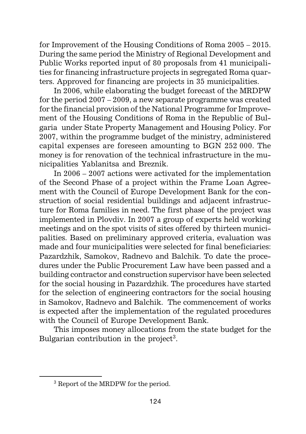for Improvement of the Housing Conditions of Roma 2005 – 2015. During the same period the Ministry of Regional Development and Public Works reported input of 80 proposals from 41 municipalities for financing infrastructure projects in segregated Roma quarters. Approved for financing are projects in 35 municipalities.

In 2006, while elaborating the budget forecast of the MRDPW for the period 2007 – 2009, a new separate programme was created for the financial provision of the National Programme for Improvement of the Housing Conditions of Roma in the Republic of Bulgaria under State Property Management and Housing Policy. For 2007, within the programme budget of the ministry, administered capital expenses are foreseen amounting to BGN 252 000. The money is for renovation of the technical infrastructure in the municipalities Yablanitsa and Breznik.

In 2006 – 2007 actions were activated for the implementation of the Second Phase of a project within the Frame Loan Agreement with the Council of Europe Development Bank for the construction of social residential buildings and adjacent infrastructure for Roma families in need. The first phase of the project was implemented in Plovdiv. In 2007 a group of experts held working meetings and on the spot visits of sites offered by thirteen municipalities. Based on preliminary approved criteria, evaluation was made and four municipalities were selected for final beneficiaries: Pazardzhik, Samokov, Radnevo and Balchik. To date the procedures under the Public Procurement Law have been passed and a building contractor and construction supervisor have been selected for the social housing in Pazardzhik. The procedures have started for the selection of engineering contractors for the social housing in Samokov, Radnevo and Balchik. The commencement of works is expected after the implementation of the regulated procedures with the Council of Europe Development Bank.

This imposes money allocations from the state budget for the Bulgarian contribution in the project<sup>3</sup>.

<sup>&</sup>lt;sup>3</sup> Report of the MRDPW for the period.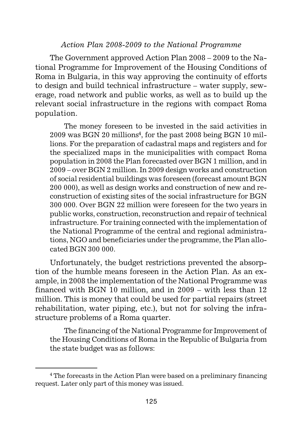#### *Action Plan 2008-2009 to the National Programme*

The Government approved Action Plan 2008 – 2009 to the National Programme for Improvement of the Housing Conditions of Roma in Bulgaria, in this way approving the continuity of efforts to design and build technical infrastructure – water supply, sewerage, road network and public works, as well as to build up the relevant social infrastructure in the regions with compact Roma population.

The money foreseen to be invested in the said activities in  $2009$  was BGN 20 millions<sup>4</sup>, for the past 2008 being BGN 10 millions. For the preparation of cadastral maps and registers and for the specialized maps in the municipalities with compact Roma population in 2008 the Plan forecasted over BGN 1 million, and in 2009 – over BGN 2 million. In 2009 design works and construction of social residential buildings was foreseen (forecast amount BGN 200 000), as well as design works and construction of new and reconstruction of existing sites of the social infrastructure for BGN 300 000. Over BGN 22 million were foreseen for the two years in public works, construction, reconstruction and repair of technical infrastructure. For training connected with the implementation of the National Programme of the central and regional administrations, NGO and beneficiaries under the programme, the Plan allocated BGN 300 000.

Unfortunately, the budget restrictions prevented the absorption of the humble means foreseen in the Action Plan. As an example, in 2008 the implementation of the National Programme was financed with BGN 10 million, and in 2009 – with less than 12 million. This is money that could be used for partial repairs (street rehabilitation, water piping, etc.), but not for solving the infrastructure problems of a Roma quarter.

The financing of the National Programme for Improvement of the Housing Conditions of Roma in the Republic of Bulgaria from the state budget was as follows:

<sup>&</sup>lt;sup>4</sup> The forecasts in the Action Plan were based on a preliminary financing request. Later only part of this money was issued.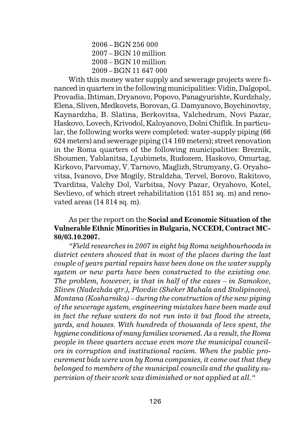2006 – BGN 256 000 2007 – BGN 10 million 2008 – BGN 10 million 2009 – BGN 11 647 000

With this money water supply and sewerage projects were financed in quarters in the following municipalities: Vidin, Dalgopol, Provadia, Ihtiman, Dryanovo, Popovo, Panagyurishte, Kurdzhaly, Elena, Sliven, Medkovets, Borovan, G. Damyanovo, Boychinovtsy, Kaynardzha, B. Slatina, Berkovitsa, Valchedrum, Novi Pazar, Haskovo, Lovech, Krivodol, Kaloyanovo, Dolni Chiflik. In particular, the following works were completed: water-supply piping (66 624 meters) and sewerage piping (14 169 meters); street renovation in the Roma quarters of the following municipalities: Breznik, Shoumen, Yablanitsa, Lyubimets, Rudozem, Haskovo, Omurtag, Kirkovo, Parvomay, V. Tarnovo, Maglizh, Strumyany, G. Oryahovitsa, Ivanovo, Dve Mogily, Straldzha, Tervel, Borovo, Rakitovo, Tvarditsa, Valchy Dol, Varbitsa, Novy Pazar, Oryahovo, Kotel, Sevlievo, of which street rehabilitation (151 851 sq. m) and renovated areas (14 814 sq. m).

#### As per the report on the **Social and Economic Situation of the Vulnerable Ethnic Minorities in Bulgaria, NCCEDI, Contract MC-80/03.10.2007.**

*"Field researches in 2007 in eight big Roma neighbourhoods in district centers showed that in most of the places during the last couple of years partial repairs have been done on the water supply system or new parts have been constructed to the existing one. The problem, however, is that in half of the cases – in Samokov, Sliven (Nadezhda qtr.), Plovdiv (Sheker Mahala and Stolipinovo), Montana (Kosharnika) – during the construction of the new piping of the sewerage system, engineering mistakes have been made and in fact the refuse waters do not run into it but flood the streets, yards, and houses. With hundreds of thousands of levs spent, the hygiene conditions of many families worsened. As a result, the Roma people in these quarters accuse even more the municipal councilors in corruption and institutional racism. When the public procurement bids were won by Roma companies, it came out that they belonged to members of the municipal councils and the quality supervision of their work was diminished or not applied at all."*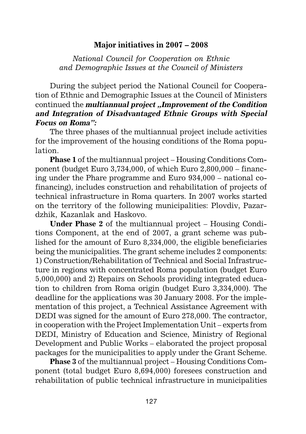# **Major initiatives in 2007 – 2008**

*National Council for Cooperation on Ethnic and Demographic Issues at the Council of Ministers*

During the subject period the National Council for Cooperation of Ethnic and Demographic Issues at the Council of Ministers continued the *multiannual project* ..*Improvement of the Condition* **and Integration of Disadvantaged Ethnic Groups with Special Focus on Roma":**

The three phases of the multiannual project include activities for the improvement of the housing conditions of the Roma population.

**Phase 1** of the multiannual project – Housing Conditions Component (budget Euro 3,734,000, of which Euro 2,800,000 – financing under the Phare programme and Euro 934,000 – national cofinancing), includes construction and rehabilitation of projects of technical infrastructure in Roma quarters. In 2007 works started on the territory of the following municipalities: Plovdiv, Pazardzhik, Kazanlak and Haskovo.

**Under Phase 2** of the multiannual project – Housing Conditions Component, at the end of 2007, a grant scheme was published for the amount of Euro 8,334,000, the eligible beneficiaries being the municipalities. The grant scheme includes 2 components: 1) Construction/Rehabilitation of Technical and Social Infrastructure in regions with concentrated Roma population (budget Euro 5,000,000) and 2) Repairs on Schools providing integrated education to children from Roma origin (budget Euro 3,334,000). The deadline for the applications was 30 January 2008. For the implementation of this project, a Technical Assistance Agreement with DEDI was signed for the amount of Euro 278,000. The contractor, in cooperation with the Project Implementation Unit – experts from DEDI, Ministry of Education and Science, Ministry of Regional Development and Public Works – elaborated the project proposal packages for the municipalities to apply under the Grant Scheme.

**Phase 3** of the multiannual project – Housing Conditions Component (total budget Euro 8,694,000) foresees construction and rehabilitation of public technical infrastructure in municipalities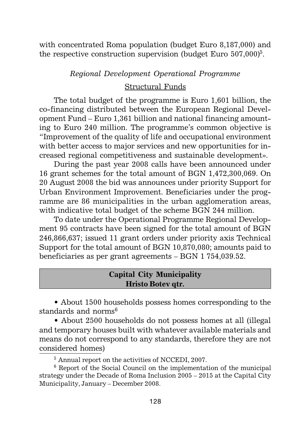with concentrated Roma population (budget Euro 8,187,000) and the respective construction supervision (budget Euro  $507,000$ <sup>5</sup>.

#### *Regional Development Operational Programme*

#### Structural Funds

The total budget of the programme is Euro 1,601 billion, the co-financing distributed between the European Regional Development Fund – Euro 1,361 billion and national financing amounting to Euro 240 million. The programme's common objective is "Improvement of the quality of life and occupational environment with better access to major services and new opportunities for increased regional competitiveness and sustainable development».

During the past year 2008 calls have been announced under 16 grant schemes for the total amount of BGN 1,472,300,069. On 20 August 2008 the bid was announces under priority Support for Urban Environment Improvement. Beneficiaries under the programme are 86 municipalities in the urban agglomeration areas, with indicative total budget of the scheme BGN 244 million.

To date under the Operational Programme Regional Development 95 contracts have been signed for the total amount of BGN 246,866,637; issued 11 grant orders under priority axis Technical Support for the total amount of BGN 10,870,080; amounts paid to beneficiaries as per grant agreements – BGN 1 754,039.52.

## **Capital City Municipality Hristo Botev qtr.**

• About 1500 households possess homes corresponding to the standards and norms<sup>6</sup>

• About 2500 households do not possess homes at all (illegal and temporary houses built with whatever available materials and means do not correspond to any standards, therefore they are not considered homes)

<sup>5</sup> Annual report on the activities of NCCEDI, 2007.

 $6$  Report of the Social Council on the implementation of the municipal strategy under the Decade of Roma Inclusion 2005 – 2015 at the Capital City Municipality, January – December 2008.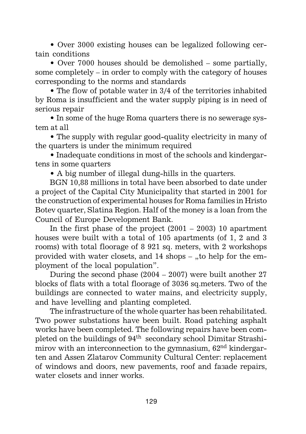• Over 3000 existing houses can be legalized following certain conditions

• Over 7000 houses should be demolished – some partially, some completely – in order to comply with the category of houses corresponding to the norms and standards

• The flow of potable water in 3/4 of the territories inhabited by Roma is insufficient and the water supply piping is in need of serious repair

• In some of the huge Roma quarters there is no sewerage system at all

• The supply with regular good-quality electricity in many of the quarters is under the minimum required

• Inadequate conditions in most of the schools and kindergartens in some quarters

• A big number of illegal dung-hills in the quarters.

BGN 10,88 millions in total have been absorbed to date under a project of the Capital City Municipality that started in 2001 for the construction of experimental houses for Roma families in Hristo Botev quarter, Slatina Region. Half of the money is a loan from the Council of Europe Development Bank.

In the first phase of the project  $(2001 - 2003)$  10 apartment houses were built with a total of 105 apartments (of 1, 2 and 3 rooms) with total floorage of 8 921 sq. meters, with 2 workshops provided with water closets, and  $14$  shops – "to help for the employment of the local population".

During the second phase (2004 – 2007) were built another 27 blocks of flats with a total floorage of 3036 sq.meters. Two of the buildings are connected to water mains, and electricity supply, and have levelling and planting completed.

The infrastructure of the whole quarter has been rehabilitated. Two power substations have been built. Road patching asphalt works have been completed. The following repairs have been completed on the buildings of 94th secondary school Dimitar Strashimirov with an interconnection to the gymnasium,  $62<sup>nd</sup>$  kindergarten and Assen Zlatarov Community Cultural Center: replacement of windows and doors, new pavements, roof and façade repairs, water closets and inner works.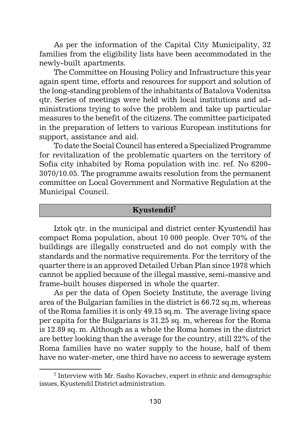As per the information of the Capital City Municipality, 32 families from the eligibility lists have been accommodated in the newly-built apartments.

The Committee on Housing Policy and Infrastructure this year again spent time, efforts and resources for support and solution of the long-standing problem of the inhabitants of Batalova Vodenitsa qtr. Series of meetings were held with local institutions and administrations trying to solve the problem and take up particular measures to the benefit of the citizens. The committee participated in the preparation of letters to various European institutions for support, assistance and aid.

To date the Social Council has entered a Specialized Programme for revitalization of the problematic quarters on the territory of Sofia city inhabited by Roma population with inc. ref. No 6200- 3070/10.05. The programme awaits resolution from the permanent committee on Local Government and Normative Regulation at the Municipal Council.

# **Kyustendil7**

Iztok qtr. in the municipal and district center Kyustendil has compact Roma population, about 10 000 people. Over 70% of the buildings are illegally constructed and do not comply with the standards and the normative requirements. For the territory of the quarter there is an approved Detailed Urban Plan since 1978 which cannot be applied because of the illegal massive, semi-massive and frame-built houses dispersed in whole the quarter.

As per the data of Open Society Institute, the average living area of the Bulgarian families in the district is 66.72 sq.m, whereas of the Roma families it is only 49.15 sq.m. The average living space per capita for the Bulgarians is 31.25 sq. m, whereas for the Roma is 12.89 sq. m. Although as a whole the Roma homes in the district are better looking than the average for the country, still 22% of the Roma families have no water supply to the house, half of them have no water-meter, one third have no access to sewerage system

<sup>7</sup> Interview with Mr. Sasho Kovachev, expert in ethnic and demographic issues, Kyustendil District administration.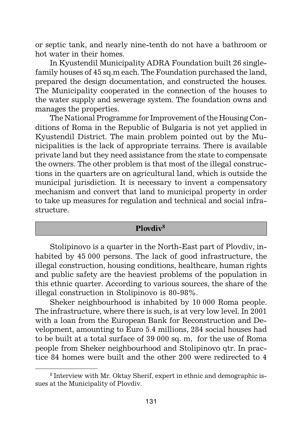or septic tank, and nearly nine-tenth do not have a bathroom or hot water in their homes.

In Kyustendil Municipality ADRA Foundation built 26 singlefamily houses of 45 sq.m each. The Foundation purchased the land, prepared the design documentation, and constructed the houses. The Municipality cooperated in the connection of the houses to the water supply and sewerage system. The foundation owns and manages the properties.

The National Programme for Improvement of the Housing Conditions of Roma in the Republic of Bulgaria is not yet applied in Kyustendil District. The main problem pointed out by the Municipalities is the lack of appropriate terrains. There is available private land but they need assistance from the state to compensate the owners. The other problem is that most of the illegal constructions in the quarters are on agricultural land, which is outside the municipal jurisdiction. It is necessary to invent a compensatory mechanism and convert that land to municipal property in order to take up measures for regulation and technical and social infrastructure.

# **Plovdiv<sup>8</sup>**

Stolipinovo is a quarter in the North-East part of Plovdiv, inhabited by 45 000 persons. The lack of good infrastructure, the illegal construction, housing conditions, healthcare, human rights and public safety are the heaviest problems of the population in this ethnic quarter. According to various sources, the share of the illegal construction in Stolipinovo is 80-98%.

Sheker neighbourhood is inhabited by 10 000 Roma people. The infrastructure, where there is such, is at very low level. In 2001 with a loan from the European Bank for Reconstruction and Development, amounting to Euro 5.4 millions, 284 social houses had to be built at a total surface of 39 000 sq. m, for the use of Roma people from Sheker neighbourhood and Stolipinovo qtr. In practice 84 homes were built and the other 200 were redirected to 4

<sup>8</sup> Interview with Mr. Oktay Sherif, expert in ethnic and demographic issues at the Municipality of Plovdiv.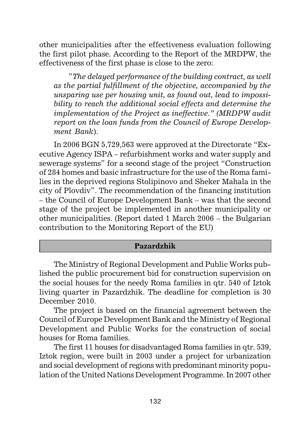other municipalities after the effectiveness evaluation following the first pilot phase. According to the Report of the MRDPW, the effectiveness of the first phase is close to the zero:

"*The delayed performance of the building contract, as well as the partial fulfillment of the objective, accompanied by the unsparing use per housing unit, as found out, lead to impossibility to reach the additional social effects and determine the implementation of the Project as ineffective." (MRDPW audit report on the loan funds from the Council of Europe Development Bank*).

In 2006 BGN 5,729,563 were approved at the Directorate "Executive Agency ISPA – refurbishment works and water supply and sewerage systems" for a second stage of the project "Construction of 284 homes and basic infrastructure for the use of the Roma families in the deprived regions Stolipinovo and Sheker Mahala in the city of Plovdiv". The recommendation of the financing institution – the Council of Europe Development Bank – was that the second stage of the project be implemented in another municipality or other municipalities. (Report dated 1 March 2006 – the Bulgarian contribution to the Monitoring Report of the EU)

#### **Pazardzhik**

The Ministry of Regional Development and Public Works published the public procurement bid for construction supervision on the social houses for the needy Roma families in qtr. 540 of Iztok living quarter in Pazardzhik. The deadline for completion is 30 December 2010.

The project is based on the financial agreement between the Council of Europe Development Bank and the Ministry of Regional Development and Public Works for the construction of social houses for Roma families.

The first 11 houses for disadvantaged Roma families in qtr. 539, Iztok region, were built in 2003 under a project for urbanization and social development of regions with predominant minority population of the United Nations Development Programme. In 2007 other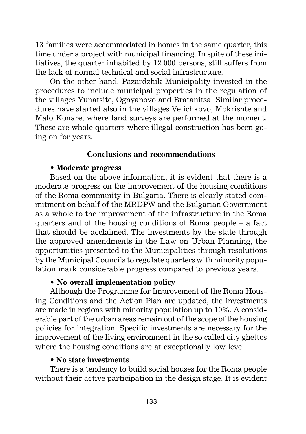13 families were accommodated in homes in the same quarter, this time under a project with municipal financing. In spite of these initiatives, the quarter inhabited by 12 000 persons, still suffers from the lack of normal technical and social infrastructure.

On the other hand, Pazardzhik Municipality invested in the procedures to include municipal properties in the regulation of the villages Yunatsite, Ognyanovo and Bratanitsa. Similar procedures have started also in the villages Velichkovo, Mokrishte and Malo Konare, where land surveys are performed at the moment. These are whole quarters where illegal construction has been going on for years.

#### **Conclusions and recommendations**

#### • **Moderate progress**

Based on the above information, it is evident that there is a moderate progress on the improvement of the housing conditions of the Roma community in Bulgaria. There is clearly stated commitment on behalf of the MRDPW and the Bulgarian Government as a whole to the improvement of the infrastructure in the Roma quarters and of the housing conditions of Roma people – a fact that should be acclaimed. The investments by the state through the approved amendments in the Law on Urban Planning, the opportunities presented to the Municipalities through resolutions by the Municipal Councils to regulate quarters with minority population mark considerable progress compared to previous years.

#### • **No overall implementation policy**

Although the Programme for Improvement of the Roma Housing Conditions and the Action Plan are updated, the investments are made in regions with minority population up to 10%. A considerable part of the urban areas remain out of the scope of the housing policies for integration. Specific investments are necessary for the improvement of the living environment in the so called city ghettos where the housing conditions are at exceptionally low level.

#### • **No state investments**

There is a tendency to build social houses for the Roma people without their active participation in the design stage. It is evident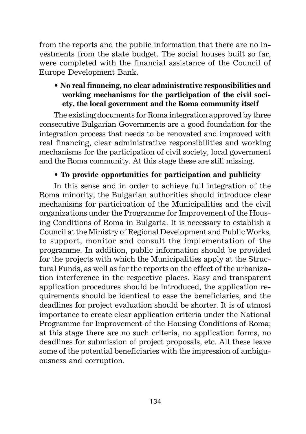from the reports and the public information that there are no investments from the state budget. The social houses built so far, were completed with the financial assistance of the Council of Europe Development Bank.

# • **No real financing, no clear administrative responsibilities and working mechanisms for the participation of the civil society, the local government and the Roma community itself**

The existing documents for Roma integration approved by three consecutive Bulgarian Governments are a good foundation for the integration process that needs to be renovated and improved with real financing, clear administrative responsibilities and working mechanisms for the participation of civil society, local government and the Roma community. At this stage these are still missing.

# • **To provide opportunities for participation and publicity**

In this sense and in order to achieve full integration of the Roma minority, the Bulgarian authorities should introduce clear mechanisms for participation of the Municipalities and the civil organizations under the Programme for Improvement of the Housing Conditions of Roma in Bulgaria. It is necessary to establish a Council at the Ministry of Regional Development and Public Works, to support, monitor and consult the implementation of the programme. In addition, public information should be provided for the projects with which the Municipalities apply at the Structural Funds, as well as for the reports on the effect of the urbanization interference in the respective places. Easy and transparent application procedures should be introduced, the application requirements should be identical to ease the beneficiaries, and the deadlines for project evaluation should be shorter. It is of utmost importance to create clear application criteria under the National Programme for Improvement of the Housing Conditions of Roma; at this stage there are no such criteria, no application forms, no deadlines for submission of project proposals, etc. All these leave some of the potential beneficiaries with the impression of ambiguousness and corruption.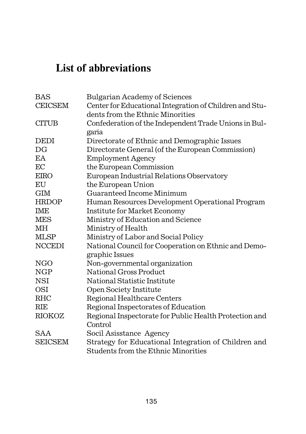# **List of abbreviations**

| <b>BAS</b>     | <b>Bulgarian Academy of Sciences</b>                    |
|----------------|---------------------------------------------------------|
| <b>CEICSEM</b> | Center for Educational Integration of Children and Stu- |
|                | dents from the Ethnic Minorities                        |
| <b>CITUB</b>   | Confederation of the Independent Trade Unions in Bul-   |
|                | garia                                                   |
| <b>DEDI</b>    | Directorate of Ethnic and Demographic Issues            |
| DG             | Directorate General (of the European Commission)        |
| EA             | <b>Employment Agency</b>                                |
| EC             | the European Commission                                 |
| <b>EIRO</b>    | European Industrial Relations Observatory               |
| EU             | the European Union                                      |
| <b>GIM</b>     | Guaranteed Income Minimum                               |
| <b>HRDOP</b>   | Human Resources Development Operational Program         |
| <b>IME</b>     | Institute for Market Economy                            |
| <b>MES</b>     | Ministry of Education and Science                       |
| MН             | Ministry of Health                                      |
| <b>MLSP</b>    | Ministry of Labor and Social Policy                     |
| <b>NCCEDI</b>  | National Council for Cooperation on Ethnic and Demo-    |
|                | graphic Issues                                          |
| <b>NGO</b>     | Non-governmental organization                           |
| <b>NGP</b>     | National Gross Product                                  |
| NSI            | National Statistic Institute                            |
| <b>OSI</b>     | Open Society Institute                                  |
| <b>RHC</b>     | Regional Healthcare Centers                             |
| <b>RIE</b>     | Regional Inspectorates of Education                     |
| RIOKOZ         | Regional Inspectorate for Public Health Protection and  |
|                | Control                                                 |
| <b>SAA</b>     | Socil Asisstance Agency                                 |
| <b>SEICSEM</b> | Strategy for Educational Integration of Children and    |
|                | Students from the Ethnic Minorities                     |